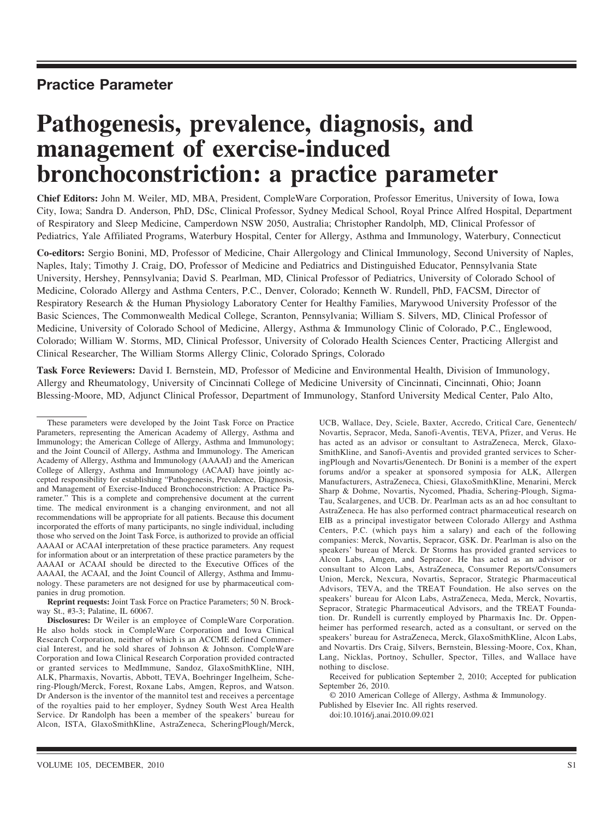## **Practice Parameter**

# **Pathogenesis, prevalence, diagnosis, and management of exercise-induced bronchoconstriction: a practice parameter**

**Chief Editors:** John M. Weiler, MD, MBA, President, CompleWare Corporation, Professor Emeritus, University of Iowa, Iowa City, Iowa; Sandra D. Anderson, PhD, DSc, Clinical Professor, Sydney Medical School, Royal Prince Alfred Hospital, Department of Respiratory and Sleep Medicine, Camperdown NSW 2050, Australia; Christopher Randolph, MD, Clinical Professor of Pediatrics, Yale Affiliated Programs, Waterbury Hospital, Center for Allergy, Asthma and Immunology, Waterbury, Connecticut

**Co-editors:** Sergio Bonini, MD, Professor of Medicine, Chair Allergology and Clinical Immunology, Second University of Naples, Naples, Italy; Timothy J. Craig, DO, Professor of Medicine and Pediatrics and Distinguished Educator, Pennsylvania State University, Hershey, Pennsylvania; David S. Pearlman, MD, Clinical Professor of Pediatrics, University of Colorado School of Medicine, Colorado Allergy and Asthma Centers, P.C., Denver, Colorado; Kenneth W. Rundell, PhD, FACSM, Director of Respiratory Research & the Human Physiology Laboratory Center for Healthy Families, Marywood University Professor of the Basic Sciences, The Commonwealth Medical College, Scranton, Pennsylvania; William S. Silvers, MD, Clinical Professor of Medicine, University of Colorado School of Medicine, Allergy, Asthma & Immunology Clinic of Colorado, P.C., Englewood, Colorado; William W. Storms, MD, Clinical Professor, University of Colorado Health Sciences Center, Practicing Allergist and Clinical Researcher, The William Storms Allergy Clinic, Colorado Springs, Colorado

**Task Force Reviewers:** David I. Bernstein, MD, Professor of Medicine and Environmental Health, Division of Immunology, Allergy and Rheumatology, University of Cincinnati College of Medicine University of Cincinnati, Cincinnati, Ohio; Joann Blessing-Moore, MD, Adjunct Clinical Professor, Department of Immunology, Stanford University Medical Center, Palo Alto,

**Reprint requests:** Joint Task Force on Practice Parameters; 50 N. Brockway St., #3-3; Palatine, IL 60067.

UCB, Wallace, Dey, Sciele, Baxter, Accredo, Critical Care, Genentech/ Novartis, Sepracor, Meda, Sanofi-Aventis, TEVA, Pfizer, and Verus. He has acted as an advisor or consultant to AstraZeneca, Merck, Glaxo-SmithKline, and Sanofi-Aventis and provided granted services to ScheringPlough and Novartis/Genentech. Dr Bonini is a member of the expert forums and/or a speaker at sponsored symposia for ALK, Allergen Manufacturers, AstraZeneca, Chiesi, GlaxoSmithKline, Menarini, Merck Sharp & Dohme, Novartis, Nycomed, Phadia, Schering-Plough, Sigma-Tau, Scalargenes, and UCB. Dr. Pearlman acts as an ad hoc consultant to AstraZeneca. He has also performed contract pharmaceutical research on EIB as a principal investigator between Colorado Allergy and Asthma Centers, P.C. (which pays him a salary) and each of the following companies: Merck, Novartis, Sepracor, GSK. Dr. Pearlman is also on the speakers' bureau of Merck. Dr Storms has provided granted services to Alcon Labs, Amgen, and Sepracor. He has acted as an advisor or consultant to Alcon Labs, AstraZeneca, Consumer Reports/Consumers Union, Merck, Nexcura, Novartis, Sepracor, Strategic Pharmaceutical Advisors, TEVA, and the TREAT Foundation. He also serves on the speakers' bureau for Alcon Labs, AstraZeneca, Meda, Merck, Novartis, Sepracor, Strategic Pharmaceutical Advisors, and the TREAT Foundation. Dr. Rundell is currently employed by Pharmaxis Inc. Dr. Oppenheimer has performed research, acted as a consultant, or served on the speakers' bureau for AstraZeneca, Merck, GlaxoSmithKline, Alcon Labs, and Novartis. Drs Craig, Silvers, Bernstein, Blessing-Moore, Cox, Khan, Lang, Nicklas, Portnoy, Schuller, Spector, Tilles, and Wallace have nothing to disclose.

Received for publication September 2, 2010; Accepted for publication September 26, 2010.

© 2010 American College of Allergy, Asthma & Immunology.

Published by Elsevier Inc. All rights reserved. doi:10.1016/j.anai.2010.09.021

These parameters were developed by the Joint Task Force on Practice Parameters, representing the American Academy of Allergy, Asthma and Immunology; the American College of Allergy, Asthma and Immunology; and the Joint Council of Allergy, Asthma and Immunology. The American Academy of Allergy, Asthma and Immunology (AAAAI) and the American College of Allergy, Asthma and Immunology (ACAAI) have jointly accepted responsibility for establishing "Pathogenesis, Prevalence, Diagnosis, and Management of Exercise-Induced Bronchoconstriction: A Practice Parameter." This is a complete and comprehensive document at the current time. The medical environment is a changing environment, and not all recommendations will be appropriate for all patients. Because this document incorporated the efforts of many participants, no single individual, including those who served on the Joint Task Force, is authorized to provide an official AAAAI or ACAAI interpretation of these practice parameters. Any request for information about or an interpretation of these practice parameters by the AAAAI or ACAAI should be directed to the Executive Offices of the AAAAI, the ACAAI, and the Joint Council of Allergy, Asthma and Immunology. These parameters are not designed for use by pharmaceutical companies in drug promotion.

**Disclosures:** Dr Weiler is an employee of CompleWare Corporation. He also holds stock in CompleWare Corporation and Iowa Clinical Research Corporation, neither of which is an ACCME defined Commercial Interest, and he sold shares of Johnson & Johnson. CompleWare Corporation and Iowa Clinical Research Corporation provided contracted or granted services to MedImmune, Sandoz, GlaxoSmithKline, NIH, ALK, Pharmaxis, Novartis, Abbott, TEVA, Boehringer Ingelheim, Schering-Plough/Merck, Forest, Roxane Labs, Amgen, Repros, and Watson. Dr Anderson is the inventor of the mannitol test and receives a percentage of the royalties paid to her employer, Sydney South West Area Health Service. Dr Randolph has been a member of the speakers' bureau for Alcon, ISTA, GlaxoSmithKline, AstraZeneca, ScheringPlough/Merck,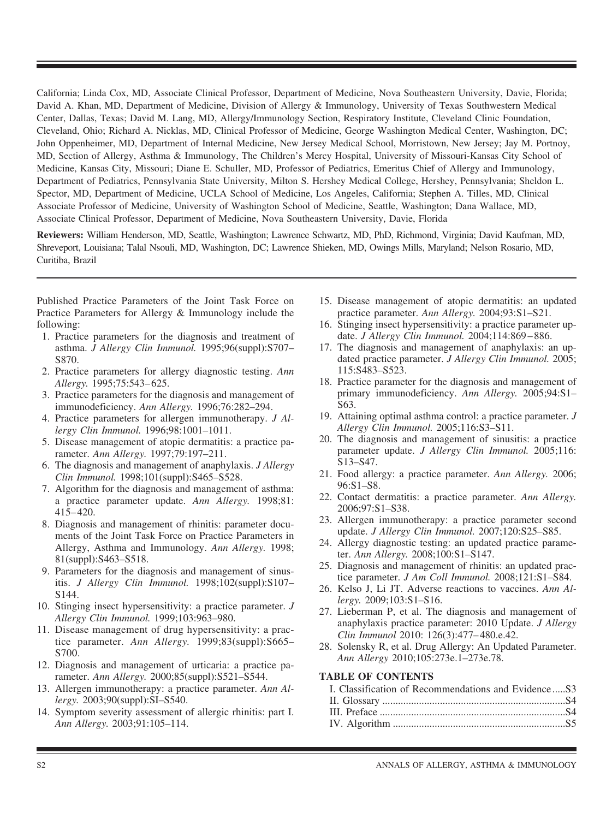California; Linda Cox, MD, Associate Clinical Professor, Department of Medicine, Nova Southeastern University, Davie, Florida; David A. Khan, MD, Department of Medicine, Division of Allergy & Immunology, University of Texas Southwestern Medical Center, Dallas, Texas; David M. Lang, MD, Allergy/Immunology Section, Respiratory Institute, Cleveland Clinic Foundation, Cleveland, Ohio; Richard A. Nicklas, MD, Clinical Professor of Medicine, George Washington Medical Center, Washington, DC; John Oppenheimer, MD, Department of Internal Medicine, New Jersey Medical School, Morristown, New Jersey; Jay M. Portnoy, MD, Section of Allergy, Asthma & Immunology, The Children's Mercy Hospital, University of Missouri-Kansas City School of Medicine, Kansas City, Missouri; Diane E. Schuller, MD, Professor of Pediatrics, Emeritus Chief of Allergy and Immunology, Department of Pediatrics, Pennsylvania State University, Milton S. Hershey Medical College, Hershey, Pennsylvania; Sheldon L. Spector, MD, Department of Medicine, UCLA School of Medicine, Los Angeles, California; Stephen A. Tilles, MD, Clinical Associate Professor of Medicine, University of Washington School of Medicine, Seattle, Washington; Dana Wallace, MD, Associate Clinical Professor, Department of Medicine, Nova Southeastern University, Davie, Florida

**Reviewers:** William Henderson, MD, Seattle, Washington; Lawrence Schwartz, MD, PhD, Richmond, Virginia; David Kaufman, MD, Shreveport, Louisiana; Talal Nsouli, MD, Washington, DC; Lawrence Shieken, MD, Owings Mills, Maryland; Nelson Rosario, MD, Curitiba, Brazil

Published Practice Parameters of the Joint Task Force on Practice Parameters for Allergy & Immunology include the following:

- 1. Practice parameters for the diagnosis and treatment of asthma. *J Allergy Clin Immunol.* 1995;96(suppl):S707– S870.
- 2. Practice parameters for allergy diagnostic testing. *Ann Allergy.* 1995;75:543– 625.
- 3. Practice parameters for the diagnosis and management of immunodeficiency. *Ann Allergy.* 1996;76:282–294.
- 4. Practice parameters for allergen immunotherapy. *J Allergy Clin Immunol.* 1996;98:1001–1011.
- 5. Disease management of atopic dermatitis: a practice parameter. *Ann Allergy.* 1997;79:197–211.
- 6. The diagnosis and management of anaphylaxis. *J Allergy Clin Immunol.* 1998;101(suppl):S465–S528.
- 7. Algorithm for the diagnosis and management of asthma: a practice parameter update. *Ann Allergy.* 1998;81: 415– 420.
- 8. Diagnosis and management of rhinitis: parameter documents of the Joint Task Force on Practice Parameters in Allergy, Asthma and Immunology. *Ann Allergy.* 1998; 81(suppl):S463–S518.
- 9. Parameters for the diagnosis and management of sinusitis. *J Allergy Clin Immunol.* 1998;102(suppl):S107– S144.
- 10. Stinging insect hypersensitivity: a practice parameter. *J Allergy Clin Immunol.* 1999;103:963–980.
- 11. Disease management of drug hypersensitivity: a practice parameter. *Ann Allergy.* 1999;83(suppl):S665– S700.
- 12. Diagnosis and management of urticaria: a practice parameter. *Ann Allergy.* 2000;85(suppl):S521–S544.
- 13. Allergen immunotherapy: a practice parameter. *Ann Allergy.* 2003;90(suppl):SI–S540.
- 14. Symptom severity assessment of allergic rhinitis: part I. *Ann Allergy.* 2003;91:105–114.
- 15. Disease management of atopic dermatitis: an updated practice parameter. *Ann Allergy.* 2004;93:S1–S21.
- 16. Stinging insect hypersensitivity: a practice parameter update. *J Allergy Clin Immunol.* 2004;114:869 – 886.
- 17. The diagnosis and management of anaphylaxis: an updated practice parameter. *J Allergy Clin Immunol.* 2005; 115:S483–S523.
- 18. Practice parameter for the diagnosis and management of primary immunodeficiency. *Ann Allergy.* 2005;94:S1– S63.
- 19. Attaining optimal asthma control: a practice parameter. *J Allergy Clin Immunol.* 2005;116:S3–S11.
- 20. The diagnosis and management of sinusitis: a practice parameter update. *J Allergy Clin Immunol.* 2005;116: S13–S47.
- 21. Food allergy: a practice parameter. *Ann Allergy.* 2006; 96:S1–S8.
- 22. Contact dermatitis: a practice parameter. *Ann Allergy.* 2006;97:S1–S38.
- 23. Allergen immunotherapy: a practice parameter second update. *J Allergy Clin Immunol.* 2007;120:S25–S85.
- 24. Allergy diagnostic testing: an updated practice parameter. *Ann Allergy.* 2008;100:S1–S147.
- 25. Diagnosis and management of rhinitis: an updated practice parameter. *J Am Coll Immunol.* 2008;121:S1–S84.
- 26. Kelso J, Li JT. Adverse reactions to vaccines. *Ann Allergy.* 2009;103:S1–S16.
- 27. Lieberman P, et al. The diagnosis and management of anaphylaxis practice parameter: 2010 Update. *J Allergy Clin Immunol* 2010: 126(3):477– 480.e.42.
- 28. Solensky R, et al. Drug Allergy: An Updated Parameter. *Ann Allergy* 2010;105:273e.1–273e.78.

## **TABLE OF CONTENTS**

| I. Classification of Recommendations and EvidenceS3 |  |
|-----------------------------------------------------|--|
|                                                     |  |
|                                                     |  |
|                                                     |  |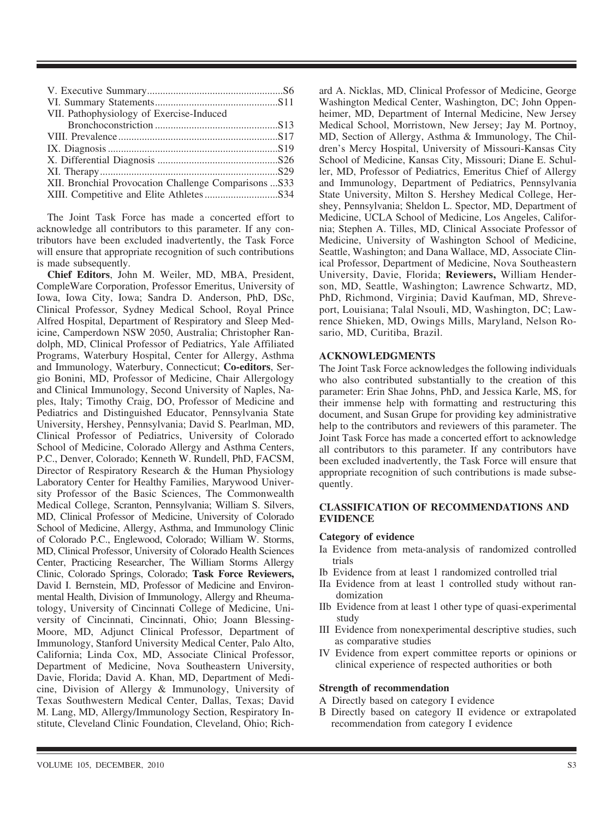| VII. Pathophysiology of Exercise-Induced              |  |
|-------------------------------------------------------|--|
|                                                       |  |
|                                                       |  |
|                                                       |  |
|                                                       |  |
|                                                       |  |
| XII. Bronchial Provocation Challenge Comparisons  S33 |  |
|                                                       |  |

The Joint Task Force has made a concerted effort to acknowledge all contributors to this parameter. If any contributors have been excluded inadvertently, the Task Force will ensure that appropriate recognition of such contributions is made subsequently.

**Chief Editors**, John M. Weiler, MD, MBA, President, CompleWare Corporation, Professor Emeritus, University of Iowa, Iowa City, Iowa; Sandra D. Anderson, PhD, DSc, Clinical Professor, Sydney Medical School, Royal Prince Alfred Hospital, Department of Respiratory and Sleep Medicine, Camperdown NSW 2050, Australia; Christopher Randolph, MD, Clinical Professor of Pediatrics, Yale Affiliated Programs, Waterbury Hospital, Center for Allergy, Asthma and Immunology, Waterbury, Connecticut; **Co-editors**, Sergio Bonini, MD, Professor of Medicine, Chair Allergology and Clinical Immunology, Second University of Naples, Naples, Italy; Timothy Craig, DO, Professor of Medicine and Pediatrics and Distinguished Educator, Pennsylvania State University, Hershey, Pennsylvania; David S. Pearlman, MD, Clinical Professor of Pediatrics, University of Colorado School of Medicine, Colorado Allergy and Asthma Centers, P.C., Denver, Colorado; Kenneth W. Rundell, PhD, FACSM, Director of Respiratory Research & the Human Physiology Laboratory Center for Healthy Families, Marywood University Professor of the Basic Sciences, The Commonwealth Medical College, Scranton, Pennsylvania; William S. Silvers, MD, Clinical Professor of Medicine, University of Colorado School of Medicine, Allergy, Asthma, and Immunology Clinic of Colorado P.C., Englewood, Colorado; William W. Storms, MD, Clinical Professor, University of Colorado Health Sciences Center, Practicing Researcher, The William Storms Allergy Clinic, Colorado Springs, Colorado; **Task Force Reviewers,** David I. Bernstein, MD, Professor of Medicine and Environmental Health, Division of Immunology, Allergy and Rheumatology, University of Cincinnati College of Medicine, University of Cincinnati, Cincinnati, Ohio; Joann Blessing-Moore, MD, Adjunct Clinical Professor, Department of Immunology, Stanford University Medical Center, Palo Alto, California; Linda Cox, MD, Associate Clinical Professor, Department of Medicine, Nova Southeastern University, Davie, Florida; David A. Khan, MD, Department of Medicine, Division of Allergy & Immunology, University of Texas Southwestern Medical Center, Dallas, Texas; David M. Lang, MD, Allergy/Immunology Section, Respiratory Institute, Cleveland Clinic Foundation, Cleveland, Ohio; Richard A. Nicklas, MD, Clinical Professor of Medicine, George Washington Medical Center, Washington, DC; John Oppenheimer, MD, Department of Internal Medicine, New Jersey Medical School, Morristown, New Jersey; Jay M. Portnoy, MD, Section of Allergy, Asthma & Immunology, The Children's Mercy Hospital, University of Missouri-Kansas City School of Medicine, Kansas City, Missouri; Diane E. Schuller, MD, Professor of Pediatrics, Emeritus Chief of Allergy and Immunology, Department of Pediatrics, Pennsylvania State University, Milton S. Hershey Medical College, Hershey, Pennsylvania; Sheldon L. Spector, MD, Department of Medicine, UCLA School of Medicine, Los Angeles, California; Stephen A. Tilles, MD, Clinical Associate Professor of Medicine, University of Washington School of Medicine, Seattle, Washington; and Dana Wallace, MD, Associate Clinical Professor, Department of Medicine, Nova Southeastern University, Davie, Florida; **Reviewers,** William Henderson, MD, Seattle, Washington; Lawrence Schwartz, MD, PhD, Richmond, Virginia; David Kaufman, MD, Shreveport, Louisiana; Talal Nsouli, MD, Washington, DC; Lawrence Shieken, MD, Owings Mills, Maryland, Nelson Rosario, MD, Curitiba, Brazil.

#### **ACKNOWLEDGMENTS**

The Joint Task Force acknowledges the following individuals who also contributed substantially to the creation of this parameter: Erin Shae Johns, PhD, and Jessica Karle, MS, for their immense help with formatting and restructuring this document, and Susan Grupe for providing key administrative help to the contributors and reviewers of this parameter. The Joint Task Force has made a concerted effort to acknowledge all contributors to this parameter. If any contributors have been excluded inadvertently, the Task Force will ensure that appropriate recognition of such contributions is made subsequently.

#### **CLASSIFICATION OF RECOMMENDATIONS AND EVIDENCE**

#### **Category of evidence**

- Ia Evidence from meta-analysis of randomized controlled trials
- Ib Evidence from at least 1 randomized controlled trial
- IIa Evidence from at least 1 controlled study without randomization
- IIb Evidence from at least 1 other type of quasi-experimental study
- III Evidence from nonexperimental descriptive studies, such as comparative studies
- IV Evidence from expert committee reports or opinions or clinical experience of respected authorities or both

#### **Strength of recommendation**

- A Directly based on category I evidence
- B Directly based on category II evidence or extrapolated recommendation from category I evidence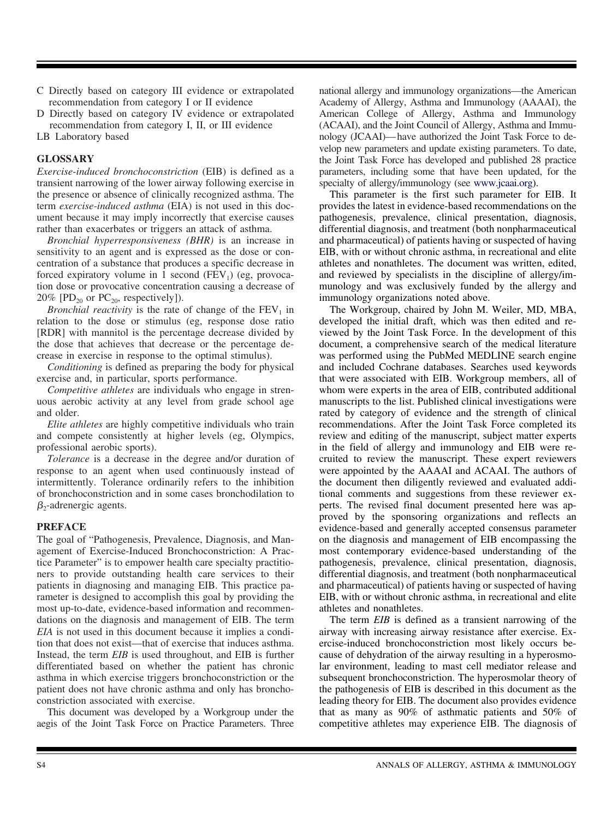- C Directly based on category III evidence or extrapolated recommendation from category I or II evidence
- D Directly based on category IV evidence or extrapolated recommendation from category I, II, or III evidence
- LB Laboratory based

## **GLOSSARY**

*Exercise-induced bronchoconstriction* (EIB) is defined as a transient narrowing of the lower airway following exercise in the presence or absence of clinically recognized asthma. The term *exercise-induced asthma* (EIA) is not used in this document because it may imply incorrectly that exercise causes rather than exacerbates or triggers an attack of asthma.

*Bronchial hyperresponsiveness (BHR)* is an increase in sensitivity to an agent and is expressed as the dose or concentration of a substance that produces a specific decrease in forced expiratory volume in 1 second  $(FEV_1)$  (eg, provocation dose or provocative concentration causing a decrease of 20%  $[PD_{20}$  or  $PC_{20}$ , respectively]).

*Bronchial reactivity* is the rate of change of the  $FEV<sub>1</sub>$  in relation to the dose or stimulus (eg, response dose ratio [RDR] with mannitol is the percentage decrease divided by the dose that achieves that decrease or the percentage decrease in exercise in response to the optimal stimulus).

*Conditioning* is defined as preparing the body for physical exercise and, in particular, sports performance.

*Competitive athletes* are individuals who engage in strenuous aerobic activity at any level from grade school age and older.

*Elite athletes* are highly competitive individuals who train and compete consistently at higher levels (eg, Olympics, professional aerobic sports).

*Tolerance* is a decrease in the degree and/or duration of response to an agent when used continuously instead of intermittently. Tolerance ordinarily refers to the inhibition of bronchoconstriction and in some cases bronchodilation to  $\beta_2$ -adrenergic agents.

#### **PREFACE**

The goal of "Pathogenesis, Prevalence, Diagnosis, and Management of Exercise-Induced Bronchoconstriction: A Practice Parameter" is to empower health care specialty practitioners to provide outstanding health care services to their patients in diagnosing and managing EIB. This practice parameter is designed to accomplish this goal by providing the most up-to-date, evidence-based information and recommendations on the diagnosis and management of EIB. The term *EIA* is not used in this document because it implies a condition that does not exist—that of exercise that induces asthma. Instead, the term *EIB* is used throughout, and EIB is further differentiated based on whether the patient has chronic asthma in which exercise triggers bronchoconstriction or the patient does not have chronic asthma and only has bronchoconstriction associated with exercise.

This document was developed by a Workgroup under the aegis of the Joint Task Force on Practice Parameters. Three national allergy and immunology organizations—the American Academy of Allergy, Asthma and Immunology (AAAAI), the American College of Allergy, Asthma and Immunology (ACAAI), and the Joint Council of Allergy, Asthma and Immunology (JCAAI)— have authorized the Joint Task Force to develop new parameters and update existing parameters. To date, the Joint Task Force has developed and published 28 practice parameters, including some that have been updated, for the specialty of allergy/immunology (see [www.jcaai.org\)](http://www.jcaai.org).

This parameter is the first such parameter for EIB. It provides the latest in evidence-based recommendations on the pathogenesis, prevalence, clinical presentation, diagnosis, differential diagnosis, and treatment (both nonpharmaceutical and pharmaceutical) of patients having or suspected of having EIB, with or without chronic asthma, in recreational and elite athletes and nonathletes. The document was written, edited, and reviewed by specialists in the discipline of allergy/immunology and was exclusively funded by the allergy and immunology organizations noted above.

The Workgroup, chaired by John M. Weiler, MD, MBA, developed the initial draft, which was then edited and reviewed by the Joint Task Force. In the development of this document, a comprehensive search of the medical literature was performed using the PubMed MEDLINE search engine and included Cochrane databases. Searches used keywords that were associated with EIB. Workgroup members, all of whom were experts in the area of EIB, contributed additional manuscripts to the list. Published clinical investigations were rated by category of evidence and the strength of clinical recommendations. After the Joint Task Force completed its review and editing of the manuscript, subject matter experts in the field of allergy and immunology and EIB were recruited to review the manuscript. These expert reviewers were appointed by the AAAAI and ACAAI. The authors of the document then diligently reviewed and evaluated additional comments and suggestions from these reviewer experts. The revised final document presented here was approved by the sponsoring organizations and reflects an evidence-based and generally accepted consensus parameter on the diagnosis and management of EIB encompassing the most contemporary evidence-based understanding of the pathogenesis, prevalence, clinical presentation, diagnosis, differential diagnosis, and treatment (both nonpharmaceutical and pharmaceutical) of patients having or suspected of having EIB, with or without chronic asthma, in recreational and elite athletes and nonathletes.

The term *EIB* is defined as a transient narrowing of the airway with increasing airway resistance after exercise. Exercise-induced bronchoconstriction most likely occurs because of dehydration of the airway resulting in a hyperosmolar environment, leading to mast cell mediator release and subsequent bronchoconstriction. The hyperosmolar theory of the pathogenesis of EIB is described in this document as the leading theory for EIB. The document also provides evidence that as many as 90% of asthmatic patients and 50% of competitive athletes may experience EIB. The diagnosis of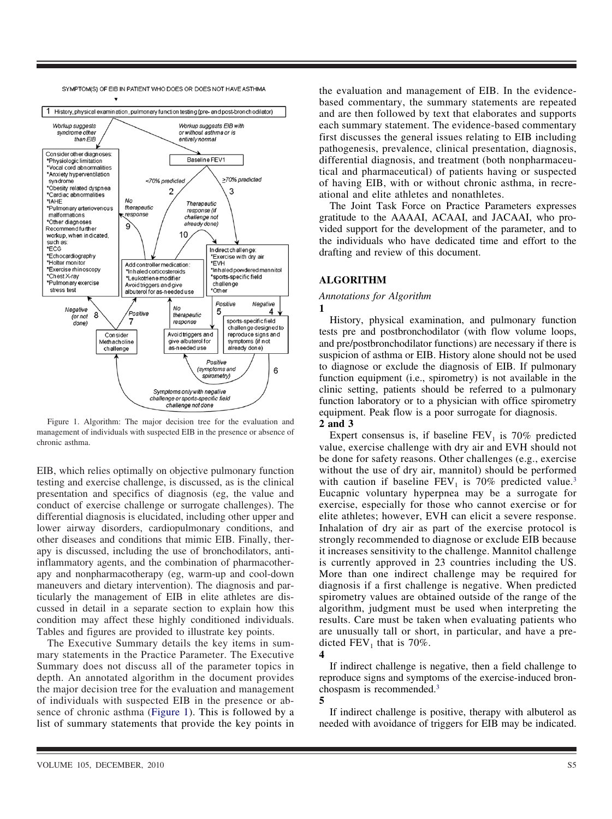



Figure 1. Algorithm: The major decision tree for the evaluation and management of individuals with suspected EIB in the presence or absence of chronic asthma.

EIB, which relies optimally on objective pulmonary function testing and exercise challenge, is discussed, as is the clinical presentation and specifics of diagnosis (eg, the value and conduct of exercise challenge or surrogate challenges). The differential diagnosis is elucidated, including other upper and lower airway disorders, cardiopulmonary conditions, and other diseases and conditions that mimic EIB. Finally, therapy is discussed, including the use of bronchodilators, antiinflammatory agents, and the combination of pharmacotherapy and nonpharmacotherapy (eg, warm-up and cool-down maneuvers and dietary intervention). The diagnosis and particularly the management of EIB in elite athletes are discussed in detail in a separate section to explain how this condition may affect these highly conditioned individuals. Tables and figures are provided to illustrate key points.

The Executive Summary details the key items in summary statements in the Practice Parameter. The Executive Summary does not discuss all of the parameter topics in depth. An annotated algorithm in the document provides the major decision tree for the evaluation and management of individuals with suspected EIB in the presence or absence of chronic asthma (Figure 1). This is followed by a list of summary statements that provide the key points in the evaluation and management of EIB. In the evidencebased commentary, the summary statements are repeated and are then followed by text that elaborates and supports each summary statement. The evidence-based commentary first discusses the general issues relating to EIB including pathogenesis, prevalence, clinical presentation, diagnosis, differential diagnosis, and treatment (both nonpharmaceutical and pharmaceutical) of patients having or suspected of having EIB, with or without chronic asthma, in recreational and elite athletes and nonathletes.

The Joint Task Force on Practice Parameters expresses gratitude to the AAAAI, ACAAI, and JACAAI, who provided support for the development of the parameter, and to the individuals who have dedicated time and effort to the drafting and review of this document.

#### **ALGORITHM**

#### *Annotations for Algorithm* **1**

History, physical examination, and pulmonary function tests pre and postbronchodilator (with flow volume loops, and pre/postbronchodilator functions) are necessary if there is suspicion of asthma or EIB. History alone should not be used to diagnose or exclude the diagnosis of EIB. If pulmonary function equipment (i.e., spirometry) is not available in the clinic setting, patients should be referred to a pulmonary function laboratory or to a physician with office spirometry equipment. Peak flow is a poor surrogate for diagnosis. **2 and 3**

Expert consensus is, if baseline  $FEV<sub>1</sub>$  is 70% predicted value, exercise challenge with dry air and EVH should not be done for safety reasons. Other challenges (e.g., exercise without the use of dry air, mannitol) should be performed with caution if baseline  $FEV<sub>1</sub>$  is 70% predicted value.<sup>3</sup> Eucapnic voluntary hyperpnea may be a surrogate for exercise, especially for those who cannot exercise or for elite athletes; however, EVH can elicit a severe response. Inhalation of dry air as part of the exercise protocol is strongly recommended to diagnose or exclude EIB because it increases sensitivity to the challenge. Mannitol challenge is currently approved in 23 countries including the US. More than one indirect challenge may be required for diagnosis if a first challenge is negative. When predicted spirometry values are obtained outside of the range of the algorithm, judgment must be used when interpreting the results. Care must be taken when evaluating patients who are unusually tall or short, in particular, and have a predicted  $FEV_1$  that is 70%. **4**

If indirect challenge is negative, then a field challenge to reproduce signs and symptoms of the exercise-induced bronchospasm is recommended.3 **5**

If indirect challenge is positive, therapy with albuterol as needed with avoidance of triggers for EIB may be indicated.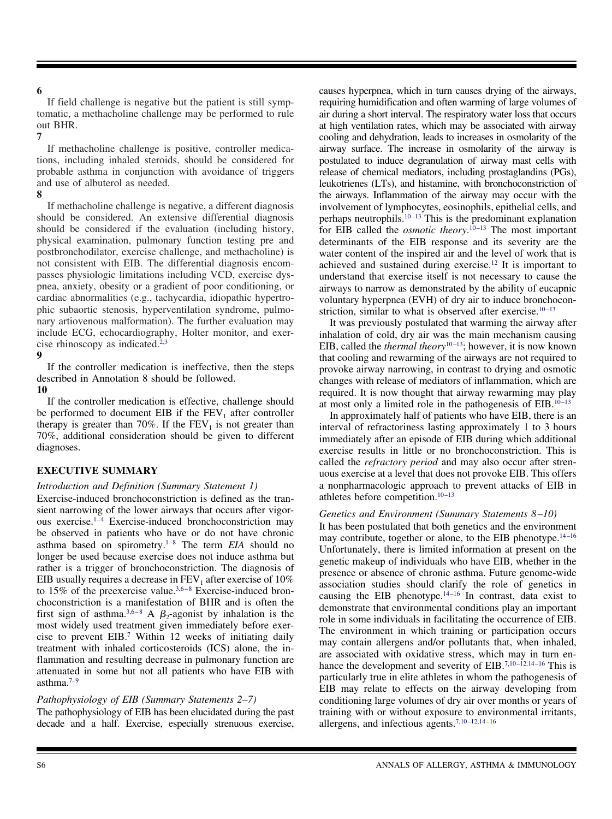**6**

If field challenge is negative but the patient is still symptomatic, a methacholine challenge may be performed to rule out BHR.

**7**

If methacholine challenge is positive, controller medications, including inhaled steroids, should be considered for probable asthma in conjunction with avoidance of triggers and use of albuterol as needed.

#### **8**

If methacholine challenge is negative, a different diagnosis should be considered. An extensive differential diagnosis should be considered if the evaluation (including history, physical examination, pulmonary function testing pre and postbronchodilator, exercise challenge, and methacholine) is not consistent with EIB. The differential diagnosis encompasses physiologic limitations including VCD, exercise dyspnea, anxiety, obesity or a gradient of poor conditioning, or cardiac abnormalities (e.g., tachycardia, idiopathic hypertrophic subaortic stenosis, hyperventilation syndrome, pulmonary artiovenous malformation). The further evaluation may include ECG, echocardiography, Holter monitor, and exercise rhinoscopy as indicated.<sup>2,3</sup>

#### **9**

If the controller medication is ineffective, then the steps described in Annotation 8 should be followed.

#### **10**

If the controller medication is effective, challenge should be performed to document EIB if the  $FEV<sub>1</sub>$  after controller therapy is greater than 70%. If the  $FEV<sub>1</sub>$  is not greater than 70%, additional consideration should be given to different diagnoses.

#### **EXECUTIVE SUMMARY**

#### *Introduction and Definition (Summary Statement 1)*

Exercise-induced bronchoconstriction is defined as the transient narrowing of the lower airways that occurs after vigorous exercise.<sup>1–4</sup> Exercise-induced bronchoconstriction may be observed in patients who have or do not have chronic asthma based on spirometry.<sup>1–8</sup> The term  $EIA$  should no longer be used because exercise does not induce asthma but rather is a trigger of bronchoconstriction. The diagnosis of EIB usually requires a decrease in  $FEV_1$  after exercise of  $10\%$ to 15% of the preexercise value.<sup>3,6-8</sup> Exercise-induced bronchoconstriction is a manifestation of BHR and is often the first sign of asthma.<sup>3,6-8</sup> A  $\beta_2$ -agonist by inhalation is the most widely used treatment given immediately before exercise to prevent EIB.7 Within 12 weeks of initiating daily treatment with inhaled corticosteroids (ICS) alone, the inflammation and resulting decrease in pulmonary function are attenuated in some but not all patients who have EIB with asthma. $7-9$ 

#### *Pathophysiology of EIB (Summary Statements 2–7)*

The pathophysiology of EIB has been elucidated during the past decade and a half. Exercise, especially strenuous exercise, causes hyperpnea, which in turn causes drying of the airways, requiring humidification and often warming of large volumes of air during a short interval. The respiratory water loss that occurs at high ventilation rates, which may be associated with airway cooling and dehydration, leads to increases in osmolarity of the airway surface. The increase in osmolarity of the airway is postulated to induce degranulation of airway mast cells with release of chemical mediators, including prostaglandins (PGs), leukotrienes (LTs), and histamine, with bronchoconstriction of the airways. Inflammation of the airway may occur with the involvement of lymphocytes, eosinophils, epithelial cells, and perhaps neutrophils.<sup>10-13</sup> This is the predominant explanation for EIB called the *osmotic theory*.<sup>10-13</sup> The most important determinants of the EIB response and its severity are the water content of the inspired air and the level of work that is achieved and sustained during exercise.12 It is important to understand that exercise itself is not necessary to cause the airways to narrow as demonstrated by the ability of eucapnic voluntary hyperpnea (EVH) of dry air to induce bronchoconstriction, similar to what is observed after exercise. $10-13$ 

It was previously postulated that warming the airway after inhalation of cold, dry air was the main mechanism causing EIB, called the *thermal theory*<sup>10-13</sup>; however, it is now known that cooling and rewarming of the airways are not required to provoke airway narrowing, in contrast to drying and osmotic changes with release of mediators of inflammation, which are required. It is now thought that airway rewarming may play at most only a limited role in the pathogenesis of  $EIB$ .<sup>10-13</sup>

In approximately half of patients who have EIB, there is an interval of refractoriness lasting approximately 1 to 3 hours immediately after an episode of EIB during which additional exercise results in little or no bronchoconstriction. This is called the *refractory period* and may also occur after strenuous exercise at a level that does not provoke EIB. This offers a nonpharmacologic approach to prevent attacks of EIB in athletes before competition. $10-13$ 

#### *Genetics and Environment (Summary Statements 8 –10)*

It has been postulated that both genetics and the environment may contribute, together or alone, to the EIB phenotype. $14-16$ Unfortunately, there is limited information at present on the genetic makeup of individuals who have EIB, whether in the presence or absence of chronic asthma. Future genome-wide association studies should clarify the role of genetics in causing the EIB phenotype. $14-16$  In contrast, data exist to demonstrate that environmental conditions play an important role in some individuals in facilitating the occurrence of EIB. The environment in which training or participation occurs may contain allergens and/or pollutants that, when inhaled, are associated with oxidative stress, which may in turn enhance the development and severity of EIB.<sup>7,10-12,14-16</sup> This is particularly true in elite athletes in whom the pathogenesis of EIB may relate to effects on the airway developing from conditioning large volumes of dry air over months or years of training with or without exposure to environmental irritants, allergens, and infectious agents.<sup>7,10-12,14-16</sup>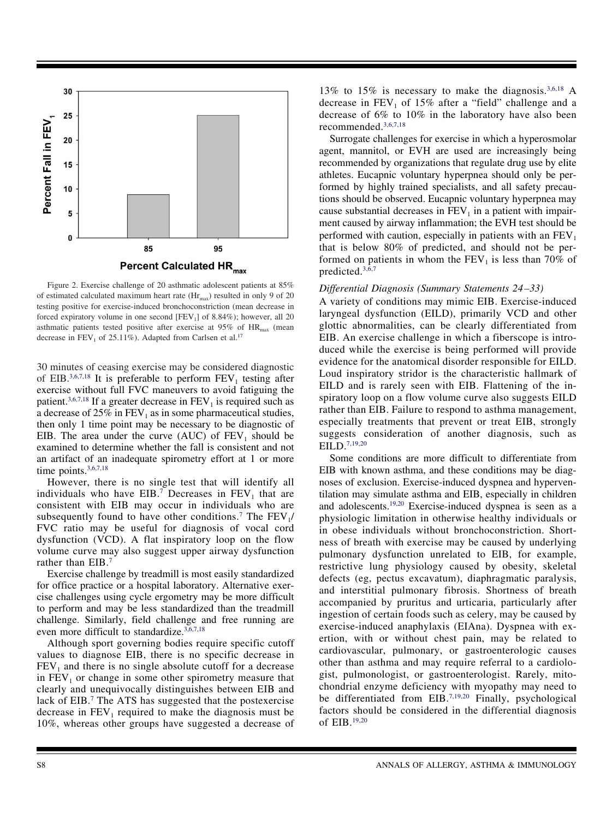

Figure 2. Exercise challenge of 20 asthmatic adolescent patients at 85% of estimated calculated maximum heart rate  $(Hr_{max})$  resulted in only 9 of 20 testing positive for exercise-induced bronchoconstriction (mean decrease in forced expiratory volume in one second  $[FEV<sub>1</sub>]$  of 8.84%); however, all 20 asthmatic patients tested positive after exercise at  $95\%$  of  $HR_{max}$  (mean decrease in  $FEV_1$  of 25.11%). Adapted from Carlsen et al.<sup>17</sup>

30 minutes of ceasing exercise may be considered diagnostic of EIB.<sup>3,6,7,18</sup> It is preferable to perform  $FEV_1$  testing after exercise without full FVC maneuvers to avoid fatiguing the patient.<sup>3,6,7,18</sup> If a greater decrease in  $FEV<sub>1</sub>$  is required such as a decrease of  $25\%$  in  $FEV<sub>1</sub>$  as in some pharmaceutical studies, then only 1 time point may be necessary to be diagnostic of EIB. The area under the curve (AUC) of  $FEV<sub>1</sub>$  should be examined to determine whether the fall is consistent and not an artifact of an inadequate spirometry effort at 1 or more time points.<sup>3,6,7,18</sup>

However, there is no single test that will identify all individuals who have  $EIB.<sup>7</sup>$  Decreases in  $FEV<sub>1</sub>$  that are consistent with EIB may occur in individuals who are subsequently found to have other conditions.<sup>7</sup> The  $FEV<sub>1</sub>/$ FVC ratio may be useful for diagnosis of vocal cord dysfunction (VCD). A flat inspiratory loop on the flow volume curve may also suggest upper airway dysfunction rather than EIB.<sup>7</sup>

Exercise challenge by treadmill is most easily standardized for office practice or a hospital laboratory. Alternative exercise challenges using cycle ergometry may be more difficult to perform and may be less standardized than the treadmill challenge. Similarly, field challenge and free running are even more difficult to standardize.<sup>3,6,7,18</sup>

Although sport governing bodies require specific cutoff values to diagnose EIB, there is no specific decrease in  $FEV<sub>1</sub>$  and there is no single absolute cutoff for a decrease in  $FEV<sub>1</sub>$  or change in some other spirometry measure that clearly and unequivocally distinguishes between EIB and lack of EIB.<sup>7</sup> The ATS has suggested that the postexercise decrease in  $FEV_1$  required to make the diagnosis must be 10%, whereas other groups have suggested a decrease of

13% to 15% is necessary to make the diagnosis.3,6,18 A decrease in  $FEV_1$  of 15% after a "field" challenge and a decrease of 6% to 10% in the laboratory have also been recommended.3,6,7,18

Surrogate challenges for exercise in which a hyperosmolar agent, mannitol, or EVH are used are increasingly being recommended by organizations that regulate drug use by elite athletes. Eucapnic voluntary hyperpnea should only be performed by highly trained specialists, and all safety precautions should be observed. Eucapnic voluntary hyperpnea may cause substantial decreases in  $FEV<sub>1</sub>$  in a patient with impairment caused by airway inflammation; the EVH test should be performed with caution, especially in patients with an  $FEV<sub>1</sub>$ that is below 80% of predicted, and should not be performed on patients in whom the  $FEV<sub>1</sub>$  is less than 70% of predicted.3,6,7

## *Differential Diagnosis (Summary Statements 24 –33)*

A variety of conditions may mimic EIB. Exercise-induced laryngeal dysfunction (EILD), primarily VCD and other glottic abnormalities, can be clearly differentiated from EIB. An exercise challenge in which a fiberscope is introduced while the exercise is being performed will provide evidence for the anatomical disorder responsible for EILD. Loud inspiratory stridor is the characteristic hallmark of EILD and is rarely seen with EIB. Flattening of the inspiratory loop on a flow volume curve also suggests EILD rather than EIB. Failure to respond to asthma management, especially treatments that prevent or treat EIB, strongly suggests consideration of another diagnosis, such as EILD.7,19,20

Some conditions are more difficult to differentiate from EIB with known asthma, and these conditions may be diagnoses of exclusion. Exercise-induced dyspnea and hyperventilation may simulate asthma and EIB, especially in children and adolescents.19,20 Exercise-induced dyspnea is seen as a physiologic limitation in otherwise healthy individuals or in obese individuals without bronchoconstriction. Shortness of breath with exercise may be caused by underlying pulmonary dysfunction unrelated to EIB, for example, restrictive lung physiology caused by obesity, skeletal defects (eg, pectus excavatum), diaphragmatic paralysis, and interstitial pulmonary fibrosis. Shortness of breath accompanied by pruritus and urticaria, particularly after ingestion of certain foods such as celery, may be caused by exercise-induced anaphylaxis (EIAna). Dyspnea with exertion, with or without chest pain, may be related to cardiovascular, pulmonary, or gastroenterologic causes other than asthma and may require referral to a cardiologist, pulmonologist, or gastroenterologist. Rarely, mitochondrial enzyme deficiency with myopathy may need to be differentiated from EIB.7,19,20 Finally, psychological factors should be considered in the differential diagnosis of EIB.19,20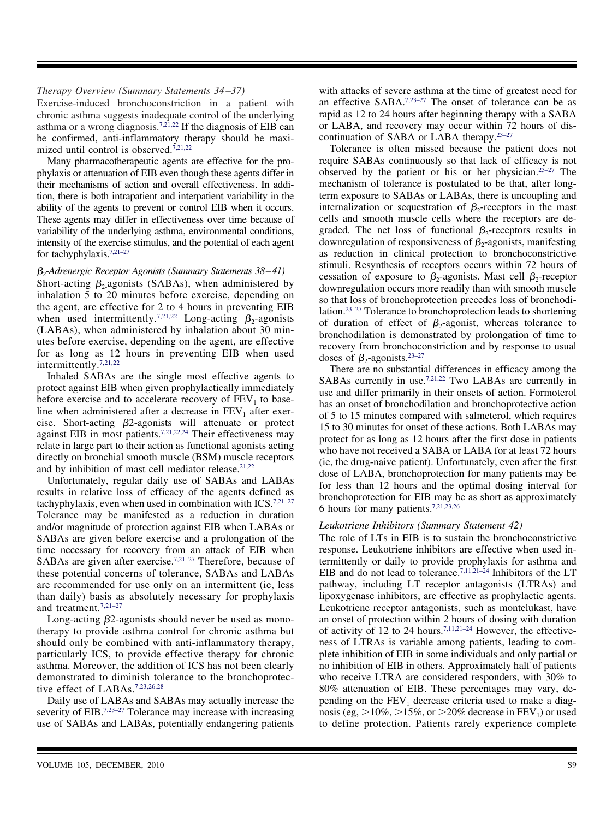#### *Therapy Overview (Summary Statements 34 –37)*

Exercise-induced bronchoconstriction in a patient with chronic asthma suggests inadequate control of the underlying asthma or a wrong diagnosis.<sup>7,21,22</sup> If the diagnosis of EIB can be confirmed, anti-inflammatory therapy should be maximized until control is observed.<sup>7,21,22</sup>

Many pharmacotherapeutic agents are effective for the prophylaxis or attenuation of EIB even though these agents differ in their mechanisms of action and overall effectiveness. In addition, there is both intrapatient and interpatient variability in the ability of the agents to prevent or control EIB when it occurs. These agents may differ in effectiveness over time because of variability of the underlying asthma, environmental conditions, intensity of the exercise stimulus, and the potential of each agent for tachyphylaxis.7,21–27

#### *2-Adrenergic Receptor Agonists (Summary Statements 38–41)*

Short-acting  $\beta_2$  agonists (SABAs), when administered by inhalation 5 to 20 minutes before exercise, depending on the agent, are effective for 2 to 4 hours in preventing EIB when used intermittently.<sup>7,21,22</sup> Long-acting  $\beta_2$ -agonists (LABAs), when administered by inhalation about 30 minutes before exercise, depending on the agent, are effective for as long as 12 hours in preventing EIB when used intermittently.7,21,22

Inhaled SABAs are the single most effective agents to protect against EIB when given prophylactically immediately before exercise and to accelerate recovery of  $FEV<sub>1</sub>$  to baseline when administered after a decrease in  $FEV<sub>1</sub>$  after exercise. Short-acting  $\beta$ 2-agonists will attenuate or protect against EIB in most patients.<sup>7,21,22,24</sup> Their effectiveness may relate in large part to their action as functional agonists acting directly on bronchial smooth muscle (BSM) muscle receptors and by inhibition of mast cell mediator release.<sup>21,22</sup>

Unfortunately, regular daily use of SABAs and LABAs results in relative loss of efficacy of the agents defined as tachyphylaxis, even when used in combination with ICS.<sup>7,21–27</sup> Tolerance may be manifested as a reduction in duration and/or magnitude of protection against EIB when LABAs or SABAs are given before exercise and a prolongation of the time necessary for recovery from an attack of EIB when SABAs are given after exercise.<sup>7,21-27</sup> Therefore, because of these potential concerns of tolerance, SABAs and LABAs are recommended for use only on an intermittent (ie, less than daily) basis as absolutely necessary for prophylaxis and treatment.7,21–27

Long-acting  $\beta$ 2-agonists should never be used as monotherapy to provide asthma control for chronic asthma but should only be combined with anti-inflammatory therapy, particularly ICS, to provide effective therapy for chronic asthma. Moreover, the addition of ICS has not been clearly demonstrated to diminish tolerance to the bronchoprotective effect of LABAs.7,23,26,28

Daily use of LABAs and SABAs may actually increase the severity of EIB.<sup>7,23–27</sup> Tolerance may increase with increasing use of SABAs and LABAs, potentially endangering patients

with attacks of severe asthma at the time of greatest need for an effective SABA.7,23–27 The onset of tolerance can be as rapid as 12 to 24 hours after beginning therapy with a SABA or LABA, and recovery may occur within 72 hours of discontinuation of SABA or LABA therapy.23–27

Tolerance is often missed because the patient does not require SABAs continuously so that lack of efficacy is not observed by the patient or his or her physician.<sup>23-27</sup> The mechanism of tolerance is postulated to be that, after longterm exposure to SABAs or LABAs, there is uncoupling and internalization or sequestration of  $\beta_2$ -receptors in the mast cells and smooth muscle cells where the receptors are degraded. The net loss of functional  $\beta_2$ -receptors results in downregulation of responsiveness of  $\beta_2$ -agonists, manifesting as reduction in clinical protection to bronchoconstrictive stimuli. Resynthesis of receptors occurs within 72 hours of cessation of exposure to  $\beta_2$ -agonists. Mast cell  $\beta_2$ -receptor downregulation occurs more readily than with smooth muscle so that loss of bronchoprotection precedes loss of bronchodilation.23–27 Tolerance to bronchoprotection leads to shortening of duration of effect of  $\beta_2$ -agonist, whereas tolerance to bronchodilation is demonstrated by prolongation of time to recovery from bronchoconstriction and by response to usual doses of  $\beta_2$ -agonists.<sup>23–27</sup>

There are no substantial differences in efficacy among the SABAs currently in use.<sup>7,21,22</sup> Two LABAs are currently in use and differ primarily in their onsets of action. Formoterol has an onset of bronchodilation and bronchoprotective action of 5 to 15 minutes compared with salmeterol, which requires 15 to 30 minutes for onset of these actions. Both LABAs may protect for as long as 12 hours after the first dose in patients who have not received a SABA or LABA for at least 72 hours (ie, the drug-naive patient). Unfortunately, even after the first dose of LABA, bronchoprotection for many patients may be for less than 12 hours and the optimal dosing interval for bronchoprotection for EIB may be as short as approximately 6 hours for many patients.7,21,23,26

#### *Leukotriene Inhibitors (Summary Statement 42)*

The role of LTs in EIB is to sustain the bronchoconstrictive response. Leukotriene inhibitors are effective when used intermittently or daily to provide prophylaxis for asthma and EIB and do not lead to tolerance.<sup>7,11,21–24</sup> Inhibitors of the LT pathway, including LT receptor antagonists (LTRAs) and lipoxygenase inhibitors, are effective as prophylactic agents. Leukotriene receptor antagonists, such as montelukast, have an onset of protection within 2 hours of dosing with duration of activity of 12 to 24 hours.<sup>7,11,21-24</sup> However, the effectiveness of LTRAs is variable among patients, leading to complete inhibition of EIB in some individuals and only partial or no inhibition of EIB in others. Approximately half of patients who receive LTRA are considered responders, with 30% to 80% attenuation of EIB. These percentages may vary, depending on the  $FEV<sub>1</sub>$  decrease criteria used to make a diagnosis (eg,  $>10\%$ ,  $>15\%$ , or  $>20\%$  decrease in FEV<sub>1</sub>) or used to define protection. Patients rarely experience complete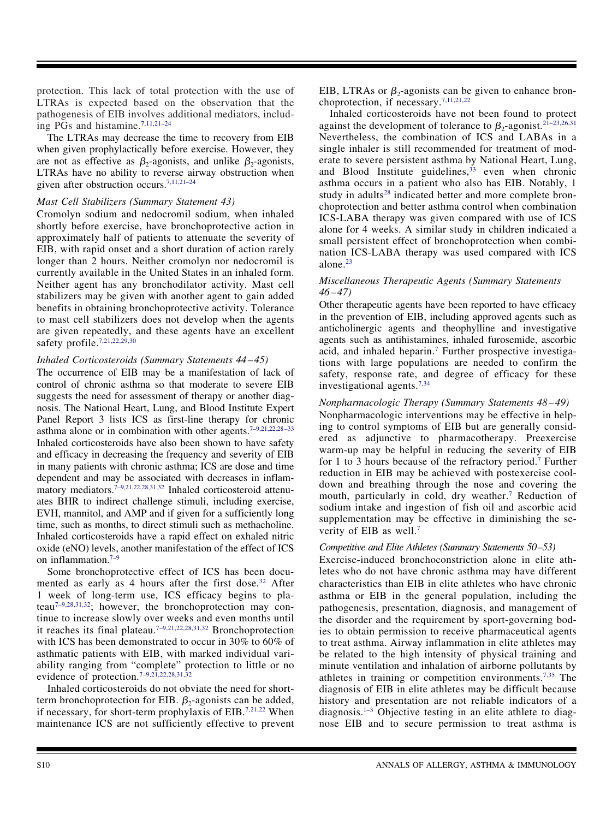protection. This lack of total protection with the use of LTRAs is expected based on the observation that the pathogenesis of EIB involves additional mediators, including PGs and histamine.7,11,21–24

The LTRAs may decrease the time to recovery from EIB when given prophylactically before exercise. However, they are not as effective as  $\beta_2$ -agonists, and unlike  $\beta_2$ -agonists, LTRAs have no ability to reverse airway obstruction when given after obstruction occurs.7,11,21–24

## *Mast Cell Stabilizers (Summary Statement 43)*

Cromolyn sodium and nedocromil sodium, when inhaled shortly before exercise, have bronchoprotective action in approximately half of patients to attenuate the severity of EIB, with rapid onset and a short duration of action rarely longer than 2 hours. Neither cromolyn nor nedocromil is currently available in the United States in an inhaled form. Neither agent has any bronchodilator activity. Mast cell stabilizers may be given with another agent to gain added benefits in obtaining bronchoprotective activity. Tolerance to mast cell stabilizers does not develop when the agents are given repeatedly, and these agents have an excellent safety profile.<sup>7,21,22,29,30</sup>

## *Inhaled Corticosteroids (Summary Statements 44 – 45)*

The occurrence of EIB may be a manifestation of lack of control of chronic asthma so that moderate to severe EIB suggests the need for assessment of therapy or another diagnosis. The National Heart, Lung, and Blood Institute Expert Panel Report 3 lists ICS as first-line therapy for chronic asthma alone or in combination with other agents.<sup>7-9,21,22,28-33</sup> Inhaled corticosteroids have also been shown to have safety and efficacy in decreasing the frequency and severity of EIB in many patients with chronic asthma; ICS are dose and time dependent and may be associated with decreases in inflammatory mediators.<sup>7–9,21,22,28,31,32</sup> Inhaled corticosteroid attenuates BHR to indirect challenge stimuli, including exercise, EVH, mannitol, and AMP and if given for a sufficiently long time, such as months, to direct stimuli such as methacholine. Inhaled corticosteroids have a rapid effect on exhaled nitric oxide (eNO) levels, another manifestation of the effect of ICS on inflammation. $7-9$ 

Some bronchoprotective effect of ICS has been documented as early as 4 hours after the first dose.<sup>32</sup> After 1 week of long-term use, ICS efficacy begins to plateau7–9,28,31,32; however, the bronchoprotection may continue to increase slowly over weeks and even months until it reaches its final plateau.7–9,21,22,28,31,32 Bronchoprotection with ICS has been demonstrated to occur in 30% to 60% of asthmatic patients with EIB, with marked individual variability ranging from "complete" protection to little or no evidence of protection.7–9,21,22,28,31,32

Inhaled corticosteroids do not obviate the need for shortterm bronchoprotection for EIB.  $\beta_2$ -agonists can be added, if necessary, for short-term prophylaxis of EIB.<sup>7,21,22</sup> When maintenance ICS are not sufficiently effective to prevent EIB, LTRAs or  $\beta_2$ -agonists can be given to enhance bronchoprotection, if necessary.7,11,21,22

Inhaled corticosteroids have not been found to protect against the development of tolerance to  $\beta_2$ -agonist.<sup>21–23,26,31</sup> Nevertheless, the combination of ICS and LABAs in a single inhaler is still recommended for treatment of moderate to severe persistent asthma by National Heart, Lung, and Blood Institute guidelines, $33$  even when chronic asthma occurs in a patient who also has EIB. Notably, 1 study in adults<sup>28</sup> indicated better and more complete bronchoprotection and better asthma control when combination ICS-LABA therapy was given compared with use of ICS alone for 4 weeks. A similar study in children indicated a small persistent effect of bronchoprotection when combination ICS-LABA therapy was used compared with ICS alone.23

## *Miscellaneous Therapeutic Agents (Summary Statements 46 – 47)*

Other therapeutic agents have been reported to have efficacy in the prevention of EIB, including approved agents such as anticholinergic agents and theophylline and investigative agents such as antihistamines, inhaled furosemide, ascorbic acid, and inhaled heparin.7 Further prospective investigations with large populations are needed to confirm the safety, response rate, and degree of efficacy for these investigational agents.7,34

## *Nonpharmacologic Therapy (Summary Statements 48 – 49)*

Nonpharmacologic interventions may be effective in helping to control symptoms of EIB but are generally considered as adjunctive to pharmacotherapy. Preexercise warm-up may be helpful in reducing the severity of EIB for 1 to 3 hours because of the refractory period.7 Further reduction in EIB may be achieved with postexercise cooldown and breathing through the nose and covering the mouth, particularly in cold, dry weather.7 Reduction of sodium intake and ingestion of fish oil and ascorbic acid supplementation may be effective in diminishing the severity of EIB as well.<sup>7</sup>

#### *Competitive and Elite Athletes (Summary Statements 50–53)*

Exercise-induced bronchoconstriction alone in elite athletes who do not have chronic asthma may have different characteristics than EIB in elite athletes who have chronic asthma or EIB in the general population, including the pathogenesis, presentation, diagnosis, and management of the disorder and the requirement by sport-governing bodies to obtain permission to receive pharmaceutical agents to treat asthma. Airway inflammation in elite athletes may be related to the high intensity of physical training and minute ventilation and inhalation of airborne pollutants by athletes in training or competition environments.7,35 The diagnosis of EIB in elite athletes may be difficult because history and presentation are not reliable indicators of a diagnosis.1–3 Objective testing in an elite athlete to diagnose EIB and to secure permission to treat asthma is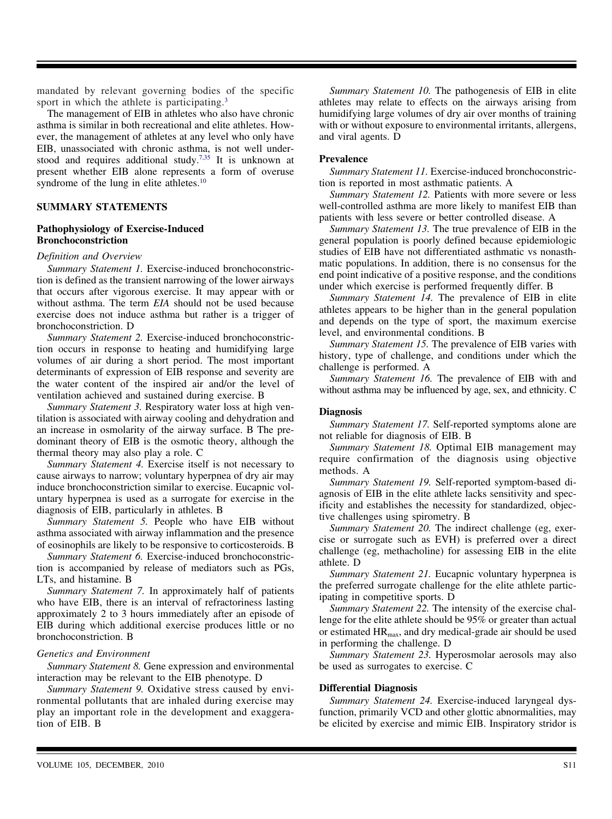mandated by relevant governing bodies of the specific sport in which the athlete is participating.<sup>3</sup>

The management of EIB in athletes who also have chronic asthma is similar in both recreational and elite athletes. However, the management of athletes at any level who only have EIB, unassociated with chronic asthma, is not well understood and requires additional study.7,35 It is unknown at present whether EIB alone represents a form of overuse syndrome of the lung in elite athletes.<sup>10</sup>

## **SUMMARY STATEMENTS**

## **Pathophysiology of Exercise-Induced Bronchoconstriction**

## *Definition and Overview*

*Summary Statement 1.* Exercise-induced bronchoconstriction is defined as the transient narrowing of the lower airways that occurs after vigorous exercise. It may appear with or without asthma. The term *EIA* should not be used because exercise does not induce asthma but rather is a trigger of bronchoconstriction. D

*Summary Statement 2.* Exercise-induced bronchoconstriction occurs in response to heating and humidifying large volumes of air during a short period. The most important determinants of expression of EIB response and severity are the water content of the inspired air and/or the level of ventilation achieved and sustained during exercise. B

*Summary Statement 3.* Respiratory water loss at high ventilation is associated with airway cooling and dehydration and an increase in osmolarity of the airway surface. B The predominant theory of EIB is the osmotic theory, although the thermal theory may also play a role. C

*Summary Statement 4.* Exercise itself is not necessary to cause airways to narrow; voluntary hyperpnea of dry air may induce bronchoconstriction similar to exercise. Eucapnic voluntary hyperpnea is used as a surrogate for exercise in the diagnosis of EIB, particularly in athletes. B

*Summary Statement 5.* People who have EIB without asthma associated with airway inflammation and the presence of eosinophils are likely to be responsive to corticosteroids. B

*Summary Statement 6.* Exercise-induced bronchoconstriction is accompanied by release of mediators such as PGs, LTs, and histamine. B

*Summary Statement 7.* In approximately half of patients who have EIB, there is an interval of refractoriness lasting approximately 2 to 3 hours immediately after an episode of EIB during which additional exercise produces little or no bronchoconstriction. B

## *Genetics and Environment*

*Summary Statement 8.* Gene expression and environmental interaction may be relevant to the EIB phenotype. D

*Summary Statement 9.* Oxidative stress caused by environmental pollutants that are inhaled during exercise may play an important role in the development and exaggeration of EIB. B

*Summary Statement 10.* The pathogenesis of EIB in elite athletes may relate to effects on the airways arising from humidifying large volumes of dry air over months of training with or without exposure to environmental irritants, allergens, and viral agents. D

## **Prevalence**

*Summary Statement 11.* Exercise-induced bronchoconstriction is reported in most asthmatic patients. A

*Summary Statement 12.* Patients with more severe or less well-controlled asthma are more likely to manifest EIB than patients with less severe or better controlled disease. A

*Summary Statement 13.* The true prevalence of EIB in the general population is poorly defined because epidemiologic studies of EIB have not differentiated asthmatic vs nonasthmatic populations. In addition, there is no consensus for the end point indicative of a positive response, and the conditions under which exercise is performed frequently differ. B

*Summary Statement 14.* The prevalence of EIB in elite athletes appears to be higher than in the general population and depends on the type of sport, the maximum exercise level, and environmental conditions. B

*Summary Statement 15.* The prevalence of EIB varies with history, type of challenge, and conditions under which the challenge is performed. A

*Summary Statement 16.* The prevalence of EIB with and without asthma may be influenced by age, sex, and ethnicity. C

#### **Diagnosis**

*Summary Statement 17.* Self-reported symptoms alone are not reliable for diagnosis of EIB. B

*Summary Statement 18.* Optimal EIB management may require confirmation of the diagnosis using objective methods. A

*Summary Statement 19.* Self-reported symptom-based diagnosis of EIB in the elite athlete lacks sensitivity and specificity and establishes the necessity for standardized, objective challenges using spirometry. B

*Summary Statement 20.* The indirect challenge (eg, exercise or surrogate such as EVH) is preferred over a direct challenge (eg, methacholine) for assessing EIB in the elite athlete. D

*Summary Statement 21.* Eucapnic voluntary hyperpnea is the preferred surrogate challenge for the elite athlete participating in competitive sports. D

*Summary Statement 22.* The intensity of the exercise challenge for the elite athlete should be 95% or greater than actual or estimated HR<sub>max</sub>, and dry medical-grade air should be used in performing the challenge. D

*Summary Statement 23.* Hyperosmolar aerosols may also be used as surrogates to exercise. C

#### **Differential Diagnosis**

*Summary Statement 24.* Exercise-induced laryngeal dysfunction, primarily VCD and other glottic abnormalities, may be elicited by exercise and mimic EIB. Inspiratory stridor is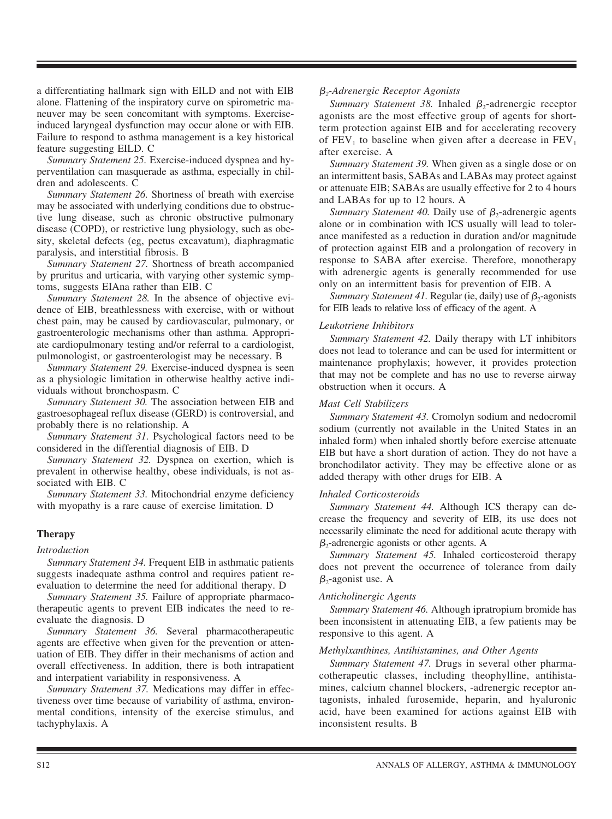a differentiating hallmark sign with EILD and not with EIB alone. Flattening of the inspiratory curve on spirometric maneuver may be seen concomitant with symptoms. Exerciseinduced laryngeal dysfunction may occur alone or with EIB. Failure to respond to asthma management is a key historical feature suggesting EILD. C

*Summary Statement 25.* Exercise-induced dyspnea and hyperventilation can masquerade as asthma, especially in children and adolescents. C

*Summary Statement 26.* Shortness of breath with exercise may be associated with underlying conditions due to obstructive lung disease, such as chronic obstructive pulmonary disease (COPD), or restrictive lung physiology, such as obesity, skeletal defects (eg, pectus excavatum), diaphragmatic paralysis, and interstitial fibrosis. B

*Summary Statement 27.* Shortness of breath accompanied by pruritus and urticaria, with varying other systemic symptoms, suggests EIAna rather than EIB. C

*Summary Statement 28.* In the absence of objective evidence of EIB, breathlessness with exercise, with or without chest pain, may be caused by cardiovascular, pulmonary, or gastroenterologic mechanisms other than asthma. Appropriate cardiopulmonary testing and/or referral to a cardiologist, pulmonologist, or gastroenterologist may be necessary. B

*Summary Statement 29.* Exercise-induced dyspnea is seen as a physiologic limitation in otherwise healthy active individuals without bronchospasm. C

*Summary Statement 30.* The association between EIB and gastroesophageal reflux disease (GERD) is controversial, and probably there is no relationship. A

*Summary Statement 31.* Psychological factors need to be considered in the differential diagnosis of EIB. D

*Summary Statement 32.* Dyspnea on exertion, which is prevalent in otherwise healthy, obese individuals, is not associated with EIB. C

*Summary Statement 33.* Mitochondrial enzyme deficiency with myopathy is a rare cause of exercise limitation. D

## **Therapy**

#### *Introduction*

*Summary Statement 34.* Frequent EIB in asthmatic patients suggests inadequate asthma control and requires patient reevaluation to determine the need for additional therapy. D

*Summary Statement 35.* Failure of appropriate pharmacotherapeutic agents to prevent EIB indicates the need to reevaluate the diagnosis. D

*Summary Statement 36.* Several pharmacotherapeutic agents are effective when given for the prevention or attenuation of EIB. They differ in their mechanisms of action and overall effectiveness. In addition, there is both intrapatient and interpatient variability in responsiveness. A

*Summary Statement 37.* Medications may differ in effectiveness over time because of variability of asthma, environmental conditions, intensity of the exercise stimulus, and tachyphylaxis. A

#### *2-Adrenergic Receptor Agonists*

*Summary Statement 38.* Inhaled  $\beta_2$ -adrenergic receptor agonists are the most effective group of agents for shortterm protection against EIB and for accelerating recovery of  $FEV<sub>1</sub>$  to baseline when given after a decrease in  $FEV<sub>1</sub>$ after exercise. A

*Summary Statement 39.* When given as a single dose or on an intermittent basis, SABAs and LABAs may protect against or attenuate EIB; SABAs are usually effective for 2 to 4 hours and LABAs for up to 12 hours. A

*Summary Statement 40.* Daily use of  $\beta_2$ -adrenergic agents alone or in combination with ICS usually will lead to tolerance manifested as a reduction in duration and/or magnitude of protection against EIB and a prolongation of recovery in response to SABA after exercise. Therefore, monotherapy with adrenergic agents is generally recommended for use only on an intermittent basis for prevention of EIB. A

*Summary Statement 41.* Regular (ie, daily) use of  $\beta_2$ -agonists for EIB leads to relative loss of efficacy of the agent. A

#### *Leukotriene Inhibitors*

*Summary Statement 42.* Daily therapy with LT inhibitors does not lead to tolerance and can be used for intermittent or maintenance prophylaxis; however, it provides protection that may not be complete and has no use to reverse airway obstruction when it occurs. A

## *Mast Cell Stabilizers*

*Summary Statement 43.* Cromolyn sodium and nedocromil sodium (currently not available in the United States in an inhaled form) when inhaled shortly before exercise attenuate EIB but have a short duration of action. They do not have a bronchodilator activity. They may be effective alone or as added therapy with other drugs for EIB. A

#### *Inhaled Corticosteroids*

*Summary Statement 44.* Although ICS therapy can decrease the frequency and severity of EIB, its use does not necessarily eliminate the need for additional acute therapy with  $\beta_2$ -adrenergic agonists or other agents. A

*Summary Statement 45.* Inhaled corticosteroid therapy does not prevent the occurrence of tolerance from daily  $\beta_2$ -agonist use. A

#### *Anticholinergic Agents*

*Summary Statement 46.* Although ipratropium bromide has been inconsistent in attenuating EIB, a few patients may be responsive to this agent. A

#### *Methylxanthines, Antihistamines, and Other Agents*

*Summary Statement 47.* Drugs in several other pharmacotherapeutic classes, including theophylline, antihistamines, calcium channel blockers, -adrenergic receptor antagonists, inhaled furosemide, heparin, and hyaluronic acid, have been examined for actions against EIB with inconsistent results. B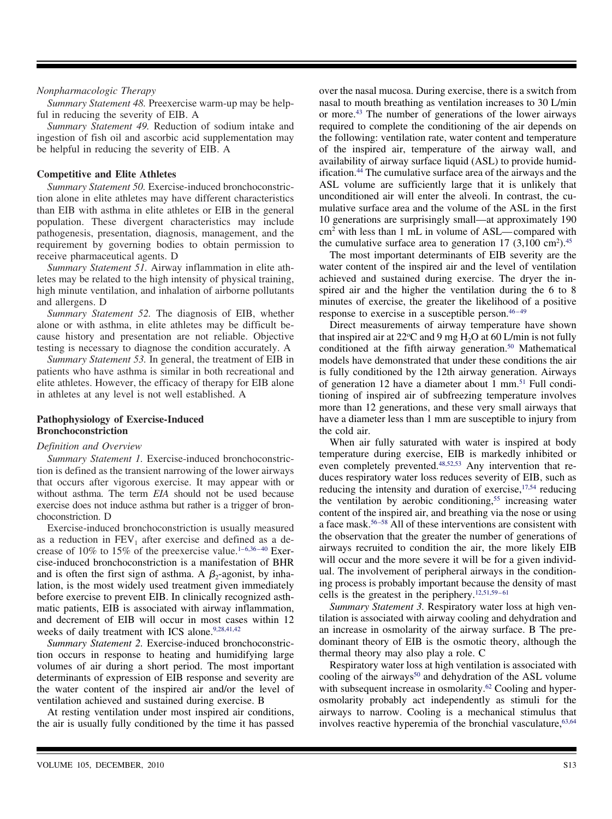## *Nonpharmacologic Therapy*

*Summary Statement 48.* Preexercise warm-up may be helpful in reducing the severity of EIB. A

*Summary Statement 49.* Reduction of sodium intake and ingestion of fish oil and ascorbic acid supplementation may be helpful in reducing the severity of EIB. A

#### **Competitive and Elite Athletes**

*Summary Statement 50.* Exercise-induced bronchoconstriction alone in elite athletes may have different characteristics than EIB with asthma in elite athletes or EIB in the general population. These divergent characteristics may include pathogenesis, presentation, diagnosis, management, and the requirement by governing bodies to obtain permission to receive pharmaceutical agents. D

*Summary Statement 51.* Airway inflammation in elite athletes may be related to the high intensity of physical training, high minute ventilation, and inhalation of airborne pollutants and allergens. D

*Summary Statement 52.* The diagnosis of EIB, whether alone or with asthma, in elite athletes may be difficult because history and presentation are not reliable. Objective testing is necessary to diagnose the condition accurately. A

*Summary Statement 53.* In general, the treatment of EIB in patients who have asthma is similar in both recreational and elite athletes. However, the efficacy of therapy for EIB alone in athletes at any level is not well established. A

#### **Pathophysiology of Exercise-Induced Bronchoconstriction**

#### *Definition and Overview*

*Summary Statement 1.* Exercise-induced bronchoconstriction is defined as the transient narrowing of the lower airways that occurs after vigorous exercise. It may appear with or without asthma. The term *EIA* should not be used because exercise does not induce asthma but rather is a trigger of bronchoconstriction. D

Exercise-induced bronchoconstriction is usually measured as a reduction in  $FEV<sub>1</sub>$  after exercise and defined as a decrease of 10% to 15% of the preexercise value.<sup>1-6,36-40</sup> Exercise-induced bronchoconstriction is a manifestation of BHR and is often the first sign of asthma. A  $\beta_2$ -agonist, by inhalation, is the most widely used treatment given immediately before exercise to prevent EIB. In clinically recognized asthmatic patients, EIB is associated with airway inflammation, and decrement of EIB will occur in most cases within 12 weeks of daily treatment with ICS alone.<sup>9,28,41,42</sup>

*Summary Statement 2.* Exercise-induced bronchoconstriction occurs in response to heating and humidifying large volumes of air during a short period. The most important determinants of expression of EIB response and severity are the water content of the inspired air and/or the level of ventilation achieved and sustained during exercise. B

At resting ventilation under most inspired air conditions, the air is usually fully conditioned by the time it has passed over the nasal mucosa. During exercise, there is a switch from nasal to mouth breathing as ventilation increases to 30 L/min or more.43 The number of generations of the lower airways required to complete the conditioning of the air depends on the following: ventilation rate, water content and temperature of the inspired air, temperature of the airway wall, and availability of airway surface liquid (ASL) to provide humidification.44 The cumulative surface area of the airways and the ASL volume are sufficiently large that it is unlikely that unconditioned air will enter the alveoli. In contrast, the cumulative surface area and the volume of the ASL in the first 10 generations are surprisingly small—at approximately 190 cm2 with less than 1 mL in volume of ASL— compared with the cumulative surface area to generation  $17 \ (3,100 \ cm^2)^{45}$ 

The most important determinants of EIB severity are the water content of the inspired air and the level of ventilation achieved and sustained during exercise. The dryer the inspired air and the higher the ventilation during the 6 to 8 minutes of exercise, the greater the likelihood of a positive response to exercise in a susceptible person.<sup>46-49</sup>

Direct measurements of airway temperature have shown that inspired air at  $22^{\circ}$ C and 9 mg  $H_2O$  at 60 L/min is not fully conditioned at the fifth airway generation.<sup>50</sup> Mathematical models have demonstrated that under these conditions the air is fully conditioned by the 12th airway generation. Airways of generation 12 have a diameter about 1 mm.<sup>51</sup> Full conditioning of inspired air of subfreezing temperature involves more than 12 generations, and these very small airways that have a diameter less than 1 mm are susceptible to injury from the cold air.

When air fully saturated with water is inspired at body temperature during exercise, EIB is markedly inhibited or even completely prevented.48,52,53 Any intervention that reduces respiratory water loss reduces severity of EIB, such as reducing the intensity and duration of exercise,<sup>17,54</sup> reducing the ventilation by aerobic conditioning,<sup>55</sup> increasing water content of the inspired air, and breathing via the nose or using a face mask.56 –58 All of these interventions are consistent with the observation that the greater the number of generations of airways recruited to condition the air, the more likely EIB will occur and the more severe it will be for a given individual. The involvement of peripheral airways in the conditioning process is probably important because the density of mast cells is the greatest in the periphery.<sup>12,51,59-61</sup>

*Summary Statement 3.* Respiratory water loss at high ventilation is associated with airway cooling and dehydration and an increase in osmolarity of the airway surface. B The predominant theory of EIB is the osmotic theory, although the thermal theory may also play a role. C

Respiratory water loss at high ventilation is associated with cooling of the airways<sup>50</sup> and dehydration of the ASL volume with subsequent increase in osmolarity.<sup>62</sup> Cooling and hyperosmolarity probably act independently as stimuli for the airways to narrow. Cooling is a mechanical stimulus that involves reactive hyperemia of the bronchial vasculature,  $63,64$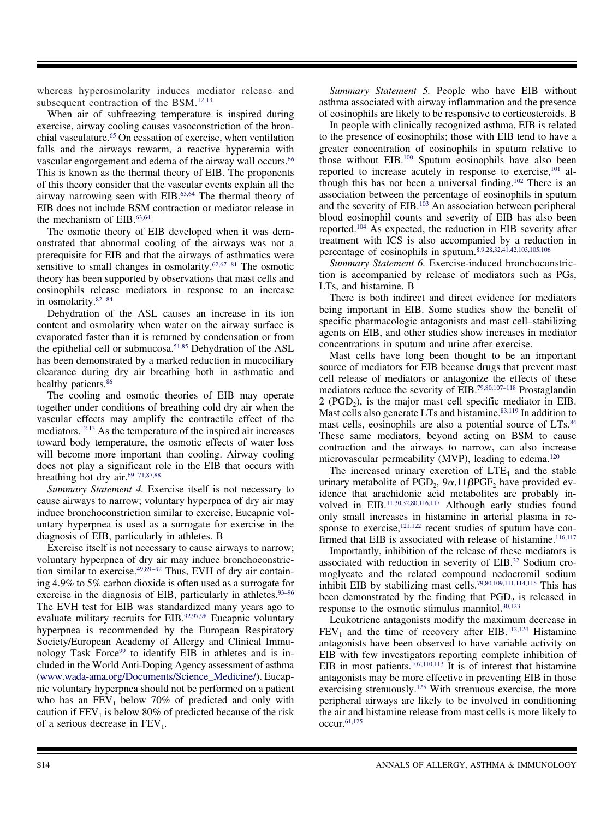whereas hyperosmolarity induces mediator release and subsequent contraction of the BSM.12,13

When air of subfreezing temperature is inspired during exercise, airway cooling causes vasoconstriction of the bronchial vasculature.<sup>65</sup> On cessation of exercise, when ventilation falls and the airways rewarm, a reactive hyperemia with vascular engorgement and edema of the airway wall occurs.<sup>66</sup> This is known as the thermal theory of EIB. The proponents of this theory consider that the vascular events explain all the airway narrowing seen with EIB.63,64 The thermal theory of EIB does not include BSM contraction or mediator release in the mechanism of EIB.<sup>63,64</sup>

The osmotic theory of EIB developed when it was demonstrated that abnormal cooling of the airways was not a prerequisite for EIB and that the airways of asthmatics were sensitive to small changes in osmolarity. $62,67-81$  The osmotic theory has been supported by observations that mast cells and eosinophils release mediators in response to an increase in osmolarity. 82-84

Dehydration of the ASL causes an increase in its ion content and osmolarity when water on the airway surface is evaporated faster than it is returned by condensation or from the epithelial cell or submucosa.<sup>51,85</sup> Dehydration of the ASL has been demonstrated by a marked reduction in mucociliary clearance during dry air breathing both in asthmatic and healthy patients.<sup>86</sup>

The cooling and osmotic theories of EIB may operate together under conditions of breathing cold dry air when the vascular effects may amplify the contractile effect of the mediators.12,13 As the temperature of the inspired air increases toward body temperature, the osmotic effects of water loss will become more important than cooling. Airway cooling does not play a significant role in the EIB that occurs with breathing hot dry  $air.69 - 71,87,88$ 

*Summary Statement 4.* Exercise itself is not necessary to cause airways to narrow; voluntary hyperpnea of dry air may induce bronchoconstriction similar to exercise. Eucapnic voluntary hyperpnea is used as a surrogate for exercise in the diagnosis of EIB, particularly in athletes. B

Exercise itself is not necessary to cause airways to narrow; voluntary hyperpnea of dry air may induce bronchoconstriction similar to exercise.<sup>49,89–92</sup> Thus, EVH of dry air containing 4.9% to 5% carbon dioxide is often used as a surrogate for exercise in the diagnosis of EIB, particularly in athletes. $93-96$ The EVH test for EIB was standardized many years ago to evaluate military recruits for EIB.<sup>92,97,98</sup> Eucapnic voluntary hyperpnea is recommended by the European Respiratory Society/European Academy of Allergy and Clinical Immunology Task Force<sup>99</sup> to identify EIB in athletes and is included in the World Anti-Doping Agency assessment of asthma [\(www.wada-ama.org/Documents/Science\\_Medicine/\)](http://www.wada-ama.org/Documents/Science_Medicine/). Eucapnic voluntary hyperpnea should not be performed on a patient who has an  $FEV<sub>1</sub>$  below 70% of predicted and only with caution if  $FEV<sub>1</sub>$  is below 80% of predicted because of the risk of a serious decrease in  $FEV<sub>1</sub>$ .

*Summary Statement 5.* People who have EIB without asthma associated with airway inflammation and the presence of eosinophils are likely to be responsive to corticosteroids. B

In people with clinically recognized asthma, EIB is related to the presence of eosinophils; those with EIB tend to have a greater concentration of eosinophils in sputum relative to those without EIB.100 Sputum eosinophils have also been reported to increase acutely in response to exercise,<sup>101</sup> although this has not been a universal finding.<sup>102</sup> There is an association between the percentage of eosinophils in sputum and the severity of  $EIB$ .<sup>103</sup> An association between peripheral blood eosinophil counts and severity of EIB has also been reported.104 As expected, the reduction in EIB severity after treatment with ICS is also accompanied by a reduction in percentage of eosinophils in sputum.8,9,28,32,41,42,103,105,106

*Summary Statement 6.* Exercise-induced bronchoconstriction is accompanied by release of mediators such as PGs, LTs, and histamine. B

There is both indirect and direct evidence for mediators being important in EIB. Some studies show the benefit of specific pharmacologic antagonists and mast cell–stabilizing agents on EIB, and other studies show increases in mediator concentrations in sputum and urine after exercise.

Mast cells have long been thought to be an important source of mediators for EIB because drugs that prevent mast cell release of mediators or antagonize the effects of these mediators reduce the severity of EIB.79,80,107–118 Prostaglandin 2 (PGD<sub>2</sub>), is the major mast cell specific mediator in EIB. Mast cells also generate LTs and histamine.<sup>83,119</sup> In addition to mast cells, eosinophils are also a potential source of LTs.<sup>84</sup> These same mediators, beyond acting on BSM to cause contraction and the airways to narrow, can also increase microvascular permeability (MVP), leading to edema.<sup>120</sup>

The increased urinary excretion of  $LTE<sub>4</sub>$  and the stable urinary metabolite of  $PGD_2$ ,  $9\alpha$ ,  $11\beta PGF_2$  have provided evidence that arachidonic acid metabolites are probably involved in EIB.<sup>11,30,32,80,116,117</sup> Although early studies found only small increases in histamine in arterial plasma in response to exercise, $121,122$  recent studies of sputum have confirmed that EIB is associated with release of histamine.<sup>116,117</sup>

Importantly, inhibition of the release of these mediators is associated with reduction in severity of EIB.32 Sodium cromoglycate and the related compound nedocromil sodium inhibit EIB by stabilizing mast cells.79,80,109,111,114,115 This has been demonstrated by the finding that PGD<sub>2</sub> is released in response to the osmotic stimulus mannitol.30,123

Leukotriene antagonists modify the maximum decrease in  $FEV<sub>1</sub>$  and the time of recovery after EIB.<sup>112,124</sup> Histamine antagonists have been observed to have variable activity on EIB with few investigators reporting complete inhibition of EIB in most patients.<sup>107,110,113</sup> It is of interest that histamine antagonists may be more effective in preventing EIB in those exercising strenuously.<sup>125</sup> With strenuous exercise, the more peripheral airways are likely to be involved in conditioning the air and histamine release from mast cells is more likely to occur.61,125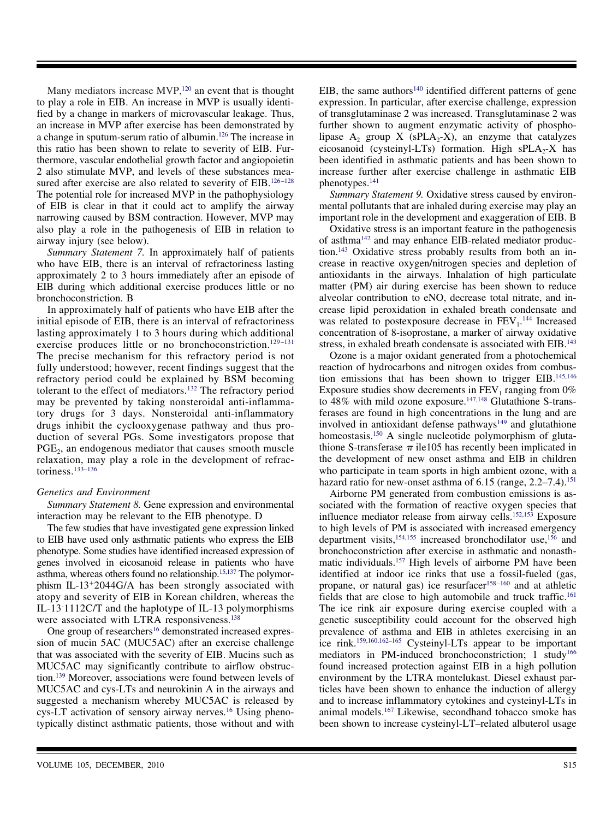Many mediators increase MVP,<sup>120</sup> an event that is thought to play a role in EIB. An increase in MVP is usually identified by a change in markers of microvascular leakage. Thus, an increase in MVP after exercise has been demonstrated by a change in sputum-serum ratio of albumin.126 The increase in this ratio has been shown to relate to severity of EIB. Furthermore, vascular endothelial growth factor and angiopoietin 2 also stimulate MVP, and levels of these substances measured after exercise are also related to severity of EIB.<sup>126-128</sup> The potential role for increased MVP in the pathophysiology of EIB is clear in that it could act to amplify the airway narrowing caused by BSM contraction. However, MVP may also play a role in the pathogenesis of EIB in relation to airway injury (see below).

*Summary Statement 7.* In approximately half of patients who have EIB, there is an interval of refractoriness lasting approximately 2 to 3 hours immediately after an episode of EIB during which additional exercise produces little or no bronchoconstriction. B

In approximately half of patients who have EIB after the initial episode of EIB, there is an interval of refractoriness lasting approximately 1 to 3 hours during which additional exercise produces little or no bronchoconstriction.<sup>129-131</sup> The precise mechanism for this refractory period is not fully understood; however, recent findings suggest that the refractory period could be explained by BSM becoming tolerant to the effect of mediators.132 The refractory period may be prevented by taking nonsteroidal anti-inflammatory drugs for 3 days. Nonsteroidal anti-inflammatory drugs inhibit the cyclooxygenase pathway and thus production of several PGs. Some investigators propose that  $PGE<sub>2</sub>$ , an endogenous mediator that causes smooth muscle relaxation, may play a role in the development of refractoriness.133–136

#### *Genetics and Environment*

*Summary Statement 8.* Gene expression and environmental interaction may be relevant to the EIB phenotype. D

The few studies that have investigated gene expression linked to EIB have used only asthmatic patients who express the EIB phenotype. Some studies have identified increased expression of genes involved in eicosanoid release in patients who have asthma, whereas others found no relationship.15,137 The polymorphism IL-13+2044G/A has been strongly associated with atopy and severity of EIB in Korean children, whereas the IL-13- 1112C/T and the haplotype of IL-13 polymorphisms were associated with LTRA responsiveness.<sup>138</sup>

One group of researchers<sup>16</sup> demonstrated increased expression of mucin 5AC (MUC5AC) after an exercise challenge that was associated with the severity of EIB. Mucins such as MUC5AC may significantly contribute to airflow obstruction.139 Moreover, associations were found between levels of MUC5AC and cys-LTs and neurokinin A in the airways and suggested a mechanism whereby MUC5AC is released by cys-LT activation of sensory airway nerves.16 Using phenotypically distinct asthmatic patients, those without and with EIB, the same authors $140$  identified different patterns of gene expression. In particular, after exercise challenge, expression of transglutaminase 2 was increased. Transglutaminase 2 was further shown to augment enzymatic activity of phospholipase  $A_2$  group X (sPL $A_2$ -X), an enzyme that catalyzes eicosanoid (cysteinyl-LTs) formation. High  $sPLA_2$ -X has been identified in asthmatic patients and has been shown to increase further after exercise challenge in asthmatic EIB phenotypes.141

*Summary Statement 9.* Oxidative stress caused by environmental pollutants that are inhaled during exercise may play an important role in the development and exaggeration of EIB. B

Oxidative stress is an important feature in the pathogenesis of asthma142 and may enhance EIB-related mediator production.143 Oxidative stress probably results from both an increase in reactive oxygen/nitrogen species and depletion of antioxidants in the airways. Inhalation of high particulate matter (PM) air during exercise has been shown to reduce alveolar contribution to eNO, decrease total nitrate, and increase lipid peroxidation in exhaled breath condensate and was related to postexposure decrease in  $FEV<sub>1</sub>$ .<sup>144</sup> Increased concentration of 8-isoprostane, a marker of airway oxidative stress, in exhaled breath condensate is associated with EIB.<sup>143</sup>

Ozone is a major oxidant generated from a photochemical reaction of hydrocarbons and nitrogen oxides from combustion emissions that has been shown to trigger EIB.145,146 Exposure studies show decrements in  $FEV_1$  ranging from 0% to 48% with mild ozone exposure.<sup>147,148</sup> Glutathione S-transferases are found in high concentrations in the lung and are involved in antioxidant defense pathways $149$  and glutathione homeostasis.150 A single nucleotide polymorphism of glutathione S-transferase  $\pi$  ile105 has recently been implicated in the development of new onset asthma and EIB in children who participate in team sports in high ambient ozone, with a hazard ratio for new-onset asthma of  $6.15$  (range,  $2.2-7.4$ ).<sup>151</sup>

Airborne PM generated from combustion emissions is associated with the formation of reactive oxygen species that influence mediator release from airway cells.<sup>152,153</sup> Exposure to high levels of PM is associated with increased emergency department visits,154,155 increased bronchodilator use,156 and bronchoconstriction after exercise in asthmatic and nonasthmatic individuals.157 High levels of airborne PM have been identified at indoor ice rinks that use a fossil-fueled (gas, propane, or natural gas) ice resurfacer<sup>158-160</sup> and at athletic fields that are close to high automobile and truck traffic.<sup>161</sup> The ice rink air exposure during exercise coupled with a genetic susceptibility could account for the observed high prevalence of asthma and EIB in athletes exercising in an ice rink.159,160,162–165 Cysteinyl-LTs appear to be important mediators in PM-induced bronchoconstriction; 1 study<sup>166</sup> found increased protection against EIB in a high pollution environment by the LTRA montelukast. Diesel exhaust particles have been shown to enhance the induction of allergy and to increase inflammatory cytokines and cysteinyl-LTs in animal models.167 Likewise, secondhand tobacco smoke has been shown to increase cysteinyl-LT–related albuterol usage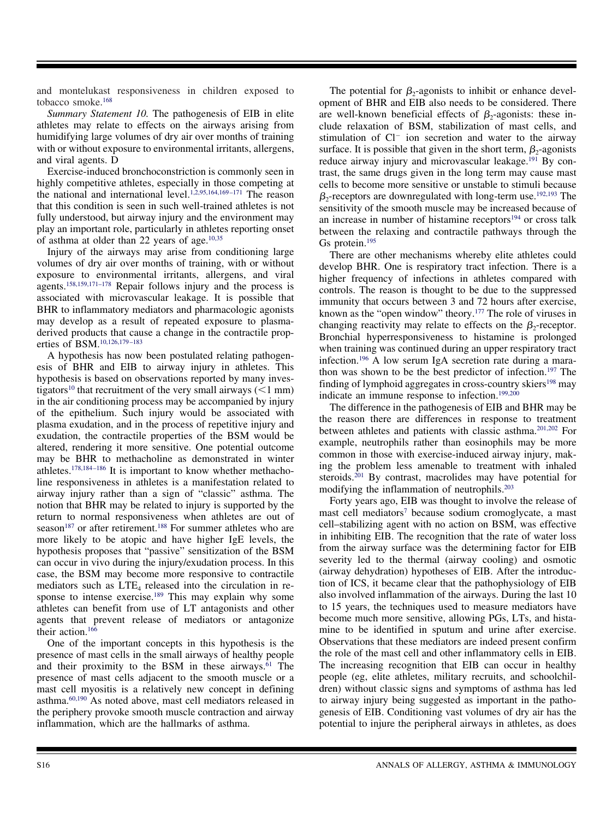and montelukast responsiveness in children exposed to tobacco smoke.168

*Summary Statement 10.* The pathogenesis of EIB in elite athletes may relate to effects on the airways arising from humidifying large volumes of dry air over months of training with or without exposure to environmental irritants, allergens, and viral agents. D

Exercise-induced bronchoconstriction is commonly seen in highly competitive athletes, especially in those competing at the national and international level.<sup>1,2,95,164,169-171</sup> The reason that this condition is seen in such well-trained athletes is not fully understood, but airway injury and the environment may play an important role, particularly in athletes reporting onset of asthma at older than 22 years of age. $10,35$ 

Injury of the airways may arise from conditioning large volumes of dry air over months of training, with or without exposure to environmental irritants, allergens, and viral agents.<sup>158,159,171–178</sup> Repair follows injury and the process is associated with microvascular leakage. It is possible that BHR to inflammatory mediators and pharmacologic agonists may develop as a result of repeated exposure to plasmaderived products that cause a change in the contractile properties of BSM.10,126,179 –183

A hypothesis has now been postulated relating pathogenesis of BHR and EIB to airway injury in athletes. This hypothesis is based on observations reported by many investigators<sup>10</sup> that recruitment of the very small airways ( $\leq 1$  mm) in the air conditioning process may be accompanied by injury of the epithelium. Such injury would be associated with plasma exudation, and in the process of repetitive injury and exudation, the contractile properties of the BSM would be altered, rendering it more sensitive. One potential outcome may be BHR to methacholine as demonstrated in winter athletes.178,184 –186 It is important to know whether methacholine responsiveness in athletes is a manifestation related to airway injury rather than a sign of "classic" asthma. The notion that BHR may be related to injury is supported by the return to normal responsiveness when athletes are out of season<sup>187</sup> or after retirement.<sup>188</sup> For summer athletes who are more likely to be atopic and have higher IgE levels, the hypothesis proposes that "passive" sensitization of the BSM can occur in vivo during the injury/exudation process. In this case, the BSM may become more responsive to contractile mediators such as  $LTE_4$  released into the circulation in response to intense exercise.<sup>189</sup> This may explain why some athletes can benefit from use of LT antagonists and other agents that prevent release of mediators or antagonize their action.<sup>166</sup>

One of the important concepts in this hypothesis is the presence of mast cells in the small airways of healthy people and their proximity to the BSM in these airways.<sup>61</sup> The presence of mast cells adjacent to the smooth muscle or a mast cell myositis is a relatively new concept in defining asthma.60,190 As noted above, mast cell mediators released in the periphery provoke smooth muscle contraction and airway inflammation, which are the hallmarks of asthma.

The potential for  $\beta_2$ -agonists to inhibit or enhance development of BHR and EIB also needs to be considered. There are well-known beneficial effects of  $\beta_2$ -agonists: these include relaxation of BSM, stabilization of mast cells, and stimulation of  $Cl^-$  ion secretion and water to the airway surface. It is possible that given in the short term,  $\beta_2$ -agonists reduce airway injury and microvascular leakage.<sup>191</sup> By contrast, the same drugs given in the long term may cause mast cells to become more sensitive or unstable to stimuli because  $\beta_2$ -receptors are downregulated with long-term use.<sup>192,193</sup> The sensitivity of the smooth muscle may be increased because of an increase in number of histamine receptors $194$  or cross talk between the relaxing and contractile pathways through the Gs protein.<sup>195</sup>

There are other mechanisms whereby elite athletes could develop BHR. One is respiratory tract infection. There is a higher frequency of infections in athletes compared with controls. The reason is thought to be due to the suppressed immunity that occurs between 3 and 72 hours after exercise, known as the "open window" theory.177 The role of viruses in changing reactivity may relate to effects on the  $\beta_2$ -receptor. Bronchial hyperresponsiveness to histamine is prolonged when training was continued during an upper respiratory tract infection.196 A low serum IgA secretion rate during a marathon was shown to be the best predictor of infection.197 The finding of lymphoid aggregates in cross-country skiers<sup>198</sup> may indicate an immune response to infection.<sup>199,200</sup>

The difference in the pathogenesis of EIB and BHR may be the reason there are differences in response to treatment between athletes and patients with classic asthma.201,202 For example, neutrophils rather than eosinophils may be more common in those with exercise-induced airway injury, making the problem less amenable to treatment with inhaled steroids.201 By contrast, macrolides may have potential for modifying the inflammation of neutrophils.203

Forty years ago, EIB was thought to involve the release of mast cell mediators<sup>7</sup> because sodium cromoglycate, a mast cell–stabilizing agent with no action on BSM, was effective in inhibiting EIB. The recognition that the rate of water loss from the airway surface was the determining factor for EIB severity led to the thermal (airway cooling) and osmotic (airway dehydration) hypotheses of EIB. After the introduction of ICS, it became clear that the pathophysiology of EIB also involved inflammation of the airways. During the last 10 to 15 years, the techniques used to measure mediators have become much more sensitive, allowing PGs, LTs, and histamine to be identified in sputum and urine after exercise. Observations that these mediators are indeed present confirm the role of the mast cell and other inflammatory cells in EIB. The increasing recognition that EIB can occur in healthy people (eg, elite athletes, military recruits, and schoolchildren) without classic signs and symptoms of asthma has led to airway injury being suggested as important in the pathogenesis of EIB. Conditioning vast volumes of dry air has the potential to injure the peripheral airways in athletes, as does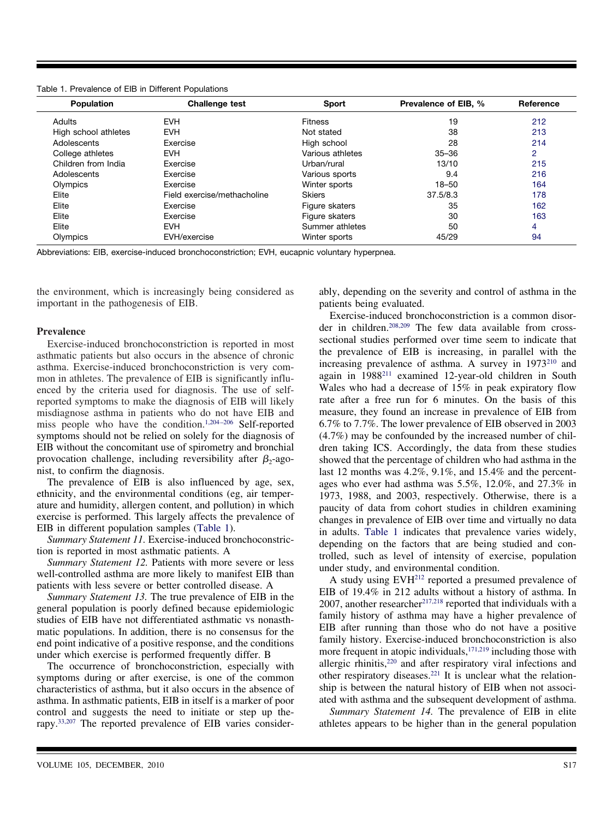|  |  |  |  | Table 1. Prevalence of EIB in Different Populations |
|--|--|--|--|-----------------------------------------------------|
|--|--|--|--|-----------------------------------------------------|

| <b>Population</b>    | <b>Challenge test</b>       | <b>Sport</b>     | Prevalence of EIB, % | Reference      |
|----------------------|-----------------------------|------------------|----------------------|----------------|
| Adults               | <b>EVH</b>                  | <b>Fitness</b>   | 19                   | 212            |
| High school athletes | <b>EVH</b>                  | Not stated       | 38                   | 213            |
| Adolescents          | Exercise                    | High school      | 28                   | 214            |
| College athletes     | <b>EVH</b>                  | Various athletes | $35 - 36$            | $\overline{2}$ |
| Children from India  | Exercise                    | Urban/rural      | 13/10                | 215            |
| Adolescents          | Exercise                    | Various sports   | 9.4                  | 216            |
| Olympics             | Exercise                    | Winter sports    | $18 - 50$            | 164            |
| Elite                | Field exercise/methacholine | <b>Skiers</b>    | 37.5/8.3             | 178            |
| Elite                | Exercise                    | Figure skaters   | 35                   | 162            |
| Elite                | Exercise                    | Figure skaters   | 30                   | 163            |
| Elite                | <b>EVH</b>                  | Summer athletes  | 50                   | 4              |
| Olympics             | EVH/exercise                | Winter sports    | 45/29                | 94             |

Abbreviations: EIB, exercise-induced bronchoconstriction; EVH, eucapnic voluntary hyperpnea.

the environment, which is increasingly being considered as important in the pathogenesis of EIB.

#### **Prevalence**

Exercise-induced bronchoconstriction is reported in most asthmatic patients but also occurs in the absence of chronic asthma. Exercise-induced bronchoconstriction is very common in athletes. The prevalence of EIB is significantly influenced by the criteria used for diagnosis. The use of selfreported symptoms to make the diagnosis of EIB will likely misdiagnose asthma in patients who do not have EIB and miss people who have the condition.<sup>1,204-206</sup> Self-reported symptoms should not be relied on solely for the diagnosis of EIB without the concomitant use of spirometry and bronchial provocation challenge, including reversibility after  $\beta_2$ -agonist, to confirm the diagnosis.

The prevalence of EIB is also influenced by age, sex, ethnicity, and the environmental conditions (eg, air temperature and humidity, allergen content, and pollution) in which exercise is performed. This largely affects the prevalence of EIB in different population samples (Table 1).

*Summary Statement 11.* Exercise-induced bronchoconstriction is reported in most asthmatic patients. A

*Summary Statement 12.* Patients with more severe or less well-controlled asthma are more likely to manifest EIB than patients with less severe or better controlled disease. A

*Summary Statement 13.* The true prevalence of EIB in the general population is poorly defined because epidemiologic studies of EIB have not differentiated asthmatic vs nonasthmatic populations. In addition, there is no consensus for the end point indicative of a positive response, and the conditions under which exercise is performed frequently differ. B

The occurrence of bronchoconstriction, especially with symptoms during or after exercise, is one of the common characteristics of asthma, but it also occurs in the absence of asthma. In asthmatic patients, EIB in itself is a marker of poor control and suggests the need to initiate or step up therapy.33,207 The reported prevalence of EIB varies consider-

ably, depending on the severity and control of asthma in the patients being evaluated.

Exercise-induced bronchoconstriction is a common disorder in children.208,209 The few data available from crosssectional studies performed over time seem to indicate that the prevalence of EIB is increasing, in parallel with the increasing prevalence of asthma. A survey in 1973<sup>210</sup> and again in 1988211 examined 12-year-old children in South Wales who had a decrease of 15% in peak expiratory flow rate after a free run for 6 minutes. On the basis of this measure, they found an increase in prevalence of EIB from 6.7% to 7.7%. The lower prevalence of EIB observed in 2003 (4.7%) may be confounded by the increased number of children taking ICS. Accordingly, the data from these studies showed that the percentage of children who had asthma in the last 12 months was 4.2%, 9.1%, and 15.4% and the percentages who ever had asthma was 5.5%, 12.0%, and 27.3% in 1973, 1988, and 2003, respectively. Otherwise, there is a paucity of data from cohort studies in children examining changes in prevalence of EIB over time and virtually no data in adults. Table 1 indicates that prevalence varies widely, depending on the factors that are being studied and controlled, such as level of intensity of exercise, population under study, and environmental condition.

A study using  $EVH^{212}$  reported a presumed prevalence of EIB of 19.4% in 212 adults without a history of asthma. In 2007, another researcher<sup>217,218</sup> reported that individuals with a family history of asthma may have a higher prevalence of EIB after running than those who do not have a positive family history. Exercise-induced bronchoconstriction is also more frequent in atopic individuals,<sup>171,219</sup> including those with allergic rhinitis,<sup>220</sup> and after respiratory viral infections and other respiratory diseases.221 It is unclear what the relationship is between the natural history of EIB when not associated with asthma and the subsequent development of asthma.

*Summary Statement 14.* The prevalence of EIB in elite athletes appears to be higher than in the general population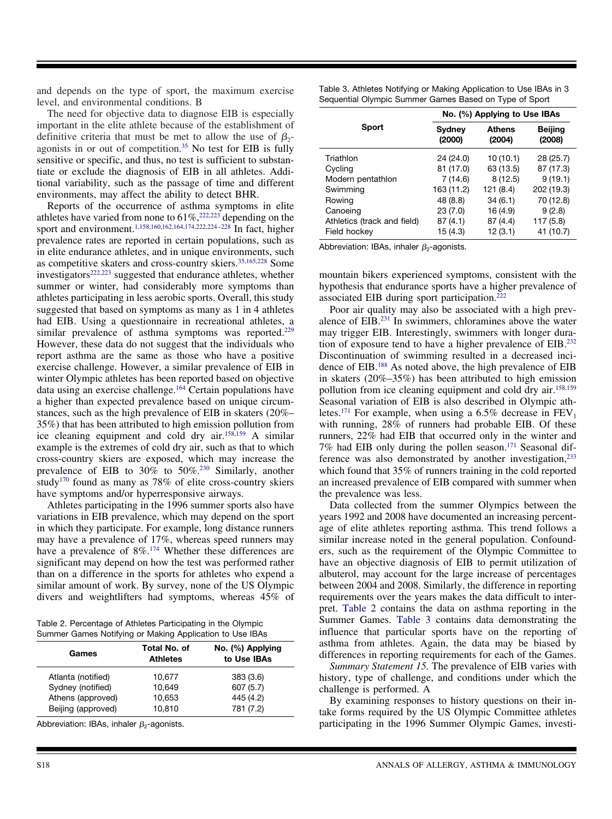and depends on the type of sport, the maximum exercise level, and environmental conditions. B

The need for objective data to diagnose EIB is especially important in the elite athlete because of the establishment of definitive criteria that must be met to allow the use of  $\beta_2$ agonists in or out of competition.<sup>35</sup> No test for EIB is fully sensitive or specific, and thus, no test is sufficient to substantiate or exclude the diagnosis of EIB in all athletes. Additional variability, such as the passage of time and different environments, may affect the ability to detect BHR.

Reports of the occurrence of asthma symptoms in elite athletes have varied from none to  $61\%$ <sup>222,223</sup> depending on the sport and environment.<sup>1,158,160,162,164,174,222,224–228</sup> In fact, higher prevalence rates are reported in certain populations, such as in elite endurance athletes, and in unique environments, such as competitive skaters and cross-country skiers.35,165,228 Some investigators<sup>222,223</sup> suggested that endurance athletes, whether summer or winter, had considerably more symptoms than athletes participating in less aerobic sports. Overall, this study suggested that based on symptoms as many as 1 in 4 athletes had EIB. Using a questionnaire in recreational athletes, a similar prevalence of asthma symptoms was reported.<sup>229</sup> However, these data do not suggest that the individuals who report asthma are the same as those who have a positive exercise challenge. However, a similar prevalence of EIB in winter Olympic athletes has been reported based on objective data using an exercise challenge.<sup>164</sup> Certain populations have a higher than expected prevalence based on unique circumstances, such as the high prevalence of EIB in skaters (20%– 35%) that has been attributed to high emission pollution from ice cleaning equipment and cold dry air.158,159 A similar example is the extremes of cold dry air, such as that to which cross-country skiers are exposed, which may increase the prevalence of EIB to 30% to 50%.230 Similarly, another study170 found as many as 78% of elite cross-country skiers have symptoms and/or hyperresponsive airways.

Athletes participating in the 1996 summer sports also have variations in EIB prevalence, which may depend on the sport in which they participate. For example, long distance runners may have a prevalence of 17%, whereas speed runners may have a prevalence of 8%.<sup>174</sup> Whether these differences are significant may depend on how the test was performed rather than on a difference in the sports for athletes who expend a similar amount of work. By survey, none of the US Olympic divers and weightlifters had symptoms, whereas 45% of

Table 2. Percentage of Athletes Participating in the Olympic Summer Games Notifying or Making Application to Use IBAs

| Games              | Total No. of<br><b>Athletes</b> | No. (%) Applying<br>to Use IBAs |
|--------------------|---------------------------------|---------------------------------|
| Atlanta (notified) | 10,677                          | 383(3.6)                        |
| Sydney (notified)  | 10.649                          | 607(5.7)                        |
| Athens (approved)  | 10,653                          | 445 (4.2)                       |
| Beijing (approved) | 10,810                          | 781 (7.2)                       |

Abbreviation: IBAs, inhaler  $\beta_2$ -agonists.

|                             | No. (%) Applying to Use IBAs |                         |                   |  |  |  |
|-----------------------------|------------------------------|-------------------------|-------------------|--|--|--|
| <b>Sport</b>                | Sydney<br>(2000)             | <b>Athens</b><br>(2004) | Beijing<br>(2008) |  |  |  |
| Triathlon                   | 24 (24.0)                    | 10(10.1)                | 28 (25.7)         |  |  |  |
| Cycling                     | 81 (17.0)                    | 63 (13.5)               | 87 (17.3)         |  |  |  |
| Modern pentathlon           | 7 (14.6)                     | 8(12.5)                 | 9(19.1)           |  |  |  |
| Swimming                    | 163 (11.2)                   | 121(8.4)                | 202 (19.3)        |  |  |  |
| Rowing                      | 48 (8.8)                     | 34(6.1)                 | 70 (12.8)         |  |  |  |
| Canoeing                    | 23 (7.0)                     | 16(4.9)                 | 9(2.8)            |  |  |  |
| Athletics (track and field) | 87 (4.1)                     | 87 (4.4)                | 117 (5.8)         |  |  |  |
| Field hockey                | 15 (4.3)                     | 12(3.1)                 | 41 (10.7)         |  |  |  |

Abbreviation: IBAs, inhaler  $\beta_2$ -agonists.

mountain bikers experienced symptoms, consistent with the hypothesis that endurance sports have a higher prevalence of associated EIB during sport participation.222

Poor air quality may also be associated with a high prevalence of EIB.231 In swimmers, chloramines above the water may trigger EIB. Interestingly, swimmers with longer duration of exposure tend to have a higher prevalence of EIB.232 Discontinuation of swimming resulted in a decreased incidence of EIB.188 As noted above, the high prevalence of EIB in skaters (20%–35%) has been attributed to high emission pollution from ice cleaning equipment and cold dry air.158,159 Seasonal variation of EIB is also described in Olympic athletes.<sup>171</sup> For example, when using a 6.5% decrease in  $FEV<sub>1</sub>$ with running, 28% of runners had probable EIB. Of these runners, 22% had EIB that occurred only in the winter and 7% had EIB only during the pollen season.171 Seasonal difference was also demonstrated by another investigation,<sup>233</sup> which found that 35% of runners training in the cold reported an increased prevalence of EIB compared with summer when the prevalence was less.

Data collected from the summer Olympics between the years 1992 and 2008 have documented an increasing percentage of elite athletes reporting asthma. This trend follows a similar increase noted in the general population. Confounders, such as the requirement of the Olympic Committee to have an objective diagnosis of EIB to permit utilization of albuterol, may account for the large increase of percentages between 2004 and 2008. Similarly, the difference in reporting requirements over the years makes the data difficult to interpret. Table 2 contains the data on asthma reporting in the Summer Games. Table 3 contains data demonstrating the influence that particular sports have on the reporting of asthma from athletes. Again, the data may be biased by differences in reporting requirements for each of the Games.

*Summary Statement 15.* The prevalence of EIB varies with history, type of challenge, and conditions under which the challenge is performed. A

By examining responses to history questions on their intake forms required by the US Olympic Committee athletes participating in the 1996 Summer Olympic Games, investi-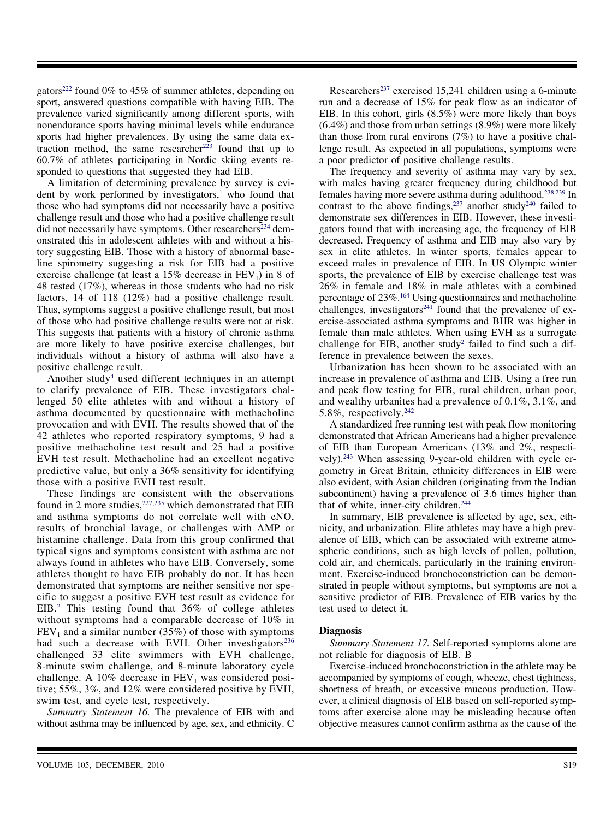gators222 found 0% to 45% of summer athletes, depending on sport, answered questions compatible with having EIB. The prevalence varied significantly among different sports, with nonendurance sports having minimal levels while endurance sports had higher prevalences. By using the same data extraction method, the same researcher<sup>223</sup> found that up to 60.7% of athletes participating in Nordic skiing events responded to questions that suggested they had EIB.

A limitation of determining prevalence by survey is evident by work performed by investigators, $<sup>1</sup>$  who found that</sup> those who had symptoms did not necessarily have a positive challenge result and those who had a positive challenge result did not necessarily have symptoms. Other researchers<sup>234</sup> demonstrated this in adolescent athletes with and without a history suggesting EIB. Those with a history of abnormal baseline spirometry suggesting a risk for EIB had a positive exercise challenge (at least a  $15\%$  decrease in  $FEV_1$ ) in 8 of 48 tested (17%), whereas in those students who had no risk factors, 14 of 118 (12%) had a positive challenge result. Thus, symptoms suggest a positive challenge result, but most of those who had positive challenge results were not at risk. This suggests that patients with a history of chronic asthma are more likely to have positive exercise challenges, but individuals without a history of asthma will also have a positive challenge result.

Another study<sup>4</sup> used different techniques in an attempt to clarify prevalence of EIB. These investigators challenged 50 elite athletes with and without a history of asthma documented by questionnaire with methacholine provocation and with EVH. The results showed that of the 42 athletes who reported respiratory symptoms, 9 had a positive methacholine test result and 25 had a positive EVH test result. Methacholine had an excellent negative predictive value, but only a 36% sensitivity for identifying those with a positive EVH test result.

These findings are consistent with the observations found in 2 more studies,  $2^{27,235}$  which demonstrated that EIB and asthma symptoms do not correlate well with eNO, results of bronchial lavage, or challenges with AMP or histamine challenge. Data from this group confirmed that typical signs and symptoms consistent with asthma are not always found in athletes who have EIB. Conversely, some athletes thought to have EIB probably do not. It has been demonstrated that symptoms are neither sensitive nor specific to suggest a positive EVH test result as evidence for EIB.2 This testing found that 36% of college athletes without symptoms had a comparable decrease of 10% in  $FEV<sub>1</sub>$  and a similar number (35%) of those with symptoms had such a decrease with EVH. Other investigators<sup>236</sup> challenged 33 elite swimmers with EVH challenge, 8-minute swim challenge, and 8-minute laboratory cycle challenge. A 10% decrease in  $FEV<sub>1</sub>$  was considered positive; 55%, 3%, and 12% were considered positive by EVH, swim test, and cycle test, respectively.

*Summary Statement 16.* The prevalence of EIB with and without asthma may be influenced by age, sex, and ethnicity. C

Researchers<sup>237</sup> exercised 15,241 children using a 6-minute run and a decrease of 15% for peak flow as an indicator of EIB. In this cohort, girls (8.5%) were more likely than boys (6.4%) and those from urban settings (8.9%) were more likely than those from rural environs (7%) to have a positive challenge result. As expected in all populations, symptoms were a poor predictor of positive challenge results.

The frequency and severity of asthma may vary by sex, with males having greater frequency during childhood but females having more severe asthma during adulthood.238,239 In contrast to the above findings, $237$  another study<sup>240</sup> failed to demonstrate sex differences in EIB. However, these investigators found that with increasing age, the frequency of EIB decreased. Frequency of asthma and EIB may also vary by sex in elite athletes. In winter sports, females appear to exceed males in prevalence of EIB. In US Olympic winter sports, the prevalence of EIB by exercise challenge test was 26% in female and 18% in male athletes with a combined percentage of 23%.164 Using questionnaires and methacholine challenges, investigators<sup>241</sup> found that the prevalence of exercise-associated asthma symptoms and BHR was higher in female than male athletes. When using EVH as a surrogate challenge for EIB, another study<sup>2</sup> failed to find such a difference in prevalence between the sexes.

Urbanization has been shown to be associated with an increase in prevalence of asthma and EIB. Using a free run and peak flow testing for EIB, rural children, urban poor, and wealthy urbanites had a prevalence of 0.1%, 3.1%, and 5.8%, respectively.242

A standardized free running test with peak flow monitoring demonstrated that African Americans had a higher prevalence of EIB than European Americans (13% and 2%, respectively).243 When assessing 9-year-old children with cycle ergometry in Great Britain, ethnicity differences in EIB were also evident, with Asian children (originating from the Indian subcontinent) having a prevalence of 3.6 times higher than that of white, inner-city children.<sup>244</sup>

In summary, EIB prevalence is affected by age, sex, ethnicity, and urbanization. Elite athletes may have a high prevalence of EIB, which can be associated with extreme atmospheric conditions, such as high levels of pollen, pollution, cold air, and chemicals, particularly in the training environment. Exercise-induced bronchoconstriction can be demonstrated in people without symptoms, but symptoms are not a sensitive predictor of EIB. Prevalence of EIB varies by the test used to detect it.

## **Diagnosis**

*Summary Statement 17.* Self-reported symptoms alone are not reliable for diagnosis of EIB. B

Exercise-induced bronchoconstriction in the athlete may be accompanied by symptoms of cough, wheeze, chest tightness, shortness of breath, or excessive mucous production. However, a clinical diagnosis of EIB based on self-reported symptoms after exercise alone may be misleading because often objective measures cannot confirm asthma as the cause of the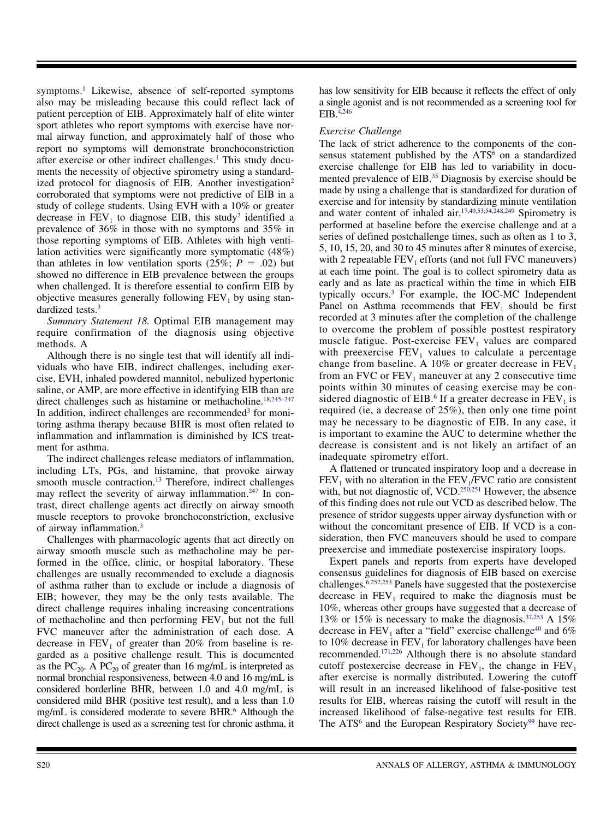symptoms.1 Likewise, absence of self-reported symptoms also may be misleading because this could reflect lack of patient perception of EIB. Approximately half of elite winter sport athletes who report symptoms with exercise have normal airway function, and approximately half of those who report no symptoms will demonstrate bronchoconstriction after exercise or other indirect challenges.<sup>1</sup> This study documents the necessity of objective spirometry using a standardized protocol for diagnosis of EIB. Another investigation<sup>2</sup> corroborated that symptoms were not predictive of EIB in a study of college students. Using EVH with a 10% or greater decrease in  $FEV<sub>1</sub>$  to diagnose EIB, this study<sup>2</sup> identified a prevalence of 36% in those with no symptoms and 35% in those reporting symptoms of EIB. Athletes with high ventilation activities were significantly more symptomatic (48%) than athletes in low ventilation sports  $(25\%; P = .02)$  but showed no difference in EIB prevalence between the groups when challenged. It is therefore essential to confirm EIB by objective measures generally following  $FEV<sub>1</sub>$  by using standardized tests.<sup>3</sup>

*Summary Statement 18.* Optimal EIB management may require confirmation of the diagnosis using objective methods. A

Although there is no single test that will identify all individuals who have EIB, indirect challenges, including exercise, EVH, inhaled powdered mannitol, nebulized hypertonic saline, or AMP, are more effective in identifying EIB than are direct challenges such as histamine or methacholine.<sup>18,245–247</sup> In addition, indirect challenges are recommended<sup>3</sup> for monitoring asthma therapy because BHR is most often related to inflammation and inflammation is diminished by ICS treatment for asthma.

The indirect challenges release mediators of inflammation, including LTs, PGs, and histamine, that provoke airway smooth muscle contraction.<sup>13</sup> Therefore, indirect challenges may reflect the severity of airway inflammation.<sup>247</sup> In contrast, direct challenge agents act directly on airway smooth muscle receptors to provoke bronchoconstriction, exclusive of airway inflammation.3

Challenges with pharmacologic agents that act directly on airway smooth muscle such as methacholine may be performed in the office, clinic, or hospital laboratory. These challenges are usually recommended to exclude a diagnosis of asthma rather than to exclude or include a diagnosis of EIB; however, they may be the only tests available. The direct challenge requires inhaling increasing concentrations of methacholine and then performing  $FEV<sub>1</sub>$  but not the full FVC maneuver after the administration of each dose. A decrease in  $FEV_1$  of greater than 20% from baseline is regarded as a positive challenge result. This is documented as the  $PC_{20}$ . A  $PC_{20}$  of greater than 16 mg/mL is interpreted as normal bronchial responsiveness, between 4.0 and 16 mg/mL is considered borderline BHR, between 1.0 and 4.0 mg/mL is considered mild BHR (positive test result), and a less than 1.0 mg/mL is considered moderate to severe BHR.<sup>6</sup> Although the direct challenge is used as a screening test for chronic asthma, it has low sensitivity for EIB because it reflects the effect of only a single agonist and is not recommended as a screening tool for  $EIB.<sup>4,246</sup>$ 

## *Exercise Challenge*

The lack of strict adherence to the components of the consensus statement published by the  $ATS<sup>6</sup>$  on a standardized exercise challenge for EIB has led to variability in documented prevalence of EIB.<sup>35</sup> Diagnosis by exercise should be made by using a challenge that is standardized for duration of exercise and for intensity by standardizing minute ventilation and water content of inhaled air.17,49,53,54,248,249 Spirometry is performed at baseline before the exercise challenge and at a series of defined postchallenge times, such as often as 1 to 3, 5, 10, 15, 20, and 30 to 45 minutes after 8 minutes of exercise, with 2 repeatable  $FEV_1$  efforts (and not full FVC maneuvers) at each time point. The goal is to collect spirometry data as early and as late as practical within the time in which EIB typically occurs.3 For example, the IOC-MC Independent Panel on Asthma recommends that  $FEV<sub>1</sub>$  should be first recorded at 3 minutes after the completion of the challenge to overcome the problem of possible posttest respiratory muscle fatigue. Post-exercise  $FEV<sub>1</sub>$  values are compared with preexercise  $FEV<sub>1</sub>$  values to calculate a percentage change from baseline. A 10% or greater decrease in  $FEV<sub>1</sub>$ from an FVC or  $FEV_1$  maneuver at any 2 consecutive time points within 30 minutes of ceasing exercise may be considered diagnostic of EIB.<sup>6</sup> If a greater decrease in  $FEV<sub>1</sub>$  is required (ie, a decrease of 25%), then only one time point may be necessary to be diagnostic of EIB. In any case, it is important to examine the AUC to determine whether the decrease is consistent and is not likely an artifact of an inadequate spirometry effort.

A flattened or truncated inspiratory loop and a decrease in  $FEV<sub>1</sub>$  with no alteration in the  $FEV<sub>1</sub>/FVC$  ratio are consistent with, but not diagnostic of, VCD.<sup>250,251</sup> However, the absence of this finding does not rule out VCD as described below. The presence of stridor suggests upper airway dysfunction with or without the concomitant presence of EIB. If VCD is a consideration, then FVC maneuvers should be used to compare preexercise and immediate postexercise inspiratory loops.

Expert panels and reports from experts have developed consensus guidelines for diagnosis of EIB based on exercise challenges.6,252,253 Panels have suggested that the postexercise decrease in  $FEV<sub>1</sub>$  required to make the diagnosis must be 10%, whereas other groups have suggested that a decrease of 13% or 15% is necessary to make the diagnosis.37,253 A 15% decrease in FEV<sub>1</sub> after a "field" exercise challenge<sup>40</sup> and  $6\%$ to  $10\%$  decrease in  $FEV<sub>1</sub>$  for laboratory challenges have been recommended.171,226 Although there is no absolute standard cutoff postexercise decrease in  $FEV<sub>1</sub>$ , the change in  $FEV<sub>1</sub>$ after exercise is normally distributed. Lowering the cutoff will result in an increased likelihood of false-positive test results for EIB, whereas raising the cutoff will result in the increased likelihood of false-negative test results for EIB. The ATS<sup>6</sup> and the European Respiratory Society<sup>99</sup> have rec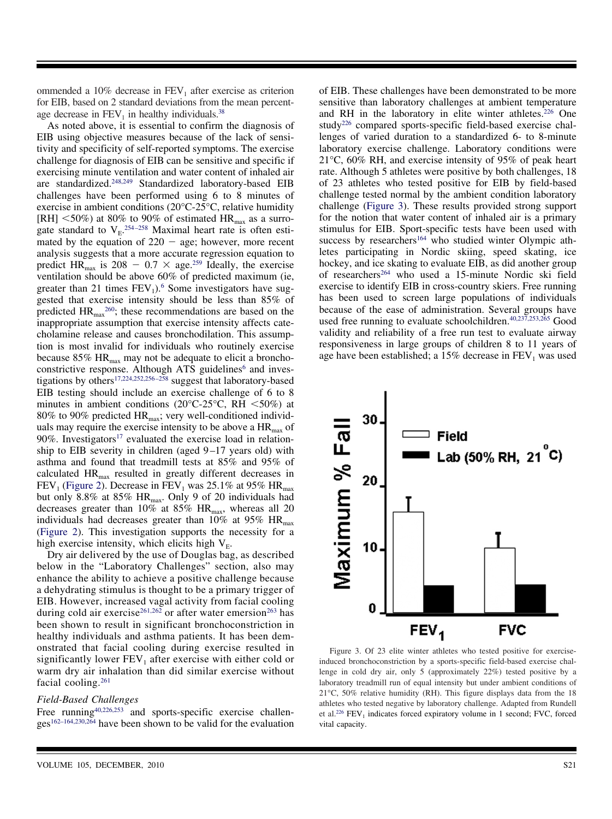ommended a 10% decrease in  $FEV<sub>1</sub>$  after exercise as criterion for EIB, based on 2 standard deviations from the mean percentage decrease in  $FEV<sub>1</sub>$  in healthy individuals.<sup>38</sup>

As noted above, it is essential to confirm the diagnosis of EIB using objective measures because of the lack of sensitivity and specificity of self-reported symptoms. The exercise challenge for diagnosis of EIB can be sensitive and specific if exercising minute ventilation and water content of inhaled air are standardized.<sup>248,249</sup> Standardized laboratory-based EIB challenges have been performed using 6 to 8 minutes of exercise in ambient conditions (20°C-25°C, relative humidity [RH]  $\leq$ 50%) at 80% to 90% of estimated HR<sub>max</sub> as a surrogate standard to  $V_E$ . <sup>254–258</sup> Maximal heart rate is often estimated by the equation of  $220 - age$ ; however, more recent analysis suggests that a more accurate regression equation to predict HR<sub>max</sub> is 208 – 0.7  $\times$  age.<sup>259</sup> Ideally, the exercise ventilation should be above 60% of predicted maximum (ie, greater than 21 times  $FEV<sub>1</sub>$ .<sup>6</sup> Some investigators have suggested that exercise intensity should be less than 85% of predicted  $HR_{max}^{260}$ ; these recommendations are based on the inappropriate assumption that exercise intensity affects catecholamine release and causes bronchodilation. This assumption is most invalid for individuals who routinely exercise because  $85\%$  HR<sub>max</sub> may not be adequate to elicit a bronchoconstrictive response. Although ATS guidelines<sup>6</sup> and investigations by others<sup>17,224,252,256-258</sup> suggest that laboratory-based EIB testing should include an exercise challenge of 6 to 8 minutes in ambient conditions (20 $^{\circ}$ C-25 $^{\circ}$ C, RH  $\leq$ 50%) at 80% to 90% predicted  $HR_{max}$ ; very well-conditioned individuals may require the exercise intensity to be above a  $HR<sub>max</sub>$  of 90%. Investigators<sup>17</sup> evaluated the exercise load in relationship to EIB severity in children (aged  $9-17$  years old) with asthma and found that treadmill tests at 85% and 95% of calculated HR<sub>max</sub> resulted in greatly different decreases in  $FEV<sub>1</sub>$  (Figure 2). Decrease in  $FEV<sub>1</sub>$  was 25.1% at 95% HR<sub>max</sub> but only  $8.8\%$  at  $85\%$  HR<sub>max</sub>. Only 9 of 20 individuals had decreases greater than 10% at 85%  $HR_{max}$ , whereas all 20 individuals had decreases greater than  $10\%$  at 95% HR<sub>max</sub> (Figure 2). This investigation supports the necessity for a high exercise intensity, which elicits high  $V_E$ .

Dry air delivered by the use of Douglas bag, as described below in the "Laboratory Challenges" section, also may enhance the ability to achieve a positive challenge because a dehydrating stimulus is thought to be a primary trigger of EIB. However, increased vagal activity from facial cooling during cold air exercise<sup>261,262</sup> or after water emersion<sup>263</sup> has been shown to result in significant bronchoconstriction in healthy individuals and asthma patients. It has been demonstrated that facial cooling during exercise resulted in significantly lower  $FEV<sub>1</sub>$  after exercise with either cold or warm dry air inhalation than did similar exercise without facial cooling.<sup>261</sup>

#### *Field-Based Challenges*

Free running<sup>40,226,253</sup> and sports-specific exercise challenges162–164,230,264 have been shown to be valid for the evaluation of EIB. These challenges have been demonstrated to be more sensitive than laboratory challenges at ambient temperature and RH in the laboratory in elite winter athletes.<sup>226</sup> One study<sup>226</sup> compared sports-specific field-based exercise challenges of varied duration to a standardized 6- to 8-minute laboratory exercise challenge. Laboratory conditions were 21°C, 60% RH, and exercise intensity of 95% of peak heart rate. Although 5 athletes were positive by both challenges, 18 of 23 athletes who tested positive for EIB by field-based challenge tested normal by the ambient condition laboratory challenge (Figure 3). These results provided strong support for the notion that water content of inhaled air is a primary stimulus for EIB. Sport-specific tests have been used with success by researchers<sup>164</sup> who studied winter Olympic athletes participating in Nordic skiing, speed skating, ice hockey, and ice skating to evaluate EIB, as did another group of researchers<sup>264</sup> who used a 15-minute Nordic ski field exercise to identify EIB in cross-country skiers. Free running has been used to screen large populations of individuals because of the ease of administration. Several groups have used free running to evaluate schoolchildren.<sup>40,237,253,265</sup> Good validity and reliability of a free run test to evaluate airway responsiveness in large groups of children 8 to 11 years of age have been established; a 15% decrease in  $FEV<sub>1</sub>$  was used



Figure 3. Of 23 elite winter athletes who tested positive for exerciseinduced bronchoconstriction by a sports-specific field-based exercise challenge in cold dry air, only 5 (approximately 22%) tested positive by a laboratory treadmill run of equal intensity but under ambient conditions of 21°C, 50% relative humidity (RH). This figure displays data from the 18 athletes who tested negative by laboratory challenge. Adapted from Rundell et al.<sup>226</sup>  $FEV<sub>1</sub>$  indicates forced expiratory volume in 1 second; FVC, forced vital capacity.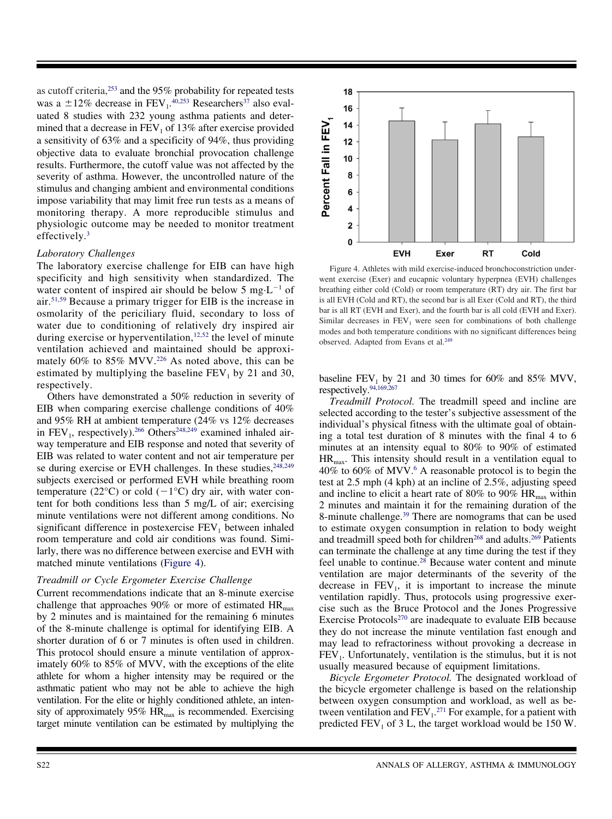as cutoff criteria,<sup>253</sup> and the 95% probability for repeated tests was a  $\pm 12\%$  decrease in FEV<sub>1</sub>.<sup>40,253</sup> Researchers<sup>37</sup> also evaluated 8 studies with 232 young asthma patients and determined that a decrease in  $FEV_1$  of 13% after exercise provided a sensitivity of 63% and a specificity of 94%, thus providing objective data to evaluate bronchial provocation challenge results. Furthermore, the cutoff value was not affected by the severity of asthma. However, the uncontrolled nature of the stimulus and changing ambient and environmental conditions impose variability that may limit free run tests as a means of monitoring therapy. A more reproducible stimulus and physiologic outcome may be needed to monitor treatment effectively.3

## *Laboratory Challenges*

The laboratory exercise challenge for EIB can have high specificity and high sensitivity when standardized. The water content of inspired air should be below 5 mg $\cdot L^{-1}$  of air.<sup>51,59</sup> Because a primary trigger for EIB is the increase in osmolarity of the periciliary fluid, secondary to loss of water due to conditioning of relatively dry inspired air during exercise or hyperventilation,  $12,52$  the level of minute ventilation achieved and maintained should be approximately 60% to 85% MVV.<sup>226</sup> As noted above, this can be estimated by multiplying the baseline  $FEV<sub>1</sub>$  by 21 and 30, respectively.

Others have demonstrated a 50% reduction in severity of EIB when comparing exercise challenge conditions of 40% and 95% RH at ambient temperature (24% vs 12% decreases in  $FEV<sub>1</sub>$ , respectively).<sup>266</sup> Others<sup>248,249</sup> examined inhaled airway temperature and EIB response and noted that severity of EIB was related to water content and not air temperature per se during exercise or EVH challenges. In these studies, <sup>248,249</sup> subjects exercised or performed EVH while breathing room temperature (22 $\textdegree$ C) or cold (-1 $\textdegree$ C) dry air, with water content for both conditions less than 5 mg/L of air; exercising minute ventilations were not different among conditions. No significant difference in postexercise  $FEV<sub>1</sub>$  between inhaled room temperature and cold air conditions was found. Similarly, there was no difference between exercise and EVH with matched minute ventilations (Figure 4).

#### *Treadmill or Cycle Ergometer Exercise Challenge*

Current recommendations indicate that an 8-minute exercise challenge that approaches 90% or more of estimated  $HR_{max}$ by 2 minutes and is maintained for the remaining 6 minutes of the 8-minute challenge is optimal for identifying EIB. A shorter duration of 6 or 7 minutes is often used in children. This protocol should ensure a minute ventilation of approximately 60% to 85% of MVV, with the exceptions of the elite athlete for whom a higher intensity may be required or the asthmatic patient who may not be able to achieve the high ventilation. For the elite or highly conditioned athlete, an intensity of approximately  $95\%$  HR<sub>max</sub> is recommended. Exercising target minute ventilation can be estimated by multiplying the



Figure 4. Athletes with mild exercise-induced bronchoconstriction underwent exercise (Exer) and eucapnic voluntary hyperpnea (EVH) challenges breathing either cold (Cold) or room temperature (RT) dry air. The first bar is all EVH (Cold and RT), the second bar is all Exer (Cold and RT), the third bar is all RT (EVH and Exer), and the fourth bar is all cold (EVH and Exer). Similar decreases in  $FEV<sub>1</sub>$  were seen for combinations of both challenge modes and both temperature conditions with no significant differences being observed. Adapted from Evans et al.<sup>249</sup>

baseline  $FEV_1$  by 21 and 30 times for 60% and 85% MVV, respectively.94,169,267

*Treadmill Protocol.* The treadmill speed and incline are selected according to the tester's subjective assessment of the individual's physical fitness with the ultimate goal of obtaining a total test duration of 8 minutes with the final 4 to 6 minutes at an intensity equal to 80% to 90% of estimated  $HR<sub>max</sub>$ . This intensity should result in a ventilation equal to 40% to 60% of MVV.6 A reasonable protocol is to begin the test at 2.5 mph (4 kph) at an incline of 2.5%, adjusting speed and incline to elicit a heart rate of 80% to 90%  $HR_{max}$  within 2 minutes and maintain it for the remaining duration of the 8-minute challenge.39 There are nomograms that can be used to estimate oxygen consumption in relation to body weight and treadmill speed both for children<sup>268</sup> and adults.<sup>269</sup> Patients can terminate the challenge at any time during the test if they feel unable to continue.<sup>28</sup> Because water content and minute ventilation are major determinants of the severity of the decrease in  $FEV<sub>1</sub>$ , it is important to increase the minute ventilation rapidly. Thus, protocols using progressive exercise such as the Bruce Protocol and the Jones Progressive Exercise Protocols<sup>270</sup> are inadequate to evaluate EIB because they do not increase the minute ventilation fast enough and may lead to refractoriness without provoking a decrease in  $FEV<sub>1</sub>$ . Unfortunately, ventilation is the stimulus, but it is not usually measured because of equipment limitations.

*Bicycle Ergometer Protocol.* The designated workload of the bicycle ergometer challenge is based on the relationship between oxygen consumption and workload, as well as between ventilation and  $FEV<sub>1</sub>$ .<sup>271</sup> For example, for a patient with predicted  $FEV_1$  of 3 L, the target workload would be 150 W.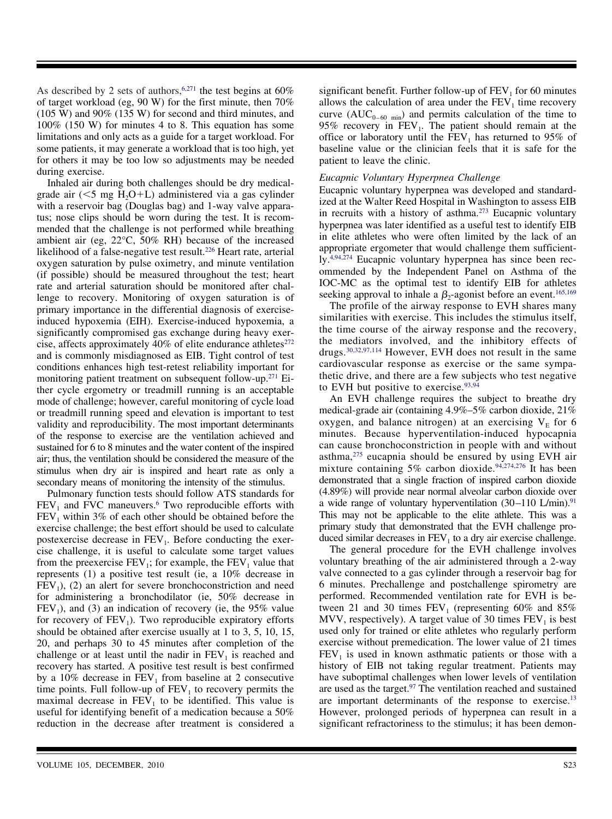As described by 2 sets of authors,  $6,271$  the test begins at  $60\%$ of target workload (eg, 90 W) for the first minute, then 70% (105 W) and 90% (135 W) for second and third minutes, and 100% (150 W) for minutes 4 to 8. This equation has some limitations and only acts as a guide for a target workload. For some patients, it may generate a workload that is too high, yet for others it may be too low so adjustments may be needed during exercise.

Inhaled air during both challenges should be dry medicalgrade air  $(<5$  mg H<sub>2</sub>O+L) administered via a gas cylinder with a reservoir bag (Douglas bag) and 1-way valve apparatus; nose clips should be worn during the test. It is recommended that the challenge is not performed while breathing ambient air (eg, 22°C, 50% RH) because of the increased likelihood of a false-negative test result.<sup>226</sup> Heart rate, arterial oxygen saturation by pulse oximetry, and minute ventilation (if possible) should be measured throughout the test; heart rate and arterial saturation should be monitored after challenge to recovery. Monitoring of oxygen saturation is of primary importance in the differential diagnosis of exerciseinduced hypoxemia (EIH). Exercise-induced hypoxemia, a significantly compromised gas exchange during heavy exercise, affects approximately 40% of elite endurance athletes<sup>272</sup> and is commonly misdiagnosed as EIB. Tight control of test conditions enhances high test-retest reliability important for monitoring patient treatment on subsequent follow-up.271 Either cycle ergometry or treadmill running is an acceptable mode of challenge; however, careful monitoring of cycle load or treadmill running speed and elevation is important to test validity and reproducibility. The most important determinants of the response to exercise are the ventilation achieved and sustained for 6 to 8 minutes and the water content of the inspired air; thus, the ventilation should be considered the measure of the stimulus when dry air is inspired and heart rate as only a secondary means of monitoring the intensity of the stimulus.

Pulmonary function tests should follow ATS standards for  $FEV<sub>1</sub>$  and FVC maneuvers.<sup>6</sup> Two reproducible efforts with  $FEV<sub>1</sub>$  within 3% of each other should be obtained before the exercise challenge; the best effort should be used to calculate postexercise decrease in  $FEV<sub>1</sub>$ . Before conducting the exercise challenge, it is useful to calculate some target values from the preexercise  $FEV_1$ ; for example, the  $FEV_1$  value that represents (1) a positive test result (ie, a 10% decrease in  $FEV<sub>1</sub>$ , (2) an alert for severe bronchoconstriction and need for administering a bronchodilator (ie, 50% decrease in  $FEV<sub>1</sub>$ ), and (3) an indication of recovery (ie, the 95% value for recovery of  $FEV<sub>1</sub>$ ). Two reproducible expiratory efforts should be obtained after exercise usually at 1 to 3, 5, 10, 15, 20, and perhaps 30 to 45 minutes after completion of the challenge or at least until the nadir in  $FEV<sub>1</sub>$  is reached and recovery has started. A positive test result is best confirmed by a 10% decrease in  $FEV<sub>1</sub>$  from baseline at 2 consecutive time points. Full follow-up of  $FEV<sub>1</sub>$  to recovery permits the maximal decrease in  $FEV<sub>1</sub>$  to be identified. This value is useful for identifying benefit of a medication because a 50% reduction in the decrease after treatment is considered a

significant benefit. Further follow-up of  $FEV<sub>1</sub>$  for 60 minutes allows the calculation of area under the  $FEV<sub>1</sub>$  time recovery curve  $(AUC_{0-60 \text{ min}})$  and permits calculation of the time to 95% recovery in  $FEV<sub>1</sub>$ . The patient should remain at the office or laboratory until the  $FEV<sub>1</sub>$  has returned to 95% of baseline value or the clinician feels that it is safe for the patient to leave the clinic.

#### *Eucapnic Voluntary Hyperpnea Challenge*

Eucapnic voluntary hyperpnea was developed and standardized at the Walter Reed Hospital in Washington to assess EIB in recruits with a history of asthma.<sup>273</sup> Eucapnic voluntary hyperpnea was later identified as a useful test to identify EIB in elite athletes who were often limited by the lack of an appropriate ergometer that would challenge them sufficiently.4,94,274 Eucapnic voluntary hyperpnea has since been recommended by the Independent Panel on Asthma of the IOC-MC as the optimal test to identify EIB for athletes seeking approval to inhale a  $\beta_2$ -agonist before an event.<sup>165,169</sup>

The profile of the airway response to EVH shares many similarities with exercise. This includes the stimulus itself, the time course of the airway response and the recovery, the mediators involved, and the inhibitory effects of drugs.30,32,97,114 However, EVH does not result in the same cardiovascular response as exercise or the same sympathetic drive, and there are a few subjects who test negative to EVH but positive to exercise. $93,94$ 

An EVH challenge requires the subject to breathe dry medical-grade air (containing 4.9%–5% carbon dioxide, 21% oxygen, and balance nitrogen) at an exercising  $V<sub>E</sub>$  for 6 minutes. Because hyperventilation-induced hypocapnia can cause bronchoconstriction in people with and without asthma,275 eucapnia should be ensured by using EVH air mixture containing 5% carbon dioxide.<sup>94,274,276</sup> It has been demonstrated that a single fraction of inspired carbon dioxide (4.89%) will provide near normal alveolar carbon dioxide over a wide range of voluntary hyperventilation  $(30-110 \text{ L/min})^{91}$ This may not be applicable to the elite athlete. This was a primary study that demonstrated that the EVH challenge produced similar decreases in  $FEV<sub>1</sub>$  to a dry air exercise challenge.

The general procedure for the EVH challenge involves voluntary breathing of the air administered through a 2-way valve connected to a gas cylinder through a reservoir bag for 6 minutes. Prechallenge and postchallenge spirometry are performed. Recommended ventilation rate for EVH is between 21 and 30 times  $FEV_1$  (representing 60% and 85% MVV, respectively). A target value of 30 times  $FEV<sub>1</sub>$  is best used only for trained or elite athletes who regularly perform exercise without premedication. The lower value of 21 times  $FEV<sub>1</sub>$  is used in known asthmatic patients or those with a history of EIB not taking regular treatment. Patients may have suboptimal challenges when lower levels of ventilation are used as the target.97 The ventilation reached and sustained are important determinants of the response to exercise.13 However, prolonged periods of hyperpnea can result in a significant refractoriness to the stimulus; it has been demon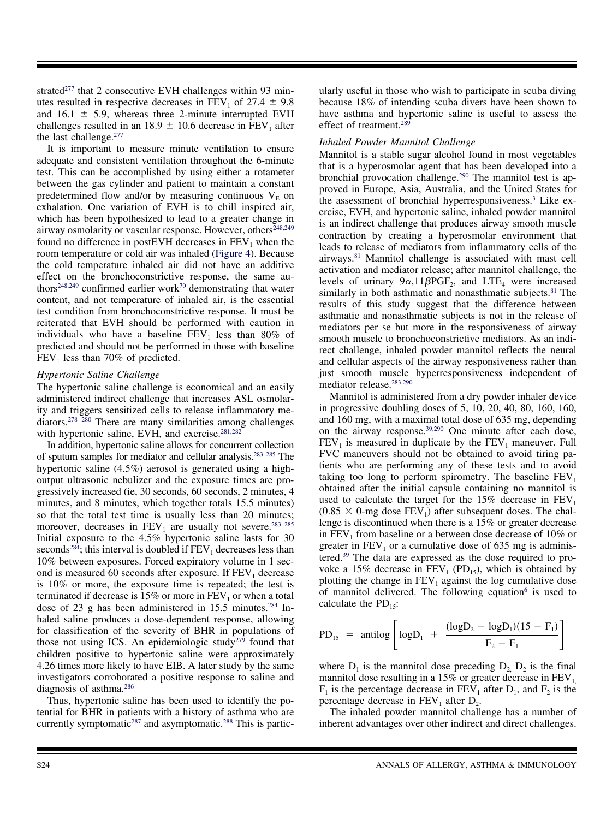strated $277$  that 2 consecutive EVH challenges within 93 minutes resulted in respective decreases in FEV<sub>1</sub> of 27.4  $\pm$  9.8 and 16.1  $\pm$  5.9, whereas three 2-minute interrupted EVH challenges resulted in an 18.9  $\pm$  10.6 decrease in FEV<sub>1</sub> after the last challenge. $277$ 

It is important to measure minute ventilation to ensure adequate and consistent ventilation throughout the 6-minute test. This can be accomplished by using either a rotameter between the gas cylinder and patient to maintain a constant predetermined flow and/or by measuring continuous  $V<sub>E</sub>$  on exhalation. One variation of EVH is to chill inspired air, which has been hypothesized to lead to a greater change in airway osmolarity or vascular response. However, others<sup>248,249</sup> found no difference in postEVH decreases in  $FEV<sub>1</sub>$  when the room temperature or cold air was inhaled (Figure 4). Because the cold temperature inhaled air did not have an additive effect on the bronchoconstrictive response, the same authors<sup>248,249</sup> confirmed earlier work<sup>70</sup> demonstrating that water content, and not temperature of inhaled air, is the essential test condition from bronchoconstrictive response. It must be reiterated that EVH should be performed with caution in individuals who have a baseline  $FEV<sub>1</sub>$  less than 80% of predicted and should not be performed in those with baseline  $FEV<sub>1</sub>$  less than 70% of predicted.

## *Hypertonic Saline Challenge*

The hypertonic saline challenge is economical and an easily administered indirect challenge that increases ASL osmolarity and triggers sensitized cells to release inflammatory me $diators.<sup>278-280</sup>$  There are many similarities among challenges with hypertonic saline, EVH, and exercise.<sup>281,282</sup>

In addition, hypertonic saline allows for concurrent collection of sputum samples for mediator and cellular analysis.283–285 The hypertonic saline (4.5%) aerosol is generated using a highoutput ultrasonic nebulizer and the exposure times are progressively increased (ie, 30 seconds, 60 seconds, 2 minutes, 4 minutes, and 8 minutes, which together totals 15.5 minutes) so that the total test time is usually less than 20 minutes; moreover, decreases in  $FEV_1$  are usually not severe.<sup>283-285</sup> Initial exposure to the 4.5% hypertonic saline lasts for 30 seconds<sup>284</sup>; this interval is doubled if  $FEV<sub>1</sub>$  decreases less than 10% between exposures. Forced expiratory volume in 1 second is measured 60 seconds after exposure. If  $FEV<sub>1</sub>$  decrease is 10% or more, the exposure time is repeated; the test is terminated if decrease is 15% or more in  $FEV<sub>1</sub>$  or when a total dose of 23 g has been administered in 15.5 minutes.<sup>284</sup> Inhaled saline produces a dose-dependent response, allowing for classification of the severity of BHR in populations of those not using ICS. An epidemiologic study<sup>279</sup> found that children positive to hypertonic saline were approximately 4.26 times more likely to have EIB. A later study by the same investigators corroborated a positive response to saline and diagnosis of asthma.286

Thus, hypertonic saline has been used to identify the potential for BHR in patients with a history of asthma who are currently symptomatic<sup>287</sup> and asymptomatic.<sup>288</sup> This is particularly useful in those who wish to participate in scuba diving because 18% of intending scuba divers have been shown to have asthma and hypertonic saline is useful to assess the effect of treatment.<sup>289</sup>

## *Inhaled Powder Mannitol Challenge*

Mannitol is a stable sugar alcohol found in most vegetables that is a hyperosmolar agent that has been developed into a bronchial provocation challenge.<sup>290</sup> The mannitol test is approved in Europe, Asia, Australia, and the United States for the assessment of bronchial hyperresponsiveness.3 Like exercise, EVH, and hypertonic saline, inhaled powder mannitol is an indirect challenge that produces airway smooth muscle contraction by creating a hyperosmolar environment that leads to release of mediators from inflammatory cells of the airways.81 Mannitol challenge is associated with mast cell activation and mediator release; after mannitol challenge, the levels of urinary  $9\alpha, 11\beta PGF_2$ , and LTE<sub>4</sub> were increased similarly in both asthmatic and nonasthmatic subjects.<sup>81</sup> The results of this study suggest that the difference between asthmatic and nonasthmatic subjects is not in the release of mediators per se but more in the responsiveness of airway smooth muscle to bronchoconstrictive mediators. As an indirect challenge, inhaled powder mannitol reflects the neural and cellular aspects of the airway responsiveness rather than just smooth muscle hyperresponsiveness independent of mediator release.283,290

Mannitol is administered from a dry powder inhaler device in progressive doubling doses of 5, 10, 20, 40, 80, 160, 160, and 160 mg, with a maximal total dose of 635 mg, depending on the airway response. $39,290$  One minute after each dose,  $FEV<sub>1</sub>$  is measured in duplicate by the  $FEV<sub>1</sub>$  maneuver. Full FVC maneuvers should not be obtained to avoid tiring patients who are performing any of these tests and to avoid taking too long to perform spirometry. The baseline  $FEV<sub>1</sub>$ obtained after the initial capsule containing no mannitol is used to calculate the target for the  $15\%$  decrease in  $FEV<sub>1</sub>$  $(0.85 \times 0$ -mg dose FEV<sub>1</sub>) after subsequent doses. The challenge is discontinued when there is a 15% or greater decrease in  $FEV<sub>1</sub>$  from baseline or a between dose decrease of 10% or greater in  $FEV<sub>1</sub>$  or a cumulative dose of 635 mg is administered.39 The data are expressed as the dose required to provoke a 15% decrease in  $FEV_1$  (PD<sub>15</sub>), which is obtained by plotting the change in  $FEV_1$  against the log cumulative dose of mannitol delivered. The following equation  $6$  is used to calculate the  $PD_{15}$ :

$$
PD_{15}
$$
 = antilog  $\left[ log D_1 + \frac{(log D_2 - log D_1)(15 - F_1)}{F_2 - F_1} \right]$ 

where  $D_1$  is the mannitol dose preceding  $D_2$ ,  $D_2$  is the final mannitol dose resulting in a 15% or greater decrease in  $FEV<sub>1</sub>$ ,  $F_1$  is the percentage decrease in  $FEV_1$  after  $D_1$ , and  $F_2$  is the percentage decrease in  $FEV_1$  after  $D_2$ .

The inhaled powder mannitol challenge has a number of inherent advantages over other indirect and direct challenges.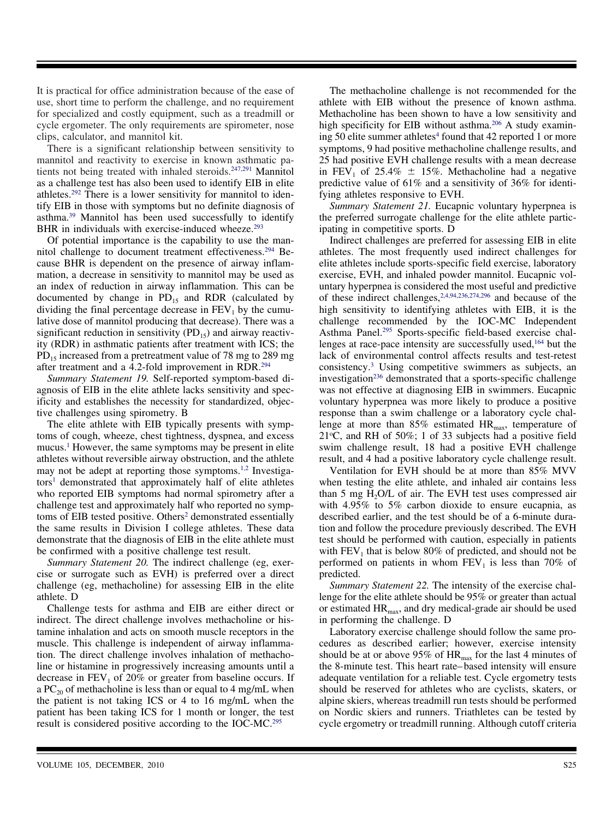It is practical for office administration because of the ease of use, short time to perform the challenge, and no requirement for specialized and costly equipment, such as a treadmill or cycle ergometer. The only requirements are spirometer, nose clips, calculator, and mannitol kit.

There is a significant relationship between sensitivity to mannitol and reactivity to exercise in known asthmatic patients not being treated with inhaled steroids.<sup>247,291</sup> Mannitol as a challenge test has also been used to identify EIB in elite athletes.292 There is a lower sensitivity for mannitol to identify EIB in those with symptoms but no definite diagnosis of asthma.39 Mannitol has been used successfully to identify BHR in individuals with exercise-induced wheeze.<sup>293</sup>

Of potential importance is the capability to use the mannitol challenge to document treatment effectiveness.<sup>294</sup> Because BHR is dependent on the presence of airway inflammation, a decrease in sensitivity to mannitol may be used as an index of reduction in airway inflammation. This can be documented by change in  $PD_{15}$  and RDR (calculated by dividing the final percentage decrease in  $FEV<sub>1</sub>$  by the cumulative dose of mannitol producing that decrease). There was a significant reduction in sensitivity  $(PD_{15})$  and airway reactivity (RDR) in asthmatic patients after treatment with ICS; the PD<sub>15</sub> increased from a pretreatment value of 78 mg to 289 mg after treatment and a 4.2-fold improvement in RDR.<sup>294</sup>

*Summary Statement 19.* Self-reported symptom-based diagnosis of EIB in the elite athlete lacks sensitivity and specificity and establishes the necessity for standardized, objective challenges using spirometry. B

The elite athlete with EIB typically presents with symptoms of cough, wheeze, chest tightness, dyspnea, and excess mucus.<sup>1</sup> However, the same symptoms may be present in elite athletes without reversible airway obstruction, and the athlete may not be adept at reporting those symptoms.<sup>1,2</sup> Investigators<sup>1</sup> demonstrated that approximately half of elite athletes who reported EIB symptoms had normal spirometry after a challenge test and approximately half who reported no symptoms of EIB tested positive. Others<sup>2</sup> demonstrated essentially the same results in Division I college athletes. These data demonstrate that the diagnosis of EIB in the elite athlete must be confirmed with a positive challenge test result.

*Summary Statement 20.* The indirect challenge (eg, exercise or surrogate such as EVH) is preferred over a direct challenge (eg, methacholine) for assessing EIB in the elite athlete. D

Challenge tests for asthma and EIB are either direct or indirect. The direct challenge involves methacholine or histamine inhalation and acts on smooth muscle receptors in the muscle. This challenge is independent of airway inflammation. The direct challenge involves inhalation of methacholine or histamine in progressively increasing amounts until a decrease in  $FEV_1$  of 20% or greater from baseline occurs. If a PC<sub>20</sub> of methacholine is less than or equal to 4 mg/mL when the patient is not taking ICS or 4 to 16 mg/mL when the patient has been taking ICS for 1 month or longer, the test result is considered positive according to the IOC-MC.295

The methacholine challenge is not recommended for the athlete with EIB without the presence of known asthma. Methacholine has been shown to have a low sensitivity and high specificity for EIB without asthma.<sup>206</sup> A study examining 50 elite summer athletes<sup>4</sup> found that 42 reported 1 or more symptoms, 9 had positive methacholine challenge results, and 25 had positive EVH challenge results with a mean decrease in FEV<sub>1</sub> of 25.4%  $\pm$  15%. Methacholine had a negative predictive value of 61% and a sensitivity of 36% for identifying athletes responsive to EVH.

*Summary Statement 21.* Eucapnic voluntary hyperpnea is the preferred surrogate challenge for the elite athlete participating in competitive sports. D

Indirect challenges are preferred for assessing EIB in elite athletes. The most frequently used indirect challenges for elite athletes include sports-specific field exercise, laboratory exercise, EVH, and inhaled powder mannitol. Eucapnic voluntary hyperpnea is considered the most useful and predictive of these indirect challenges,2,4,94,236,274,296 and because of the high sensitivity to identifying athletes with EIB, it is the challenge recommended by the IOC-MC Independent Asthma Panel.295 Sports-specific field-based exercise challenges at race-pace intensity are successfully used,<sup>164</sup> but the lack of environmental control affects results and test-retest consistency.3 Using competitive swimmers as subjects, an investigation<sup>236</sup> demonstrated that a sports-specific challenge was not effective at diagnosing EIB in swimmers. Eucapnic voluntary hyperpnea was more likely to produce a positive response than a swim challenge or a laboratory cycle challenge at more than  $85\%$  estimated  $HR_{max}$ , temperature of 21 $\degree$ C, and RH of 50%; 1 of 33 subjects had a positive field swim challenge result, 18 had a positive EVH challenge result, and 4 had a positive laboratory cycle challenge result.

Ventilation for EVH should be at more than 85% MVV when testing the elite athlete, and inhaled air contains less than 5 mg  $H<sub>2</sub>O/L$  of air. The EVH test uses compressed air with 4.95% to 5% carbon dioxide to ensure eucapnia, as described earlier, and the test should be of a 6-minute duration and follow the procedure previously described. The EVH test should be performed with caution, especially in patients with  $FEV<sub>1</sub>$  that is below 80% of predicted, and should not be performed on patients in whom  $FEV<sub>1</sub>$  is less than 70% of predicted.

*Summary Statement 22.* The intensity of the exercise challenge for the elite athlete should be 95% or greater than actual or estimated  $HR<sub>max</sub>$ , and dry medical-grade air should be used in performing the challenge. D

Laboratory exercise challenge should follow the same procedures as described earlier; however, exercise intensity should be at or above 95% of  $HR_{max}$  for the last 4 minutes of the 8-minute test. This heart rate– based intensity will ensure adequate ventilation for a reliable test. Cycle ergometry tests should be reserved for athletes who are cyclists, skaters, or alpine skiers, whereas treadmill run tests should be performed on Nordic skiers and runners. Triathletes can be tested by cycle ergometry or treadmill running. Although cutoff criteria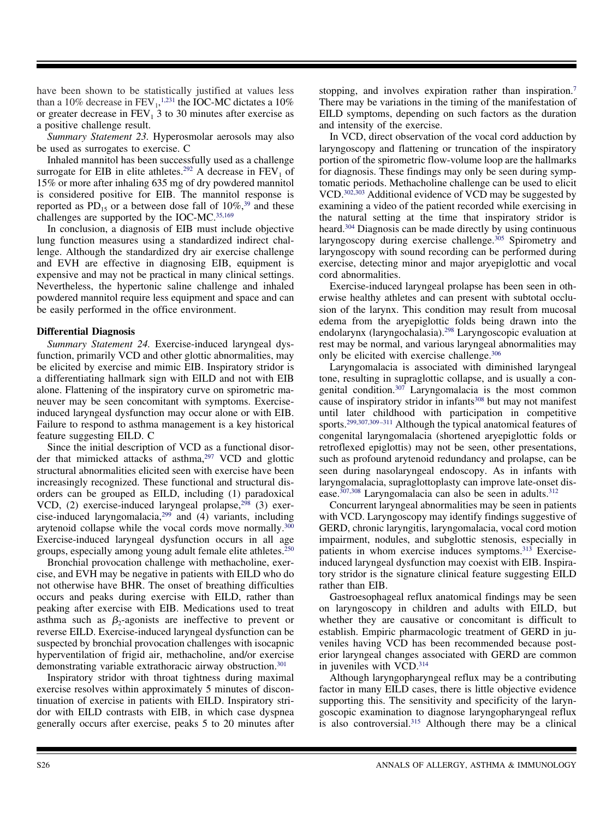have been shown to be statistically justified at values less than a 10% decrease in  $FEV<sub>1</sub><sup>1,231</sup>$  the IOC-MC dictates a 10% or greater decrease in  $FEV_1$  3 to 30 minutes after exercise as a positive challenge result.

*Summary Statement 23.* Hyperosmolar aerosols may also be used as surrogates to exercise. C

Inhaled mannitol has been successfully used as a challenge surrogate for EIB in elite athletes.<sup>292</sup> A decrease in FEV<sub>1</sub> of 15% or more after inhaling 635 mg of dry powdered mannitol is considered positive for EIB. The mannitol response is reported as  $PD_{15}$  or a between dose fall of  $10\%,^{39}$  and these challenges are supported by the IOC-MC.<sup>35,169</sup>

In conclusion, a diagnosis of EIB must include objective lung function measures using a standardized indirect challenge. Although the standardized dry air exercise challenge and EVH are effective in diagnosing EIB, equipment is expensive and may not be practical in many clinical settings. Nevertheless, the hypertonic saline challenge and inhaled powdered mannitol require less equipment and space and can be easily performed in the office environment.

#### **Differential Diagnosis**

*Summary Statement 24.* Exercise-induced laryngeal dysfunction, primarily VCD and other glottic abnormalities, may be elicited by exercise and mimic EIB. Inspiratory stridor is a differentiating hallmark sign with EILD and not with EIB alone. Flattening of the inspiratory curve on spirometric maneuver may be seen concomitant with symptoms. Exerciseinduced laryngeal dysfunction may occur alone or with EIB. Failure to respond to asthma management is a key historical feature suggesting EILD. C

Since the initial description of VCD as a functional disorder that mimicked attacks of asthma,297 VCD and glottic structural abnormalities elicited seen with exercise have been increasingly recognized. These functional and structural disorders can be grouped as EILD, including (1) paradoxical VCD,  $(2)$  exercise-induced laryngeal prolapse,<sup>298</sup>  $(3)$  exercise-induced laryngomalacia, $299$  and (4) variants, including arytenoid collapse while the vocal cords move normally.<sup>300</sup> Exercise-induced laryngeal dysfunction occurs in all age groups, especially among young adult female elite athletes. $250$ 

Bronchial provocation challenge with methacholine, exercise, and EVH may be negative in patients with EILD who do not otherwise have BHR. The onset of breathing difficulties occurs and peaks during exercise with EILD, rather than peaking after exercise with EIB. Medications used to treat asthma such as  $\beta_2$ -agonists are ineffective to prevent or reverse EILD. Exercise-induced laryngeal dysfunction can be suspected by bronchial provocation challenges with isocapnic hyperventilation of frigid air, methacholine, and/or exercise demonstrating variable extrathoracic airway obstruction.<sup>301</sup>

Inspiratory stridor with throat tightness during maximal exercise resolves within approximately 5 minutes of discontinuation of exercise in patients with EILD. Inspiratory stridor with EILD contrasts with EIB, in which case dyspnea generally occurs after exercise, peaks 5 to 20 minutes after

stopping, and involves expiration rather than inspiration.7 There may be variations in the timing of the manifestation of EILD symptoms, depending on such factors as the duration and intensity of the exercise.

In VCD, direct observation of the vocal cord adduction by laryngoscopy and flattening or truncation of the inspiratory portion of the spirometric flow-volume loop are the hallmarks for diagnosis. These findings may only be seen during symptomatic periods. Methacholine challenge can be used to elicit VCD.302,303 Additional evidence of VCD may be suggested by examining a video of the patient recorded while exercising in the natural setting at the time that inspiratory stridor is heard.304 Diagnosis can be made directly by using continuous laryngoscopy during exercise challenge.<sup>305</sup> Spirometry and laryngoscopy with sound recording can be performed during exercise, detecting minor and major aryepiglottic and vocal cord abnormalities.

Exercise-induced laryngeal prolapse has been seen in otherwise healthy athletes and can present with subtotal occlusion of the larynx. This condition may result from mucosal edema from the aryepiglottic folds being drawn into the endolarynx (laryngochalasia).298 Laryngoscopic evaluation at rest may be normal, and various laryngeal abnormalities may only be elicited with exercise challenge.<sup>306</sup>

Laryngomalacia is associated with diminished laryngeal tone, resulting in supraglottic collapse, and is usually a congenital condition. $307$  Laryngomalacia is the most common cause of inspiratory stridor in infants<sup>308</sup> but may not manifest until later childhood with participation in competitive sports.<sup>299,307,309-311</sup> Although the typical anatomical features of congenital laryngomalacia (shortened aryepiglottic folds or retroflexed epiglottis) may not be seen, other presentations, such as profound arytenoid redundancy and prolapse, can be seen during nasolaryngeal endoscopy. As in infants with laryngomalacia, supraglottoplasty can improve late-onset disease.307,308 Laryngomalacia can also be seen in adults.312

Concurrent laryngeal abnormalities may be seen in patients with VCD. Laryngoscopy may identify findings suggestive of GERD, chronic laryngitis, laryngomalacia, vocal cord motion impairment, nodules, and subglottic stenosis, especially in patients in whom exercise induces symptoms.<sup>313</sup> Exerciseinduced laryngeal dysfunction may coexist with EIB. Inspiratory stridor is the signature clinical feature suggesting EILD rather than EIB.

Gastroesophageal reflux anatomical findings may be seen on laryngoscopy in children and adults with EILD, but whether they are causative or concomitant is difficult to establish. Empiric pharmacologic treatment of GERD in juveniles having VCD has been recommended because posterior laryngeal changes associated with GERD are common in juveniles with VCD.<sup>314</sup>

Although laryngopharyngeal reflux may be a contributing factor in many EILD cases, there is little objective evidence supporting this. The sensitivity and specificity of the laryngoscopic examination to diagnose laryngopharyngeal reflux is also controversial.315 Although there may be a clinical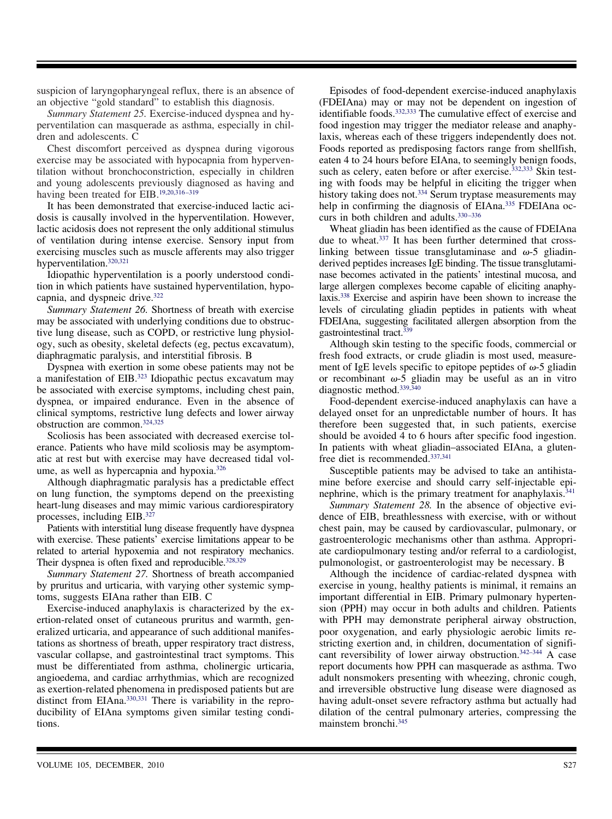suspicion of laryngopharyngeal reflux, there is an absence of an objective "gold standard" to establish this diagnosis.

*Summary Statement 25.* Exercise-induced dyspnea and hyperventilation can masquerade as asthma, especially in children and adolescents. C

Chest discomfort perceived as dyspnea during vigorous exercise may be associated with hypocapnia from hyperventilation without bronchoconstriction, especially in children and young adolescents previously diagnosed as having and having been treated for EIB.<sup>19,20,316-319</sup>

It has been demonstrated that exercise-induced lactic acidosis is causally involved in the hyperventilation. However, lactic acidosis does not represent the only additional stimulus of ventilation during intense exercise. Sensory input from exercising muscles such as muscle afferents may also trigger hyperventilation.320,321

Idiopathic hyperventilation is a poorly understood condition in which patients have sustained hyperventilation, hypocapnia, and dyspneic drive.<sup>322</sup>

*Summary Statement 26.* Shortness of breath with exercise may be associated with underlying conditions due to obstructive lung disease, such as COPD, or restrictive lung physiology, such as obesity, skeletal defects (eg, pectus excavatum), diaphragmatic paralysis, and interstitial fibrosis. B

Dyspnea with exertion in some obese patients may not be a manifestation of EIB.<sup>323</sup> Idiopathic pectus excavatum may be associated with exercise symptoms, including chest pain, dyspnea, or impaired endurance. Even in the absence of clinical symptoms, restrictive lung defects and lower airway obstruction are common.324,325

Scoliosis has been associated with decreased exercise tolerance. Patients who have mild scoliosis may be asymptomatic at rest but with exercise may have decreased tidal volume, as well as hypercapnia and hypoxia.<sup>326</sup>

Although diaphragmatic paralysis has a predictable effect on lung function, the symptoms depend on the preexisting heart-lung diseases and may mimic various cardiorespiratory processes, including EIB.327

Patients with interstitial lung disease frequently have dyspnea with exercise. These patients' exercise limitations appear to be related to arterial hypoxemia and not respiratory mechanics. Their dyspnea is often fixed and reproducible.<sup>328,329</sup>

*Summary Statement 27.* Shortness of breath accompanied by pruritus and urticaria, with varying other systemic symptoms, suggests EIAna rather than EIB. C

Exercise-induced anaphylaxis is characterized by the exertion-related onset of cutaneous pruritus and warmth, generalized urticaria, and appearance of such additional manifestations as shortness of breath, upper respiratory tract distress, vascular collapse, and gastrointestinal tract symptoms. This must be differentiated from asthma, cholinergic urticaria, angioedema, and cardiac arrhythmias, which are recognized as exertion-related phenomena in predisposed patients but are distinct from EIAna.330,331 There is variability in the reproducibility of EIAna symptoms given similar testing conditions.

Episodes of food-dependent exercise-induced anaphylaxis (FDEIAna) may or may not be dependent on ingestion of identifiable foods.332,333 The cumulative effect of exercise and food ingestion may trigger the mediator release and anaphylaxis, whereas each of these triggers independently does not. Foods reported as predisposing factors range from shellfish, eaten 4 to 24 hours before EIAna, to seemingly benign foods, such as celery, eaten before or after exercise.<sup>332,333</sup> Skin testing with foods may be helpful in eliciting the trigger when history taking does not.<sup>334</sup> Serum tryptase measurements may help in confirming the diagnosis of EIAna.<sup>335</sup> FDEIAna occurs in both children and adults.<sup>330-336</sup>

Wheat gliadin has been identified as the cause of FDEIAna due to wheat.<sup>337</sup> It has been further determined that crosslinking between tissue transglutaminase and  $\omega$ -5 gliadinderived peptides increases IgE binding. The tissue transglutaminase becomes activated in the patients' intestinal mucosa, and large allergen complexes become capable of eliciting anaphylaxis.338 Exercise and aspirin have been shown to increase the levels of circulating gliadin peptides in patients with wheat FDEIAna, suggesting facilitated allergen absorption from the gastrointestinal tract.339

Although skin testing to the specific foods, commercial or fresh food extracts, or crude gliadin is most used, measurement of IgE levels specific to epitope peptides of  $\omega$ -5 gliadin or recombinant  $\omega$ -5 gliadin may be useful as an in vitro diagnostic method.<sup>339,340</sup>

Food-dependent exercise-induced anaphylaxis can have a delayed onset for an unpredictable number of hours. It has therefore been suggested that, in such patients, exercise should be avoided 4 to 6 hours after specific food ingestion. In patients with wheat gliadin–associated EIAna, a glutenfree diet is recommended.337,341

Susceptible patients may be advised to take an antihistamine before exercise and should carry self-injectable epinephrine, which is the primary treatment for anaphylaxis.<sup>341</sup>

*Summary Statement 28.* In the absence of objective evidence of EIB, breathlessness with exercise, with or without chest pain, may be caused by cardiovascular, pulmonary, or gastroenterologic mechanisms other than asthma. Appropriate cardiopulmonary testing and/or referral to a cardiologist, pulmonologist, or gastroenterologist may be necessary. B

Although the incidence of cardiac-related dyspnea with exercise in young, healthy patients is minimal, it remains an important differential in EIB. Primary pulmonary hypertension (PPH) may occur in both adults and children. Patients with PPH may demonstrate peripheral airway obstruction, poor oxygenation, and early physiologic aerobic limits restricting exertion and, in children, documentation of significant reversibility of lower airway obstruction.<sup>342-344</sup> A case report documents how PPH can masquerade as asthma. Two adult nonsmokers presenting with wheezing, chronic cough, and irreversible obstructive lung disease were diagnosed as having adult-onset severe refractory asthma but actually had dilation of the central pulmonary arteries, compressing the mainstem bronchi.345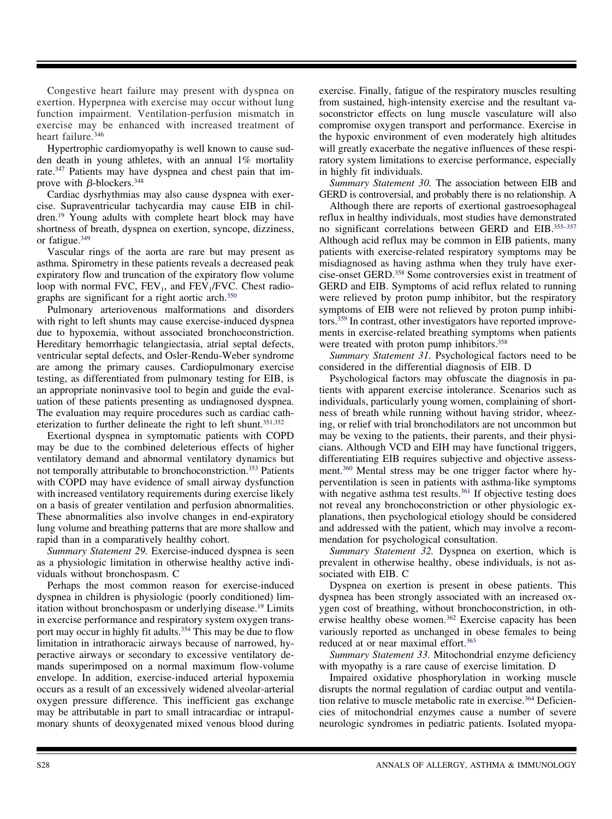Congestive heart failure may present with dyspnea on exertion. Hyperpnea with exercise may occur without lung function impairment. Ventilation-perfusion mismatch in exercise may be enhanced with increased treatment of heart failure.<sup>346</sup>

Hypertrophic cardiomyopathy is well known to cause sudden death in young athletes, with an annual 1% mortality rate.<sup>347</sup> Patients may have dyspnea and chest pain that improve with  $\beta$ -blockers.<sup>348</sup>

Cardiac dysrhythmias may also cause dyspnea with exercise. Supraventricular tachycardia may cause EIB in children.19 Young adults with complete heart block may have shortness of breath, dyspnea on exertion, syncope, dizziness, or fatigue.<sup>349</sup>

Vascular rings of the aorta are rare but may present as asthma. Spirometry in these patients reveals a decreased peak expiratory flow and truncation of the expiratory flow volume loop with normal FVC,  $FEV_1$ , and  $FEV_1/FVC$ . Chest radiographs are significant for a right aortic arch.350

Pulmonary arteriovenous malformations and disorders with right to left shunts may cause exercise-induced dyspnea due to hypoxemia, without associated bronchoconstriction. Hereditary hemorrhagic telangiectasia, atrial septal defects, ventricular septal defects, and Osler-Rendu-Weber syndrome are among the primary causes. Cardiopulmonary exercise testing, as differentiated from pulmonary testing for EIB, is an appropriate noninvasive tool to begin and guide the evaluation of these patients presenting as undiagnosed dyspnea. The evaluation may require procedures such as cardiac catheterization to further delineate the right to left shunt.<sup>351,352</sup>

Exertional dyspnea in symptomatic patients with COPD may be due to the combined deleterious effects of higher ventilatory demand and abnormal ventilatory dynamics but not temporally attributable to bronchoconstriction.353 Patients with COPD may have evidence of small airway dysfunction with increased ventilatory requirements during exercise likely on a basis of greater ventilation and perfusion abnormalities. These abnormalities also involve changes in end-expiratory lung volume and breathing patterns that are more shallow and rapid than in a comparatively healthy cohort.

*Summary Statement 29.* Exercise-induced dyspnea is seen as a physiologic limitation in otherwise healthy active individuals without bronchospasm. C

Perhaps the most common reason for exercise-induced dyspnea in children is physiologic (poorly conditioned) limitation without bronchospasm or underlying disease.19 Limits in exercise performance and respiratory system oxygen transport may occur in highly fit adults.<sup>354</sup> This may be due to flow limitation in intrathoracic airways because of narrowed, hyperactive airways or secondary to excessive ventilatory demands superimposed on a normal maximum flow-volume envelope. In addition, exercise-induced arterial hypoxemia occurs as a result of an excessively widened alveolar-arterial oxygen pressure difference. This inefficient gas exchange may be attributable in part to small intracardiac or intrapulmonary shunts of deoxygenated mixed venous blood during exercise. Finally, fatigue of the respiratory muscles resulting from sustained, high-intensity exercise and the resultant vasoconstrictor effects on lung muscle vasculature will also compromise oxygen transport and performance. Exercise in the hypoxic environment of even moderately high altitudes will greatly exacerbate the negative influences of these respiratory system limitations to exercise performance, especially in highly fit individuals.

*Summary Statement 30.* The association between EIB and GERD is controversial, and probably there is no relationship. A

Although there are reports of exertional gastroesophageal reflux in healthy individuals, most studies have demonstrated no significant correlations between GERD and EIB.355–357 Although acid reflux may be common in EIB patients, many patients with exercise-related respiratory symptoms may be misdiagnosed as having asthma when they truly have exercise-onset GERD.358 Some controversies exist in treatment of GERD and EIB. Symptoms of acid reflux related to running were relieved by proton pump inhibitor, but the respiratory symptoms of EIB were not relieved by proton pump inhibitors.359 In contrast, other investigators have reported improvements in exercise-related breathing symptoms when patients were treated with proton pump inhibitors.<sup>358</sup>

*Summary Statement 31.* Psychological factors need to be considered in the differential diagnosis of EIB. D

Psychological factors may obfuscate the diagnosis in patients with apparent exercise intolerance. Scenarios such as individuals, particularly young women, complaining of shortness of breath while running without having stridor, wheezing, or relief with trial bronchodilators are not uncommon but may be vexing to the patients, their parents, and their physicians. Although VCD and EIH may have functional triggers, differentiating EIB requires subjective and objective assessment.360 Mental stress may be one trigger factor where hyperventilation is seen in patients with asthma-like symptoms with negative asthma test results.<sup>361</sup> If objective testing does not reveal any bronchoconstriction or other physiologic explanations, then psychological etiology should be considered and addressed with the patient, which may involve a recommendation for psychological consultation.

*Summary Statement 32.* Dyspnea on exertion, which is prevalent in otherwise healthy, obese individuals, is not associated with EIB. C

Dyspnea on exertion is present in obese patients. This dyspnea has been strongly associated with an increased oxygen cost of breathing, without bronchoconstriction, in otherwise healthy obese women.<sup>362</sup> Exercise capacity has been variously reported as unchanged in obese females to being reduced at or near maximal effort.363

*Summary Statement 33.* Mitochondrial enzyme deficiency with myopathy is a rare cause of exercise limitation. D

Impaired oxidative phosphorylation in working muscle disrupts the normal regulation of cardiac output and ventilation relative to muscle metabolic rate in exercise.<sup>364</sup> Deficiencies of mitochondrial enzymes cause a number of severe neurologic syndromes in pediatric patients. Isolated myopa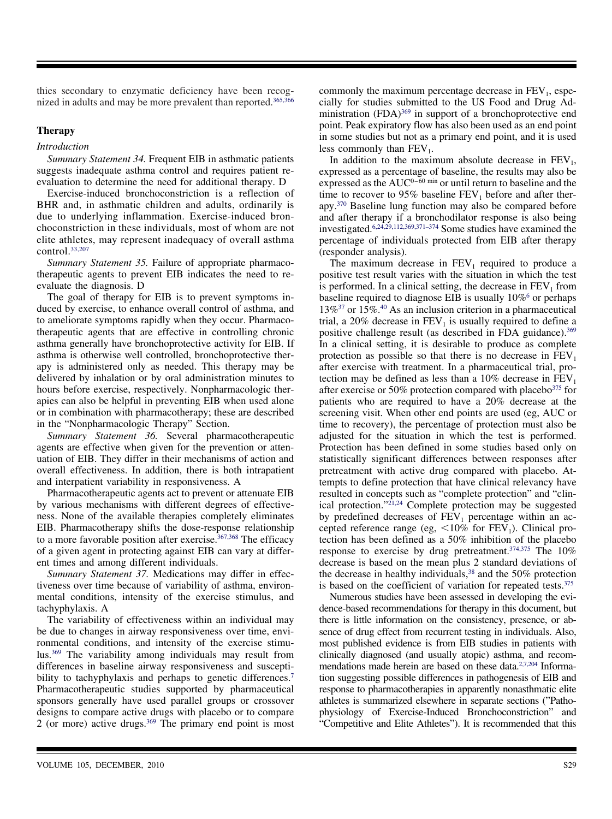thies secondary to enzymatic deficiency have been recognized in adults and may be more prevalent than reported.<sup>365,366</sup>

#### **Therapy**

#### *Introduction*

*Summary Statement 34.* Frequent EIB in asthmatic patients suggests inadequate asthma control and requires patient reevaluation to determine the need for additional therapy. D

Exercise-induced bronchoconstriction is a reflection of BHR and, in asthmatic children and adults, ordinarily is due to underlying inflammation. Exercise-induced bronchoconstriction in these individuals, most of whom are not elite athletes, may represent inadequacy of overall asthma control.33,207

*Summary Statement 35.* Failure of appropriate pharmacotherapeutic agents to prevent EIB indicates the need to reevaluate the diagnosis. D

The goal of therapy for EIB is to prevent symptoms induced by exercise, to enhance overall control of asthma, and to ameliorate symptoms rapidly when they occur. Pharmacotherapeutic agents that are effective in controlling chronic asthma generally have bronchoprotective activity for EIB. If asthma is otherwise well controlled, bronchoprotective therapy is administered only as needed. This therapy may be delivered by inhalation or by oral administration minutes to hours before exercise, respectively. Nonpharmacologic therapies can also be helpful in preventing EIB when used alone or in combination with pharmacotherapy; these are described in the "Nonpharmacologic Therapy" Section.

*Summary Statement 36.* Several pharmacotherapeutic agents are effective when given for the prevention or attenuation of EIB. They differ in their mechanisms of action and overall effectiveness. In addition, there is both intrapatient and interpatient variability in responsiveness. A

Pharmacotherapeutic agents act to prevent or attenuate EIB by various mechanisms with different degrees of effectiveness. None of the available therapies completely eliminates EIB. Pharmacotherapy shifts the dose-response relationship to a more favorable position after exercise.<sup>367,368</sup> The efficacy of a given agent in protecting against EIB can vary at different times and among different individuals.

*Summary Statement 37.* Medications may differ in effectiveness over time because of variability of asthma, environmental conditions, intensity of the exercise stimulus, and tachyphylaxis. A

The variability of effectiveness within an individual may be due to changes in airway responsiveness over time, environmental conditions, and intensity of the exercise stimulus.369 The variability among individuals may result from differences in baseline airway responsiveness and susceptibility to tachyphylaxis and perhaps to genetic differences.<sup>7</sup> Pharmacotherapeutic studies supported by pharmaceutical sponsors generally have used parallel groups or crossover designs to compare active drugs with placebo or to compare 2 (or more) active drugs.369 The primary end point is most commonly the maximum percentage decrease in  $FEV<sub>1</sub>$ , especially for studies submitted to the US Food and Drug Administration (FDA)<sup>369</sup> in support of a bronchoprotective end point. Peak expiratory flow has also been used as an end point in some studies but not as a primary end point, and it is used less commonly than  $FEV<sub>1</sub>$ .

In addition to the maximum absolute decrease in  $FEV<sub>1</sub>$ , expressed as a percentage of baseline, the results may also be expressed as the  $AUC^{0-60 \text{ min}}$  or until return to baseline and the time to recover to 95% baseline  $FEV<sub>1</sub>$  before and after therapy.370 Baseline lung function may also be compared before and after therapy if a bronchodilator response is also being investigated.6,24,29,112,369,371–374 Some studies have examined the percentage of individuals protected from EIB after therapy (responder analysis).

The maximum decrease in  $FEV_1$  required to produce a positive test result varies with the situation in which the test is performed. In a clinical setting, the decrease in  $FEV<sub>1</sub>$  from baseline required to diagnose EIB is usually 10%6 or perhaps  $13\%$ <sup>37</sup> or  $15\%$ .<sup>40</sup> As an inclusion criterion in a pharmaceutical trial, a  $20\%$  decrease in FEV<sub>1</sub> is usually required to define a positive challenge result (as described in FDA guidance).369 In a clinical setting, it is desirable to produce as complete protection as possible so that there is no decrease in  $FEV<sub>1</sub>$ after exercise with treatment. In a pharmaceutical trial, protection may be defined as less than a  $10\%$  decrease in  $FEV<sub>1</sub>$ after exercise or 50% protection compared with placebo $375$  for patients who are required to have a 20% decrease at the screening visit. When other end points are used (eg, AUC or time to recovery), the percentage of protection must also be adjusted for the situation in which the test is performed. Protection has been defined in some studies based only on statistically significant differences between responses after pretreatment with active drug compared with placebo. Attempts to define protection that have clinical relevancy have resulted in concepts such as "complete protection" and "clinical protection."21,24 Complete protection may be suggested by predefined decreases of  $FEV<sub>1</sub>$  percentage within an accepted reference range (eg,  $\leq 10\%$  for FEV<sub>1</sub>). Clinical protection has been defined as a 50% inhibition of the placebo response to exercise by drug pretreatment.<sup>374,375</sup> The 10% decrease is based on the mean plus 2 standard deviations of the decrease in healthy individuals,<sup>38</sup> and the 50% protection is based on the coefficient of variation for repeated tests.<sup>375</sup>

Numerous studies have been assessed in developing the evidence-based recommendations for therapy in this document, but there is little information on the consistency, presence, or absence of drug effect from recurrent testing in individuals. Also, most published evidence is from EIB studies in patients with clinically diagnosed (and usually atopic) asthma, and recommendations made herein are based on these data.<sup>2,7,204</sup> Information suggesting possible differences in pathogenesis of EIB and response to pharmacotherapies in apparently nonasthmatic elite athletes is summarized elsewhere in separate sections ("Pathophysiology of Exercise-Induced Bronchoconstriction" and "Competitive and Elite Athletes"). It is recommended that this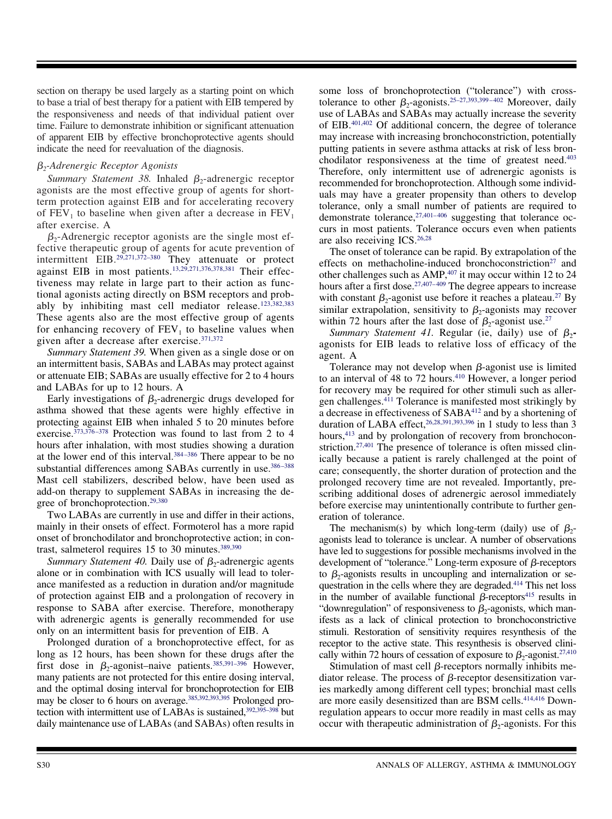section on therapy be used largely as a starting point on which to base a trial of best therapy for a patient with EIB tempered by the responsiveness and needs of that individual patient over time. Failure to demonstrate inhibition or significant attenuation of apparent EIB by effective bronchoprotective agents should indicate the need for reevaluation of the diagnosis.

#### *2-Adrenergic Receptor Agonists*

*Summary Statement 38.* Inhaled  $\beta_2$ -adrenergic receptor agonists are the most effective group of agents for shortterm protection against EIB and for accelerating recovery of  $FEV<sub>1</sub>$  to baseline when given after a decrease in  $FEV<sub>1</sub>$ after exercise. A

 $\beta$ -Adrenergic receptor agonists are the single most effective therapeutic group of agents for acute prevention of intermittent EIB.29,271,372–380 They attenuate or protect against EIB in most patients.13,29,271,376,378,381 Their effectiveness may relate in large part to their action as functional agonists acting directly on BSM receptors and probably by inhibiting mast cell mediator release.123,382,383 These agents also are the most effective group of agents for enhancing recovery of  $FEV<sub>1</sub>$  to baseline values when given after a decrease after exercise.<sup>371,372</sup>

*Summary Statement 39.* When given as a single dose or on an intermittent basis, SABAs and LABAs may protect against or attenuate EIB; SABAs are usually effective for 2 to 4 hours and LABAs for up to 12 hours. A

Early investigations of  $\beta_2$ -adrenergic drugs developed for asthma showed that these agents were highly effective in protecting against EIB when inhaled 5 to 20 minutes before exercise.<sup>373,376-378</sup> Protection was found to last from 2 to 4 hours after inhalation, with most studies showing a duration at the lower end of this interval.384 –386 There appear to be no substantial differences among SABAs currently in use.<sup>386-388</sup> Mast cell stabilizers, described below, have been used as add-on therapy to supplement SABAs in increasing the degree of bronchoprotection.29,380

Two LABAs are currently in use and differ in their actions, mainly in their onsets of effect. Formoterol has a more rapid onset of bronchodilator and bronchoprotective action; in contrast, salmeterol requires 15 to 30 minutes.<sup>389,390</sup>

*Summary Statement 40.* Daily use of  $\beta_2$ -adrenergic agents alone or in combination with ICS usually will lead to tolerance manifested as a reduction in duration and/or magnitude of protection against EIB and a prolongation of recovery in response to SABA after exercise. Therefore, monotherapy with adrenergic agents is generally recommended for use only on an intermittent basis for prevention of EIB. A

Prolonged duration of a bronchoprotective effect, for as long as 12 hours, has been shown for these drugs after the first dose in  $\beta_2$ -agonist–naive patients.<sup>385,391–396</sup> However, many patients are not protected for this entire dosing interval, and the optimal dosing interval for bronchoprotection for EIB may be closer to 6 hours on average.385,392,393,395 Prolonged protection with intermittent use of LABAs is sustained,<sup>392,395–398</sup> but daily maintenance use of LABAs (and SABAs) often results in some loss of bronchoprotection ("tolerance") with crosstolerance to other  $\beta_2$ -agonists.<sup>25-27,393,399-402</sup> Moreover, daily use of LABAs and SABAs may actually increase the severity of EIB.401,402 Of additional concern, the degree of tolerance may increase with increasing bronchoconstriction, potentially putting patients in severe asthma attacks at risk of less bronchodilator responsiveness at the time of greatest need.403 Therefore, only intermittent use of adrenergic agonists is recommended for bronchoprotection. Although some individuals may have a greater propensity than others to develop tolerance, only a small number of patients are required to demonstrate tolerance,  $27,401-406$  suggesting that tolerance occurs in most patients. Tolerance occurs even when patients are also receiving ICS.26,28

The onset of tolerance can be rapid. By extrapolation of the effects on methacholine-induced bronchoconstriction<sup>27</sup> and other challenges such as  $AMP<sub>+</sub><sup>407</sup>$  it may occur within 12 to 24 hours after a first dose.<sup>27,407-409</sup> The degree appears to increase with constant  $\beta_2$ -agonist use before it reaches a plateau.<sup>27</sup> By similar extrapolation, sensitivity to  $\beta_2$ -agonists may recover within 72 hours after the last dose of  $\beta_2$ -agonist use.<sup>27</sup>

*Summary Statement 41.* Regular (ie, daily) use of  $\beta$ <sup>-</sup> agonists for EIB leads to relative loss of efficacy of the agent. A

Tolerance may not develop when  $\beta$ -agonist use is limited to an interval of 48 to 72 hours.<sup>410</sup> However, a longer period for recovery may be required for other stimuli such as allergen challenges.411 Tolerance is manifested most strikingly by a decrease in effectiveness of SABA412 and by a shortening of duration of LABA effect,  $26,28,391,393,396$  in 1 study to less than 3 hours,<sup>413</sup> and by prolongation of recovery from bronchoconstriction.<sup>27,401</sup> The presence of tolerance is often missed clinically because a patient is rarely challenged at the point of care; consequently, the shorter duration of protection and the prolonged recovery time are not revealed. Importantly, prescribing additional doses of adrenergic aerosol immediately before exercise may unintentionally contribute to further generation of tolerance.

The mechanism(s) by which long-term (daily) use of  $\beta_2$ agonists lead to tolerance is unclear. A number of observations have led to suggestions for possible mechanisms involved in the development of "tolerance." Long-term exposure of  $\beta$ -receptors to  $\beta_2$ -agonists results in uncoupling and internalization or sequestration in the cells where they are degraded.414 This net loss in the number of available functional  $\beta$ -receptors<sup>415</sup> results in "downregulation" of responsiveness to  $\beta_2$ -agonists, which manifests as a lack of clinical protection to bronchoconstrictive stimuli. Restoration of sensitivity requires resynthesis of the receptor to the active state. This resynthesis is observed clinically within 72 hours of cessation of exposure to  $\beta_2$ -agonist.<sup>27,410</sup>

Stimulation of mast cell  $\beta$ -receptors normally inhibits mediator release. The process of  $\beta$ -receptor desensitization varies markedly among different cell types; bronchial mast cells are more easily desensitized than are BSM cells.<sup>414,416</sup> Downregulation appears to occur more readily in mast cells as may occur with therapeutic administration of  $\beta_2$ -agonists. For this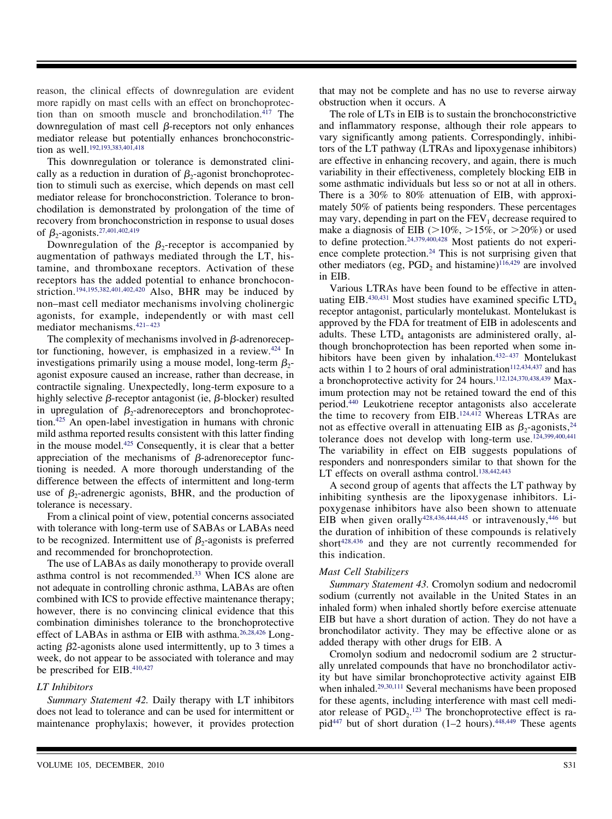reason, the clinical effects of downregulation are evident more rapidly on mast cells with an effect on bronchoprotection than on smooth muscle and bronchodilation.<sup>417</sup> The downregulation of mast cell  $\beta$ -receptors not only enhances mediator release but potentially enhances bronchoconstriction as well.192,193,383,401,418

This downregulation or tolerance is demonstrated clinically as a reduction in duration of  $\beta_2$ -agonist bronchoprotection to stimuli such as exercise, which depends on mast cell mediator release for bronchoconstriction. Tolerance to bronchodilation is demonstrated by prolongation of the time of recovery from bronchoconstriction in response to usual doses of  $\beta_2$ -agonists.<sup>27,401,402,419</sup>

Downregulation of the  $\beta_2$ -receptor is accompanied by augmentation of pathways mediated through the LT, histamine, and thromboxane receptors. Activation of these receptors has the added potential to enhance bronchoconstriction.<sup>194,195,382,401,402,420</sup> Also, BHR may be induced by non–mast cell mediator mechanisms involving cholinergic agonists, for example, independently or with mast cell mediator mechanisms. $421-423$ 

The complexity of mechanisms involved in  $\beta$ -adrenoreceptor functioning, however, is emphasized in a review.<sup>424</sup> In investigations primarily using a mouse model, long-term  $\beta_2$ agonist exposure caused an increase, rather than decrease, in contractile signaling. Unexpectedly, long-term exposure to a highly selective  $\beta$ -receptor antagonist (ie,  $\beta$ -blocker) resulted in upregulation of  $\beta_2$ -adrenoreceptors and bronchoprotection.425 An open-label investigation in humans with chronic mild asthma reported results consistent with this latter finding in the mouse model.425 Consequently, it is clear that a better appreciation of the mechanisms of  $\beta$ -adrenoreceptor functioning is needed. A more thorough understanding of the difference between the effects of intermittent and long-term use of  $\beta_2$ -adrenergic agonists, BHR, and the production of tolerance is necessary.

From a clinical point of view, potential concerns associated with tolerance with long-term use of SABAs or LABAs need to be recognized. Intermittent use of  $\beta_2$ -agonists is preferred and recommended for bronchoprotection.

The use of LABAs as daily monotherapy to provide overall asthma control is not recommended.33 When ICS alone are not adequate in controlling chronic asthma, LABAs are often combined with ICS to provide effective maintenance therapy; however, there is no convincing clinical evidence that this combination diminishes tolerance to the bronchoprotective effect of LABAs in asthma or EIB with asthma.<sup>26,28,426</sup> Longacting  $\beta$ 2-agonists alone used intermittently, up to 3 times a week, do not appear to be associated with tolerance and may be prescribed for EIB.<sup>410,427</sup>

## *LT Inhibitors*

*Summary Statement 42.* Daily therapy with LT inhibitors does not lead to tolerance and can be used for intermittent or maintenance prophylaxis; however, it provides protection that may not be complete and has no use to reverse airway obstruction when it occurs. A

The role of LTs in EIB is to sustain the bronchoconstrictive and inflammatory response, although their role appears to vary significantly among patients. Correspondingly, inhibitors of the LT pathway (LTRAs and lipoxygenase inhibitors) are effective in enhancing recovery, and again, there is much variability in their effectiveness, completely blocking EIB in some asthmatic individuals but less so or not at all in others. There is a 30% to 80% attenuation of EIB, with approximately 50% of patients being responders. These percentages may vary, depending in part on the  $FEV<sub>1</sub>$  decrease required to make a diagnosis of EIB ( $>10\%$ ,  $>15\%$ , or  $>20\%$ ) or used to define protection.24,379,400,428 Most patients do not experience complete protection.<sup>24</sup> This is not surprising given that other mediators (eg,  $PGD<sub>2</sub>$  and histamine)<sup>116,429</sup> are involved in EIB.

Various LTRAs have been found to be effective in attenuating EIB. $430,431$  Most studies have examined specific LTD<sub>4</sub> receptor antagonist, particularly montelukast. Montelukast is approved by the FDA for treatment of EIB in adolescents and adults. These LTD<sub>4</sub> antagonists are administered orally, although bronchoprotection has been reported when some inhibitors have been given by inhalation.<sup>432-437</sup> Montelukast acts within 1 to 2 hours of oral administration<sup>112,434,437</sup> and has a bronchoprotective activity for 24 hours.112,124,370,438,439 Maximum protection may not be retained toward the end of this period.440 Leukotriene receptor antagonists also accelerate the time to recovery from EIB.<sup>124,412</sup> Whereas LTRAs are not as effective overall in attenuating EIB as  $\beta_2$ -agonists,<sup>24</sup> tolerance does not develop with long-term use.<sup>124,399,400,441</sup> The variability in effect on EIB suggests populations of responders and nonresponders similar to that shown for the LT effects on overall asthma control.<sup>138,442,443</sup>

A second group of agents that affects the LT pathway by inhibiting synthesis are the lipoxygenase inhibitors. Lipoxygenase inhibitors have also been shown to attenuate EIB when given orally<sup>428,436,444,445</sup> or intravenously,<sup>446</sup> but the duration of inhibition of these compounds is relatively short<sup>428,436</sup> and they are not currently recommended for this indication.

#### *Mast Cell Stabilizers*

*Summary Statement 43.* Cromolyn sodium and nedocromil sodium (currently not available in the United States in an inhaled form) when inhaled shortly before exercise attenuate EIB but have a short duration of action. They do not have a bronchodilator activity. They may be effective alone or as added therapy with other drugs for EIB. A

Cromolyn sodium and nedocromil sodium are 2 structurally unrelated compounds that have no bronchodilator activity but have similar bronchoprotective activity against EIB when inhaled.<sup>29,30,111</sup> Several mechanisms have been proposed for these agents, including interference with mast cell mediator release of  $PGD_2$ <sup>123</sup> The bronchoprotective effect is rapid<sup>447</sup> but of short duration  $(1-2 \text{ hours})$ . <sup>448,449</sup> These agents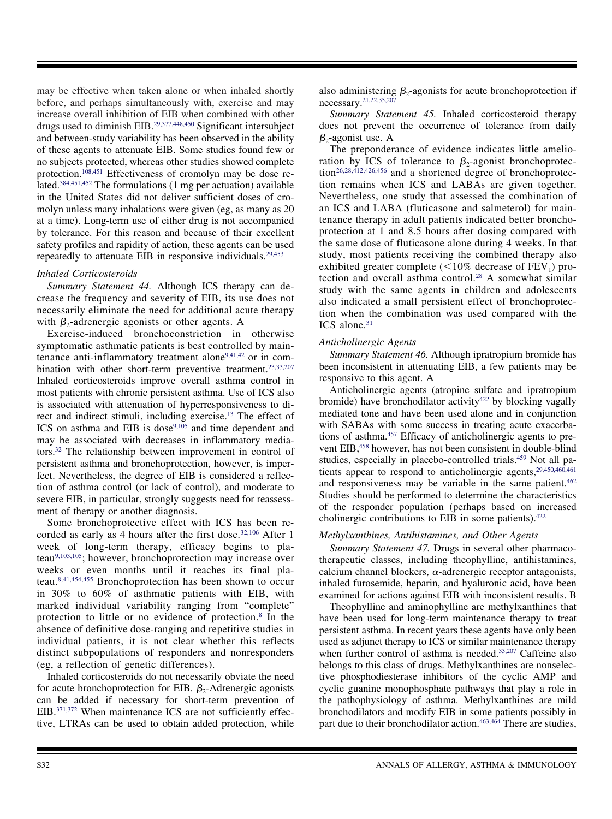may be effective when taken alone or when inhaled shortly before, and perhaps simultaneously with, exercise and may increase overall inhibition of EIB when combined with other drugs used to diminish EIB.29,377,448,450 Significant intersubject and between-study variability has been observed in the ability of these agents to attenuate EIB. Some studies found few or no subjects protected, whereas other studies showed complete protection.108,451 Effectiveness of cromolyn may be dose related.384,451,452 The formulations (1 mg per actuation) available in the United States did not deliver sufficient doses of cromolyn unless many inhalations were given (eg, as many as 20 at a time). Long-term use of either drug is not accompanied by tolerance. For this reason and because of their excellent safety profiles and rapidity of action, these agents can be used repeatedly to attenuate EIB in responsive individuals.29,453

## *Inhaled Corticosteroids*

*Summary Statement 44.* Although ICS therapy can decrease the frequency and severity of EIB, its use does not necessarily eliminate the need for additional acute therapy with  $\beta_2$ -adrenergic agonists or other agents. A

Exercise-induced bronchoconstriction in otherwise symptomatic asthmatic patients is best controlled by maintenance anti-inflammatory treatment alone<sup>9,41,42</sup> or in combination with other short-term preventive treatment.<sup>23,33,207</sup> Inhaled corticosteroids improve overall asthma control in most patients with chronic persistent asthma. Use of ICS also is associated with attenuation of hyperresponsiveness to direct and indirect stimuli, including exercise.13 The effect of ICS on asthma and EIB is dose<sup>9,105</sup> and time dependent and may be associated with decreases in inflammatory mediators.32 The relationship between improvement in control of persistent asthma and bronchoprotection, however, is imperfect. Nevertheless, the degree of EIB is considered a reflection of asthma control (or lack of control), and moderate to severe EIB, in particular, strongly suggests need for reassessment of therapy or another diagnosis.

Some bronchoprotective effect with ICS has been recorded as early as 4 hours after the first dose.<sup>32,106</sup> After 1 week of long-term therapy, efficacy begins to plateau<sup>9,103,105</sup>; however, bronchoprotection may increase over weeks or even months until it reaches its final plateau.8,41,454,455 Bronchoprotection has been shown to occur in 30% to 60% of asthmatic patients with EIB, with marked individual variability ranging from "complete" protection to little or no evidence of protection.8 In the absence of definitive dose-ranging and repetitive studies in individual patients, it is not clear whether this reflects distinct subpopulations of responders and nonresponders (eg, a reflection of genetic differences).

Inhaled corticosteroids do not necessarily obviate the need for acute bronchoprotection for EIB.  $\beta_2$ -Adrenergic agonists can be added if necessary for short-term prevention of EIB.371,372 When maintenance ICS are not sufficiently effective, LTRAs can be used to obtain added protection, while also administering  $\beta_2$ -agonists for acute bronchoprotection if necessary.21,22,35,207

*Summary Statement 45.* Inhaled corticosteroid therapy does not prevent the occurrence of tolerance from daily 2**-**agonist use. A

The preponderance of evidence indicates little amelioration by ICS of tolerance to  $\beta_2$ -agonist bronchoprotection26,28,412,426,456 and a shortened degree of bronchoprotection remains when ICS and LABAs are given together. Nevertheless, one study that assessed the combination of an ICS and LABA (fluticasone and salmeterol) for maintenance therapy in adult patients indicated better bronchoprotection at 1 and 8.5 hours after dosing compared with the same dose of fluticasone alone during 4 weeks. In that study, most patients receiving the combined therapy also exhibited greater complete  $\left(\langle 10\% \text{ decrease of FEV}_1 \right)$  protection and overall asthma control.28 A somewhat similar study with the same agents in children and adolescents also indicated a small persistent effect of bronchoprotection when the combination was used compared with the ICS alone.<sup>31</sup>

## *Anticholinergic Agents*

*Summary Statement 46.* Although ipratropium bromide has been inconsistent in attenuating EIB, a few patients may be responsive to this agent. A

Anticholinergic agents (atropine sulfate and ipratropium bromide) have bronchodilator activity<sup> $422$ </sup> by blocking vagally mediated tone and have been used alone and in conjunction with SABAs with some success in treating acute exacerbations of asthma.457 Efficacy of anticholinergic agents to prevent EIB, <sup>458</sup> however, has not been consistent in double-blind studies, especially in placebo-controlled trials.<sup>459</sup> Not all patients appear to respond to anticholinergic agents,<sup>29,450,460</sup>,461 and responsiveness may be variable in the same patient.<sup>462</sup> Studies should be performed to determine the characteristics of the responder population (perhaps based on increased cholinergic contributions to EIB in some patients). $422$ 

## *Methylxanthines, Antihistamines, and Other Agents*

*Summary Statement 47.* Drugs in several other pharmacotherapeutic classes, including theophylline, antihistamines, calcium channel blockers,  $\alpha$ -adrenergic receptor antagonists, inhaled furosemide, heparin, and hyaluronic acid, have been examined for actions against EIB with inconsistent results. B

Theophylline and aminophylline are methylxanthines that have been used for long-term maintenance therapy to treat persistent asthma. In recent years these agents have only been used as adjunct therapy to ICS or similar maintenance therapy when further control of asthma is needed.<sup>33,207</sup> Caffeine also belongs to this class of drugs. Methylxanthines are nonselective phosphodiesterase inhibitors of the cyclic AMP and cyclic guanine monophosphate pathways that play a role in the pathophysiology of asthma. Methylxanthines are mild bronchodilators and modify EIB in some patients possibly in part due to their bronchodilator action.<sup>463,464</sup> There are studies,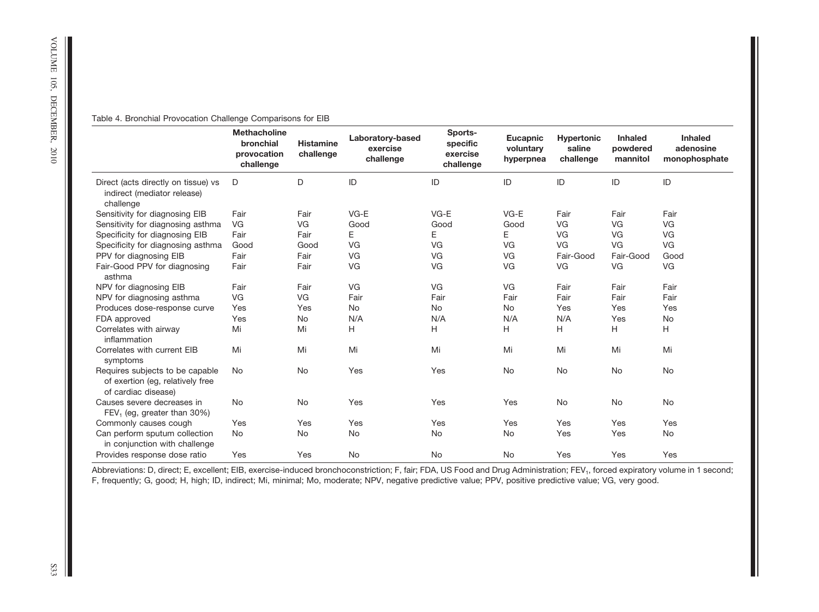| Table 4. Bronchial Provocation Challenge Comparisons for EIB |  |  |  |  |  |  |  |
|--------------------------------------------------------------|--|--|--|--|--|--|--|
|--------------------------------------------------------------|--|--|--|--|--|--|--|

|                                                                                            | <b>Methacholine</b><br>bronchial<br>provocation<br>challenge | Histamine<br>challenge | Laboratory-based<br>exercise<br>challenge | Sports-<br>specific<br>exercise<br>challenge | <b>Eucapnic</b><br>voluntary<br>hyperpnea | <b>Hypertonic</b><br>saline<br>challenge | <b>Inhaled</b><br>powdered<br>mannitol | <b>Inhaled</b><br>adenosine<br>monophosphate |
|--------------------------------------------------------------------------------------------|--------------------------------------------------------------|------------------------|-------------------------------------------|----------------------------------------------|-------------------------------------------|------------------------------------------|----------------------------------------|----------------------------------------------|
| Direct (acts directly on tissue) vs<br>indirect (mediator release)<br>challenge            | D                                                            | D                      | ID                                        | ID                                           | ID                                        | ID                                       | ID                                     | ID                                           |
| Sensitivity for diagnosing EIB                                                             | Fair                                                         | Fair                   | $VG-E$                                    | $VG-E$                                       | $VG-E$                                    | Fair                                     | Fair                                   | Fair                                         |
| Sensitivity for diagnosing asthma                                                          | VG                                                           | VG                     | Good                                      | Good                                         | Good                                      | VG                                       | VG                                     | VG                                           |
| Specificity for diagnosing EIB                                                             | Fair                                                         | Fair                   | E                                         | E                                            | E.                                        | VG                                       | VG                                     | VG                                           |
| Specificity for diagnosing asthma                                                          | Good                                                         | Good                   | VG                                        | VG                                           | VG                                        | VG                                       | VG                                     | VG                                           |
| PPV for diagnosing EIB                                                                     | Fair                                                         | Fair                   | VG                                        | VG                                           | VG                                        | Fair-Good                                | Fair-Good                              | Good                                         |
| Fair-Good PPV for diagnosing<br>asthma                                                     | Fair                                                         | Fair                   | VG                                        | VG                                           | VG                                        | VG                                       | VG                                     | VG                                           |
| NPV for diagnosing EIB                                                                     | Fair                                                         | Fair                   | VG                                        | VG                                           | VG                                        | Fair                                     | Fair                                   | Fair                                         |
| NPV for diagnosing asthma                                                                  | VG                                                           | VG                     | Fair                                      | Fair                                         | Fair                                      | Fair                                     | Fair                                   | Fair                                         |
| Produces dose-response curve                                                               | Yes                                                          | Yes                    | No                                        | <b>No</b>                                    | No                                        | Yes                                      | Yes                                    | Yes                                          |
| FDA approved                                                                               | Yes                                                          | No                     | N/A                                       | N/A                                          | N/A                                       | N/A                                      | Yes                                    | No                                           |
| Correlates with airway<br>inflammation                                                     | Mi                                                           | Mi                     | н                                         | H                                            | H                                         | H                                        | Н                                      | H                                            |
| Correlates with current EIB<br>symptoms                                                    | Mi                                                           | Mi                     | Mi                                        | Mi                                           | Mi                                        | Mi                                       | Mi                                     | Mi                                           |
| Requires subjects to be capable<br>of exertion (eg, relatively free<br>of cardiac disease) | No                                                           | No                     | Yes                                       | Yes                                          | <b>No</b>                                 | <b>No</b>                                | <b>No</b>                              | <b>No</b>                                    |
| Causes severe decreases in<br>$FEV1$ (eg, greater than 30%)                                | <b>No</b>                                                    | <b>No</b>              | Yes                                       | Yes                                          | Yes                                       | <b>No</b>                                | <b>No</b>                              | <b>No</b>                                    |
| Commonly causes cough                                                                      | Yes                                                          | Yes                    | Yes                                       | Yes                                          | Yes                                       | Yes                                      | Yes                                    | Yes                                          |
| Can perform sputum collection<br>in conjunction with challenge                             | No                                                           | No                     | No                                        | No                                           | No                                        | Yes                                      | Yes                                    | No                                           |
| Provides response dose ratio                                                               | Yes                                                          | Yes                    | No                                        | <b>No</b>                                    | No                                        | Yes                                      | Yes                                    | Yes                                          |

Abbreviations: D, direct; E, excellent; EIB, exercise-induced bronchoconstriction; F, fair; FDA, US Food and Drug Administration; FEV<sub>1</sub>, forced expiratory volume in 1 second; F, frequently; G, good; H, high; ID, indirect; Mi, minimal; Mo, moderate; NPV, negative predictive value; PPV, positive predictive value; VG, very good.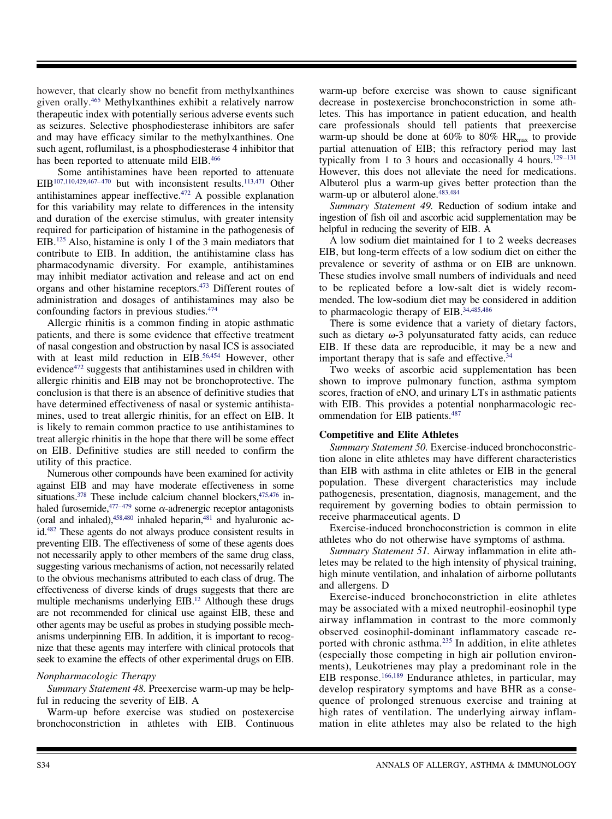however, that clearly show no benefit from methylxanthines given orally.465 Methylxanthines exhibit a relatively narrow therapeutic index with potentially serious adverse events such as seizures. Selective phosphodiesterase inhibitors are safer and may have efficacy similar to the methylxanthines. One such agent, roflumilast, is a phosphodiesterase 4 inhibitor that has been reported to attenuate mild EIB.<sup>466</sup>

Some antihistamines have been reported to attenuate EIB<sup>107,110,429,467-470</sup> but with inconsistent results.<sup>113,471</sup> Other antihistamines appear ineffective. $472$  A possible explanation for this variability may relate to differences in the intensity and duration of the exercise stimulus, with greater intensity required for participation of histamine in the pathogenesis of EIB.125 Also, histamine is only 1 of the 3 main mediators that contribute to EIB. In addition, the antihistamine class has pharmacodynamic diversity. For example, antihistamines may inhibit mediator activation and release and act on end organs and other histamine receptors.473 Different routes of administration and dosages of antihistamines may also be confounding factors in previous studies.474

Allergic rhinitis is a common finding in atopic asthmatic patients, and there is some evidence that effective treatment of nasal congestion and obstruction by nasal ICS is associated with at least mild reduction in EIB.<sup>56,454</sup> However, other evidence<sup>472</sup> suggests that antihistamines used in children with allergic rhinitis and EIB may not be bronchoprotective. The conclusion is that there is an absence of definitive studies that have determined effectiveness of nasal or systemic antihistamines, used to treat allergic rhinitis, for an effect on EIB. It is likely to remain common practice to use antihistamines to treat allergic rhinitis in the hope that there will be some effect on EIB. Definitive studies are still needed to confirm the utility of this practice.

Numerous other compounds have been examined for activity against EIB and may have moderate effectiveness in some situations.<sup>378</sup> These include calcium channel blockers, $475,476$  inhaled furosemide,  $477-479$  some  $\alpha$ -adrenergic receptor antagonists (oral and inhaled), $458,480$  inhaled heparin, $481$  and hyaluronic acid.482 These agents do not always produce consistent results in preventing EIB. The effectiveness of some of these agents does not necessarily apply to other members of the same drug class, suggesting various mechanisms of action, not necessarily related to the obvious mechanisms attributed to each class of drug. The effectiveness of diverse kinds of drugs suggests that there are multiple mechanisms underlying EIB.<sup>12</sup> Although these drugs are not recommended for clinical use against EIB, these and other agents may be useful as probes in studying possible mechanisms underpinning EIB. In addition, it is important to recognize that these agents may interfere with clinical protocols that seek to examine the effects of other experimental drugs on EIB.

#### *Nonpharmacologic Therapy*

*Summary Statement 48.* Preexercise warm-up may be helpful in reducing the severity of EIB. A

Warm-up before exercise was studied on postexercise bronchoconstriction in athletes with EIB. Continuous

warm-up before exercise was shown to cause significant decrease in postexercise bronchoconstriction in some athletes. This has importance in patient education, and health care professionals should tell patients that preexercise warm-up should be done at  $60\%$  to  $80\%$  HR<sub>max</sub> to provide partial attenuation of EIB; this refractory period may last typically from 1 to 3 hours and occasionally 4 hours.<sup>129-131</sup> However, this does not alleviate the need for medications. Albuterol plus a warm-up gives better protection than the warm-up or albuterol alone.<sup>483,484</sup>

*Summary Statement 49.* Reduction of sodium intake and ingestion of fish oil and ascorbic acid supplementation may be helpful in reducing the severity of EIB. A

A low sodium diet maintained for 1 to 2 weeks decreases EIB, but long-term effects of a low sodium diet on either the prevalence or severity of asthma or on EIB are unknown. These studies involve small numbers of individuals and need to be replicated before a low-salt diet is widely recommended. The low-sodium diet may be considered in addition to pharmacologic therapy of EIB.34,485,486

There is some evidence that a variety of dietary factors, such as dietary  $\omega$ -3 polyunsaturated fatty acids, can reduce EIB. If these data are reproducible, it may be a new and important therapy that is safe and effective.<sup>34</sup>

Two weeks of ascorbic acid supplementation has been shown to improve pulmonary function, asthma symptom scores, fraction of eNO, and urinary LTs in asthmatic patients with EIB. This provides a potential nonpharmacologic recommendation for EIB patients.487

#### **Competitive and Elite Athletes**

*Summary Statement 50.* Exercise-induced bronchoconstriction alone in elite athletes may have different characteristics than EIB with asthma in elite athletes or EIB in the general population. These divergent characteristics may include pathogenesis, presentation, diagnosis, management, and the requirement by governing bodies to obtain permission to receive pharmaceutical agents. D

Exercise-induced bronchoconstriction is common in elite athletes who do not otherwise have symptoms of asthma.

*Summary Statement 51.* Airway inflammation in elite athletes may be related to the high intensity of physical training, high minute ventilation, and inhalation of airborne pollutants and allergens. D

Exercise-induced bronchoconstriction in elite athletes may be associated with a mixed neutrophil-eosinophil type airway inflammation in contrast to the more commonly observed eosinophil-dominant inflammatory cascade reported with chronic asthma.235 In addition, in elite athletes (especially those competing in high air pollution environments), Leukotrienes may play a predominant role in the EIB response.166,189 Endurance athletes, in particular, may develop respiratory symptoms and have BHR as a consequence of prolonged strenuous exercise and training at high rates of ventilation. The underlying airway inflammation in elite athletes may also be related to the high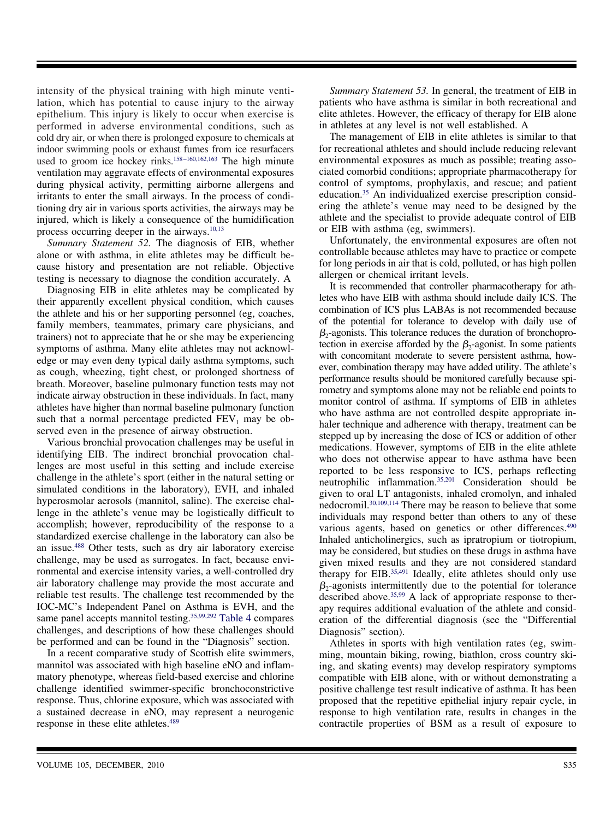intensity of the physical training with high minute ventilation, which has potential to cause injury to the airway epithelium. This injury is likely to occur when exercise is performed in adverse environmental conditions, such as cold dry air, or when there is prolonged exposure to chemicals at indoor swimming pools or exhaust fumes from ice resurfacers used to groom ice hockey rinks.<sup>158-160,162,163</sup> The high minute ventilation may aggravate effects of environmental exposures during physical activity, permitting airborne allergens and irritants to enter the small airways. In the process of conditioning dry air in various sports activities, the airways may be injured, which is likely a consequence of the humidification process occurring deeper in the airways.10,13

*Summary Statement 52.* The diagnosis of EIB, whether alone or with asthma, in elite athletes may be difficult because history and presentation are not reliable. Objective testing is necessary to diagnose the condition accurately. A

Diagnosing EIB in elite athletes may be complicated by their apparently excellent physical condition, which causes the athlete and his or her supporting personnel (eg, coaches, family members, teammates, primary care physicians, and trainers) not to appreciate that he or she may be experiencing symptoms of asthma. Many elite athletes may not acknowledge or may even deny typical daily asthma symptoms, such as cough, wheezing, tight chest, or prolonged shortness of breath. Moreover, baseline pulmonary function tests may not indicate airway obstruction in these individuals. In fact, many athletes have higher than normal baseline pulmonary function such that a normal percentage predicted  $FEV<sub>1</sub>$  may be observed even in the presence of airway obstruction.

Various bronchial provocation challenges may be useful in identifying EIB. The indirect bronchial provocation challenges are most useful in this setting and include exercise challenge in the athlete's sport (either in the natural setting or simulated conditions in the laboratory), EVH, and inhaled hyperosmolar aerosols (mannitol, saline). The exercise challenge in the athlete's venue may be logistically difficult to accomplish; however, reproducibility of the response to a standardized exercise challenge in the laboratory can also be an issue.488 Other tests, such as dry air laboratory exercise challenge, may be used as surrogates. In fact, because environmental and exercise intensity varies, a well-controlled dry air laboratory challenge may provide the most accurate and reliable test results. The challenge test recommended by the IOC-MC's Independent Panel on Asthma is EVH, and the same panel accepts mannitol testing.<sup>35,99,292</sup> Table 4 compares challenges, and descriptions of how these challenges should be performed and can be found in the "Diagnosis" section.

In a recent comparative study of Scottish elite swimmers, mannitol was associated with high baseline eNO and inflammatory phenotype, whereas field-based exercise and chlorine challenge identified swimmer-specific bronchoconstrictive response. Thus, chlorine exposure, which was associated with a sustained decrease in eNO, may represent a neurogenic response in these elite athletes.<sup>489</sup>

*Summary Statement 53.* In general, the treatment of EIB in patients who have asthma is similar in both recreational and elite athletes. However, the efficacy of therapy for EIB alone in athletes at any level is not well established. A

The management of EIB in elite athletes is similar to that for recreational athletes and should include reducing relevant environmental exposures as much as possible; treating associated comorbid conditions; appropriate pharmacotherapy for control of symptoms, prophylaxis, and rescue; and patient education.35 An individualized exercise prescription considering the athlete's venue may need to be designed by the athlete and the specialist to provide adequate control of EIB or EIB with asthma (eg, swimmers).

Unfortunately, the environmental exposures are often not controllable because athletes may have to practice or compete for long periods in air that is cold, polluted, or has high pollen allergen or chemical irritant levels.

It is recommended that controller pharmacotherapy for athletes who have EIB with asthma should include daily ICS. The combination of ICS plus LABAs is not recommended because of the potential for tolerance to develop with daily use of  $\beta$ -agonists. This tolerance reduces the duration of bronchoprotection in exercise afforded by the  $\beta_2$ -agonist. In some patients with concomitant moderate to severe persistent asthma, however, combination therapy may have added utility. The athlete's performance results should be monitored carefully because spirometry and symptoms alone may not be reliable end points to monitor control of asthma. If symptoms of EIB in athletes who have asthma are not controlled despite appropriate inhaler technique and adherence with therapy, treatment can be stepped up by increasing the dose of ICS or addition of other medications. However, symptoms of EIB in the elite athlete who does not otherwise appear to have asthma have been reported to be less responsive to ICS, perhaps reflecting neutrophilic inflammation.35,201 Consideration should be given to oral LT antagonists, inhaled cromolyn, and inhaled nedocromil.30,109,114 There may be reason to believe that some individuals may respond better than others to any of these various agents, based on genetics or other differences.<sup>490</sup> Inhaled anticholinergics, such as ipratropium or tiotropium, may be considered, but studies on these drugs in asthma have given mixed results and they are not considered standard therapy for EIB.35,491 Ideally, elite athletes should only use  $\beta_2$ -agonists intermittently due to the potential for tolerance described above.<sup>35,99</sup> A lack of appropriate response to therapy requires additional evaluation of the athlete and consideration of the differential diagnosis (see the "Differential Diagnosis" section).

Athletes in sports with high ventilation rates (eg, swimming, mountain biking, rowing, biathlon, cross country skiing, and skating events) may develop respiratory symptoms compatible with EIB alone, with or without demonstrating a positive challenge test result indicative of asthma. It has been proposed that the repetitive epithelial injury repair cycle, in response to high ventilation rate, results in changes in the contractile properties of BSM as a result of exposure to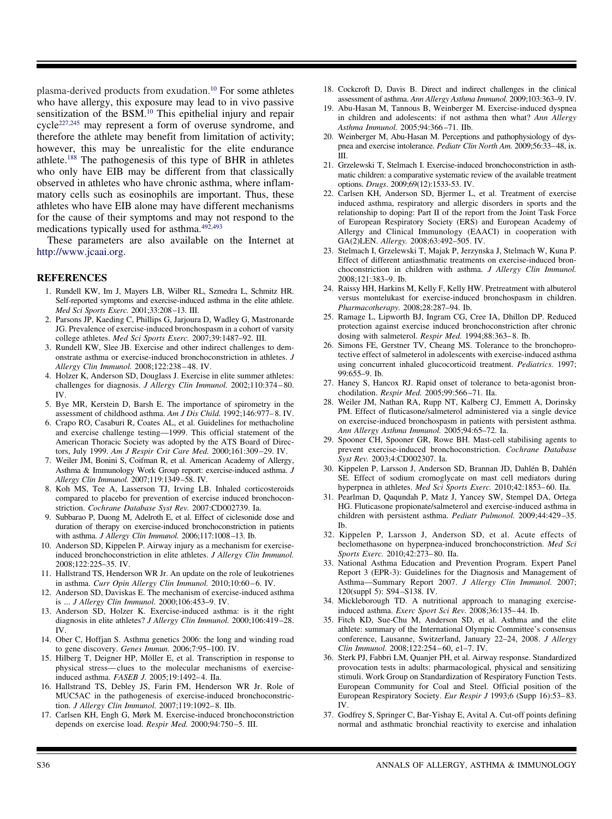plasma-derived products from exudation.10 For some athletes who have allergy, this exposure may lead to in vivo passive sensitization of the BSM.<sup>10</sup> This epithelial injury and repair cycle227,245 may represent a form of overuse syndrome, and therefore the athlete may benefit from limitation of activity; however, this may be unrealistic for the elite endurance athlete.188 The pathogenesis of this type of BHR in athletes who only have EIB may be different from that classically observed in athletes who have chronic asthma, where inflammatory cells such as eosinophils are important. Thus, these athletes who have EIB alone may have different mechanisms for the cause of their symptoms and may not respond to the medications typically used for asthma.492,493

These parameters are also available on the Internet at [http://www.jcaai.org.](http://www.jcaai.org)

#### **REFERENCES**

- 1. Rundell KW, Im J, Mayers LB, Wilber RL, Szmedra L, Schmitz HR. Self-reported symptoms and exercise-induced asthma in the elite athlete. *Med Sci Sports Exerc.* 2001;33:208 –13. III.
- 2. Parsons JP, Kaeding C, Phillips G, Jarjoura D, Wadley G, Mastronarde JG. Prevalence of exercise-induced bronchospasm in a cohort of varsity college athletes. *Med Sci Sports Exerc.* 2007;39:1487–92. III.
- 3. Rundell KW, Slee JB. Exercise and other indirect challenges to demonstrate asthma or exercise-induced bronchoconstriction in athletes. *J Allergy Clin Immunol.* 2008;122:238 – 48. IV.
- 4. Holzer K, Anderson SD, Douglass J. Exercise in elite summer athletes: challenges for diagnosis. *J Allergy Clin Immunol.* 2002;110:374 – 80. IV.
- 5. Bye MR, Kerstein D, Barsh E. The importance of spirometry in the assessment of childhood asthma. *Am J Dis Child.* 1992;146:977– 8. IV.
- 6. Crapo RO, Casaburi R, Coates AL, et al. Guidelines for methacholine and exercise challenge testing—1999. This official statement of the American Thoracic Society was adopted by the ATS Board of Directors, July 1999. *Am J Respir Crit Care Med.* 2000;161:309 –29. IV.
- 7. Weiler JM, Bonini S, Coifman R, et al. American Academy of Allergy, Asthma & Immunology Work Group report: exercise-induced asthma. *J Allergy Clin Immunol.* 2007;119:1349 –58. IV.
- 8. Koh MS, Tee A, Lasserson TJ, Irving LB. Inhaled corticosteroids compared to placebo for prevention of exercise induced bronchoconstriction. *Cochrane Database Syst Rev.* 2007:CD002739. Ia.
- 9. Subbarao P, Duong M, Adelroth E, et al. Effect of ciclesonide dose and duration of therapy on exercise-induced bronchoconstriction in patients with asthma. *J Allergy Clin Immunol*. 2006;117:1008-13. Ib.
- 10. Anderson SD, Kippelen P. Airway injury as a mechanism for exerciseinduced bronchoconstriction in elite athletes. *J Allergy Clin Immunol.* 2008;122:225–35. IV.
- 11. Hallstrand TS, Henderson WR Jr. An update on the role of leukotrienes in asthma. *Curr Opin Allergy Clin Immunol*. 2010;10:60-6. IV.
- 12. Anderson SD, Daviskas E. The mechanism of exercise-induced asthma is ... *J Allergy Clin Immunol.* 2000;106:453–9. IV.
- 13. Anderson SD, Holzer K. Exercise-induced asthma: is it the right diagnosis in elite athletes? *J Allergy Clin Immunol.* 2000;106:419 –28. IV.
- 14. Ober C, Hoffjan S. Asthma genetics 2006: the long and winding road to gene discovery. *Genes Immun.* 2006;7:95–100. IV.
- 15. Hilberg T, Deigner HP, Möller E, et al. Transcription in response to physical stress— clues to the molecular mechanisms of exerciseinduced asthma. *FASEB J.* 2005;19:1492– 4. IIa.
- 16. Hallstrand TS, Debley JS, Farin FM, Henderson WR Jr. Role of MUC5AC in the pathogenesis of exercise-induced bronchoconstriction. *J Allergy Clin Immunol.* 2007;119:1092– 8. IIb.
- 17. Carlsen KH, Engh G, Mørk M. Exercise-induced bronchoconstriction depends on exercise load. *Respir Med.* 2000;94:750 –5. III.
- 18. Cockcroft D, Davis B. Direct and indirect challenges in the clinical assessment of asthma. *Ann Allergy Asthma Immunol.* 2009;103:363–9. IV.
- 19. Abu-Hasan M, Tannous B, Weinberger M. Exercise-induced dyspnea in children and adolescents: if not asthma then what? *Ann Allergy Asthma Immunol.* 2005;94:366 –71. IIb.
- 20. Weinberger M, Abu-Hasan M. Perceptions and pathophysiology of dyspnea and exercise intolerance. *Pediatr Clin North Am*. 2009;56:33-48, ix. III.
- 21. Grzelewski T, Stelmach I. Exercise-induced bronchoconstriction in asthmatic children: a comparative systematic review of the available treatment options. *Drugs*. 2009;69(12):1533-53. IV.
- 22. Carlsen KH, Anderson SD, Bjermer L, et al. Treatment of exercise induced asthma, respiratory and allergic disorders in sports and the relationship to doping: Part II of the report from the Joint Task Force of European Respiratory Society (ERS) and European Academy of Allergy and Clinical Immunology (EAACI) in cooperation with GA(2)LEN. *Allergy.* 2008;63:492–505. IV.
- 23. Stelmach I, Grzelewski T, Majak P, Jerzynska J, Stelmach W, Kuna P. Effect of different antiasthmatic treatments on exercise-induced bronchoconstriction in children with asthma. *J Allergy Clin Immunol.* 2008;121:383–9. Ib.
- 24. Raissy HH, Harkins M, Kelly F, Kelly HW. Pretreatment with albuterol versus montelukast for exercise-induced bronchospasm in children. *Pharmacotherapy.* 2008;28:287–94. Ib.
- 25. Ramage L, Lipworth BJ, Ingram CG, Cree IA, Dhillon DP. Reduced protection against exercise induced bronchoconstriction after chronic dosing with salmeterol. *Respir Med.* 1994;88:363-8. Ib.
- 26. Simons FE, Gerstner TV, Cheang MS. Tolerance to the bronchoprotective effect of salmeterol in adolescents with exercise-induced asthma using concurrent inhaled glucocorticoid treatment. *Pediatrics.* 1997; 99:655–9. Ib.
- 27. Haney S, Hancox RJ. Rapid onset of tolerance to beta-agonist bronchodilation. *Respir Med.* 2005;99:566 –71. IIa.
- 28. Weiler JM, Nathan RA, Rupp NT, Kalberg CJ, Emmett A, Dorinsky PM. Effect of fluticasone/salmeterol administered via a single device on exercise-induced bronchospasm in patients with persistent asthma. *Ann Allergy Asthma Immunol.* 2005;94:65–72. Ia.
- 29. Spooner CH, Spooner GR, Rowe BH. Mast-cell stabilising agents to prevent exercise-induced bronchoconstriction. *Cochrane Database Syst Rev.* 2003;4:CD002307. Ia.
- 30. Kippelen P, Larsson J, Anderson SD, Brannan JD, Dahlén B, Dahlén SE. Effect of sodium cromoglycate on mast cell mediators during hyperpnea in athletes. *Med Sci Sports Exerc*. 2010;42:1853-60. IIa.
- 31. Pearlman D, Qaqundah P, Matz J, Yancey SW, Stempel DA, Ortega HG. Fluticasone propionate/salmeterol and exercise-induced asthma in children with persistent asthma. *Pediatr Pulmonol.* 2009;44:429 –35. Ib.
- 32. Kippelen P, Larsson J, Anderson SD, et al. Acute effects of beclomethasone on hyperpnea-induced bronchoconstriction. *Med Sci Sports Exerc.* 2010;42:273– 80. IIa.
- 33. National Asthma Education and Prevention Program. Expert Panel Report 3 (EPR-3): Guidelines for the Diagnosis and Management of Asthma—Summary Report 2007. *J Allergy Clin Immunol.* 2007; 120(suppl 5): S94 –S138. IV.
- 34. Mickleborough TD. A nutritional approach to managing exerciseinduced asthma. *Exerc Sport Sci Rev.* 2008;36:135– 44. Ib.
- 35. Fitch KD, Sue-Chu M, Anderson SD, et al. Asthma and the elite athlete: summary of the International Olympic Committee's consensus conference, Lausanne, Switzerland, January 22–24, 2008. *J Allergy Clin Immunol.* 2008;122:254 – 60, e1–7. IV.
- 36. Sterk PJ, Fabbri LM, Quanjer PH, et al. Airway response. Standardized provocation tests in adults: pharmacological, physical and sensitizing stimuli. Work Group on Standardization of Respiratory Function Tests. European Community for Coal and Steel. Official position of the European Respiratory Society. *Eur Respir J* 1993;6 (Supp 16):53– 83. IV.
- 37. Godfrey S, Springer C, Bar-Yishay E, Avital A. Cut-off points defining normal and asthmatic bronchial reactivity to exercise and inhalation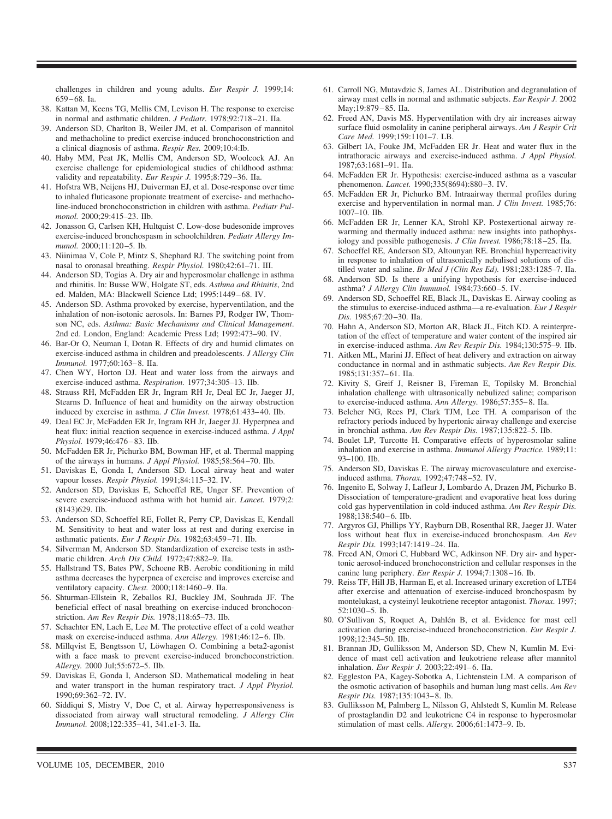challenges in children and young adults. *Eur Respir J.* 1999;14: 659 – 68. Ia.

- 38. Kattan M, Keens TG, Mellis CM, Levison H. The response to exercise in normal and asthmatic children. *J Pediatr.* 1978;92:718 –21. IIa.
- 39. Anderson SD, Charlton B, Weiler JM, et al. Comparison of mannitol and methacholine to predict exercise-induced bronchoconstriction and a clinical diagnosis of asthma. *Respir Res.* 2009;10:4:Ib.
- 40. Haby MM, Peat JK, Mellis CM, Anderson SD, Woolcock AJ. An exercise challenge for epidemiological studies of childhood asthma: validity and repeatability. *Eur Respir J.* 1995;8:729 –36. IIa.
- 41. Hofstra WB, Neijens HJ, Duiverman EJ, et al. Dose-response over time to inhaled fluticasone propionate treatment of exercise- and methacholine-induced bronchoconstriction in children with asthma. *Pediatr Pulmonol.* 2000;29:415–23. IIb.
- 42. Jonasson G, Carlsen KH, Hultquist C. Low-dose budesonide improves exercise-induced bronchospasm in schoolchildren. *Pediatr Allergy Im*munol. 2000;11:120-5. Ib.
- 43. Niinimaa V, Cole P, Mintz S, Shephard RJ. The switching point from nasal to oronasal breathing. *Respir Physiol.* 1980;42:61–71. III.
- 44. Anderson SD, Togias A. Dry air and hyperosmolar challenge in asthma and rhinitis. In: Busse WW, Holgate ST, eds. *Asthma and Rhinitis*, 2nd ed. Malden, MA: Blackwell Science Ltd; 1995:1449-68. IV.
- 45. Anderson SD. Asthma provoked by exercise, hyperventilation, and the inhalation of non-isotonic aerosols. In: Barnes PJ, Rodger IW, Thomson NC, eds. *Asthma: Basic Mechanisms and Clinical Management*. 2nd ed. London, England: Academic Press Ltd; 1992:473–90. IV.
- 46. Bar-Or O, Neuman I, Dotan R. Effects of dry and humid climates on exercise-induced asthma in children and preadolescents. *J Allergy Clin Immunol.* 1977;60:163-8. IIa.
- 47. Chen WY, Horton DJ. Heat and water loss from the airways and exercise-induced asthma. *Respiration.* 1977;34:305–13. IIb.
- 48. Strauss RH, McFadden ER Jr, Ingram RH Jr, Deal EC Jr, Jaeger JJ, Stearns D. Influence of heat and humidity on the airway obstruction induced by exercise in asthma. *J Clin Invest.* 1978;61:433– 40. IIb.
- 49. Deal EC Jr, McFadden ER Jr, Ingram RH Jr, Jaeger JJ. Hyperpnea and heat flux: initial reaction sequence in exercise-induced asthma. *J Appl Physiol.* 1979;46:476 – 83. IIb.
- 50. McFadden ER Jr, Pichurko BM, Bowman HF, et al. Thermal mapping of the airways in humans. *J Appl Physiol.* 1985;58:564 –70. IIb.
- 51. Daviskas E, Gonda I, Anderson SD. Local airway heat and water vapour losses. *Respir Physiol.* 1991;84:115–32. IV.
- 52. Anderson SD, Daviskas E, Schoeffel RE, Unger SF. Prevention of severe exercise-induced asthma with hot humid air. *Lancet.* 1979;2: (8143)629. IIb.
- 53. Anderson SD, Schoeffel RE, Follet R, Perry CP, Daviskas E, Kendall M. Sensitivity to heat and water loss at rest and during exercise in asthmatic patients. *Eur J Respir Dis.* 1982;63:459 –71. IIb.
- 54. Silverman M, Anderson SD. Standardization of exercise tests in asthmatic children. *Arch Dis Child.* 1972;47:882–9. IIa.
- 55. Hallstrand TS, Bates PW, Schoene RB. Aerobic conditioning in mild asthma decreases the hyperpnea of exercise and improves exercise and ventilatory capacity. *Chest.* 2000;118:1460 –9. IIa.
- 56. Shturman-Ellstein R, Zeballos RJ, Buckley JM, Souhrada JF. The beneficial effect of nasal breathing on exercise-induced bronchoconstriction. *Am Rev Respir Dis.* 1978;118:65–73. IIb.
- 57. Schachter EN, Lach E, Lee M. The protective effect of a cold weather mask on exercise-induced asthma. *Ann Allergy*. 1981;46:12-6. IIb.
- 58. Millqvist E, Bengtsson U, Löwhagen O. Combining a beta2-agonist with a face mask to prevent exercise-induced bronchoconstriction. *Allergy.* 2000 Jul;55:672–5. IIb.
- 59. Daviskas E, Gonda I, Anderson SD. Mathematical modeling in heat and water transport in the human respiratory tract. *J Appl Physiol.* 1990;69:362–72. IV.
- 60. Siddiqui S, Mistry V, Doe C, et al. Airway hyperresponsiveness is dissociated from airway wall structural remodeling. *J Allergy Clin Immunol.* 2008;122:335– 41, 341.e1-3. IIa.
- 61. Carroll NG, Mutavdzic S, James AL. Distribution and degranulation of airway mast cells in normal and asthmatic subjects. *Eur Respir J.* 2002 May;19:879 – 85. IIa.
- 62. Freed AN, Davis MS. Hyperventilation with dry air increases airway surface fluid osmolality in canine peripheral airways. *Am J Respir Crit Care Med.* 1999;159:1101–7. LB.
- 63. Gilbert IA, Fouke JM, McFadden ER Jr. Heat and water flux in the intrathoracic airways and exercise-induced asthma. *J Appl Physiol.* 1987;63:1681–91. IIa.
- 64. McFadden ER Jr. Hypothesis: exercise-induced asthma as a vascular phenomenon. *Lancet.* 1990;335(8694):880 –3. IV.
- 65. McFadden ER Jr, Pichurko BM. Intraairway thermal profiles during exercise and hyperventilation in normal man. *J Clin Invest.* 1985;76: 1007–10. IIb.
- 66. McFadden ER Jr, Lenner KA, Strohl KP. Postexertional airway rewarming and thermally induced asthma: new insights into pathophysiology and possible pathogenesis. *J Clin Invest.* 1986;78:18 –25. IIa.
- 67. Schoeffel RE, Anderson SD, Altounyan RE. Bronchial hyperreactivity in response to inhalation of ultrasonically nebulised solutions of distilled water and saline. *Br Med J (Clin Res Ed).* 1981;283:1285–7. IIa.
- 68. Anderson SD. Is there a unifying hypothesis for exercise-induced asthma? *J Allergy Clin Immunol.* 1984;73:660 –5. IV.
- 69. Anderson SD, Schoeffel RE, Black JL, Daviskas E. Airway cooling as the stimulus to exercise-induced asthma—a re-evaluation. *Eur J Respir Dis.* 1985;67:20 –30. IIa.
- 70. Hahn A, Anderson SD, Morton AR, Black JL, Fitch KD. A reinterpretation of the effect of temperature and water content of the inspired air in exercise-induced asthma. *Am Rev Respir Dis.* 1984;130:575–9. IIb.
- 71. Aitken ML, Marini JJ. Effect of heat delivery and extraction on airway conductance in normal and in asthmatic subjects. *Am Rev Respir Dis.* 1985;131:357– 61. IIa.
- 72. Kivity S, Greif J, Reisner B, Fireman E, Topilsky M. Bronchial inhalation challenge with ultrasonically nebulized saline; comparison to exercise-induced asthma. *Ann Allergy.* 1986;57:355– 8. IIa.
- 73. Belcher NG, Rees PJ, Clark TJM, Lee TH. A comparison of the refractory periods induced by hypertonic airway challenge and exercise in bronchial asthma. *Am Rev Respir Dis.* 1987;135:822–5. IIb.
- 74. Boulet LP, Turcotte H. Comparative effects of hyperosmolar saline inhalation and exercise in asthma. *Immunol Allergy Practice.* 1989;11: 93–100. IIb.
- 75. Anderson SD, Daviskas E. The airway microvasculature and exerciseinduced asthma. *Thorax.* 1992;47:748 –52. IV.
- 76. Ingenito E, Solway J, Lafleur J, Lombardo A, Drazen JM, Pichurko B. Dissociation of temperature-gradient and evaporative heat loss during cold gas hyperventilation in cold-induced asthma. *Am Rev Respir Dis.* 1988;138:540-6. IIb.
- 77. Argyros GJ, Phillips YY, Rayburn DB, Rosenthal RR, Jaeger JJ. Water loss without heat flux in exercise-induced bronchospasm. *Am Rev Respir Dis.* 1993;147:1419 –24. IIa.
- 78. Freed AN, Omori C, Hubbard WC, Adkinson NF. Dry air- and hypertonic aerosol-induced bronchoconstriction and cellular responses in the canine lung periphery. *Eur Respir J.* 1994;7:1308 –16. Ib.
- 79. Reiss TF, Hill JB, Harman E, et al. Increased urinary excretion of LTE4 after exercise and attenuation of exercise-induced bronchospasm by montelukast, a cysteinyl leukotriene receptor antagonist. *Thorax.* 1997; 52:1030 –5. Ib.
- 80. O'Sullivan S, Roquet A, Dahlén B, et al. Evidence for mast cell activation during exercise-induced bronchoconstriction. *Eur Respir J.* 1998;12:345–50. IIb.
- 81. Brannan JD, Gulliksson M, Anderson SD, Chew N, Kumlin M. Evidence of mast cell activation and leukotriene release after mannitol inhalation. *Eur Respir J.* 2003;22:491-6. IIa.
- 82. Eggleston PA, Kagey-Sobotka A, Lichtenstein LM. A comparison of the osmotic activation of basophils and human lung mast cells. *Am Rev Respir Dis.* 1987;135:1043– 8. Ib.
- 83. Gulliksson M, Palmberg L, Nilsson G, Ahlstedt S, Kumlin M. Release of prostaglandin D2 and leukotriene C4 in response to hyperosmolar stimulation of mast cells. *Allergy.* 2006;61:1473–9. Ib.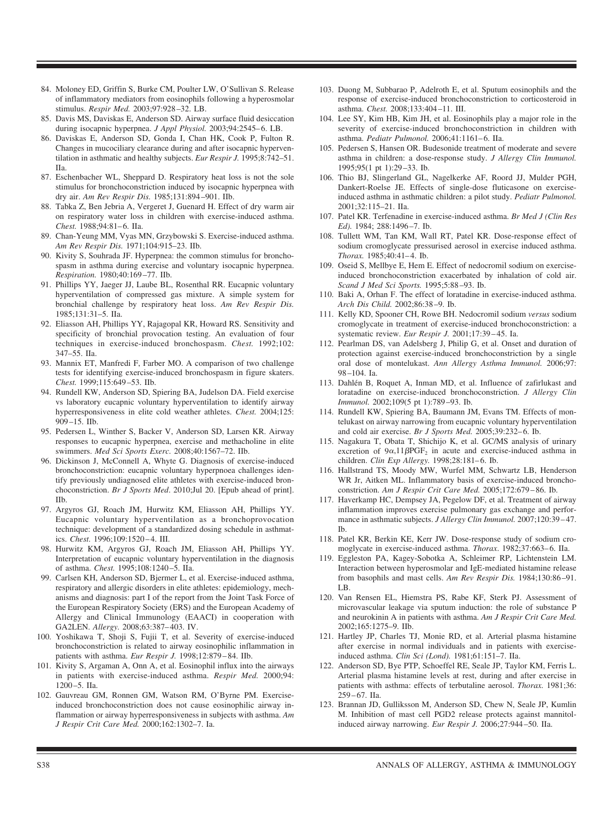- 84. Moloney ED, Griffin S, Burke CM, Poulter LW, O'Sullivan S. Release of inflammatory mediators from eosinophils following a hyperosmolar stimulus. *Respir Med.* 2003;97:928 –32. LB.
- 85. Davis MS, Daviskas E, Anderson SD. Airway surface fluid desiccation during isocapnic hyperpnea. *J Appl Physiol.* 2003;94:2545–6. LB.
- 86. Daviskas E, Anderson SD, Gonda I, Chan HK, Cook P, Fulton R. Changes in mucociliary clearance during and after isocapnic hyperventilation in asthmatic and healthy subjects. *Eur Respir J.* 1995;8:742–51. IIa.
- 87. Eschenbacher WL, Sheppard D. Respiratory heat loss is not the sole stimulus for bronchoconstriction induced by isocapnic hyperpnea with dry air. *Am Rev Respir Dis.* 1985;131:894 –901. IIb.
- 88. Tabka Z, Ben Jebria A, Vergeret J, Guenard H. Effect of dry warm air on respiratory water loss in children with exercise-induced asthma. Chest. 1988;94:81-6. IIa.
- 89. Chan-Yeung MM, Vyas MN, Grzybowski S. Exercise-induced asthma. *Am Rev Respir Dis.* 1971;104:915–23. IIb.
- 90. Kivity S, Souhrada JF. Hyperpnea: the common stimulus for bronchospasm in asthma during exercise and voluntary isocapnic hyperpnea. *Respiration.* 1980;40:169 –77. IIb.
- 91. Phillips YY, Jaeger JJ, Laube BL, Rosenthal RR. Eucapnic voluntary hyperventilation of compressed gas mixture. A simple system for bronchial challenge by respiratory heat loss. *Am Rev Respir Dis.* 1985;131:31–5. IIa.
- 92. Eliasson AH, Phillips YY, Rajagopal KR, Howard RS. Sensitivity and specificity of bronchial provocation testing. An evaluation of four techniques in exercise-induced bronchospasm. *Chest.* 1992;102: 347–55. IIa.
- 93. Mannix ET, Manfredi F, Farber MO. A comparison of two challenge tests for identifying exercise-induced bronchospasm in figure skaters. *Chest.* 1999;115:649 –53. IIb.
- 94. Rundell KW, Anderson SD, Spiering BA, Judelson DA. Field exercise vs laboratory eucapnic voluntary hyperventilation to identify airway hyperresponsiveness in elite cold weather athletes. *Chest.* 2004;125: 909 –15. IIb.
- 95. Pedersen L, Winther S, Backer V, Anderson SD, Larsen KR. Airway responses to eucapnic hyperpnea, exercise and methacholine in elite swimmers. *Med Sci Sports Exerc.* 2008;40:1567–72. IIb.
- 96. Dickinson J, McConnell A, Whyte G. Diagnosis of exercise-induced bronchoconstriction: eucapnic voluntary hyperpnoea challenges identify previously undiagnosed elite athletes with exercise-induced bronchoconstriction. *Br J Sports Med*. 2010;Jul 20. [Epub ahead of print]. IIb.
- 97. Argyros GJ, Roach JM, Hurwitz KM, Eliasson AH, Phillips YY. Eucapnic voluntary hyperventilation as a bronchoprovocation technique: development of a standardized dosing schedule in asthmatics. *Chest.* 1996;109:1520-4. III.
- 98. Hurwitz KM, Argyros GJ, Roach JM, Eliasson AH, Phillips YY. Interpretation of eucapnic voluntary hyperventilation in the diagnosis of asthma. *Chest.* 1995;108:1240 –5. IIa.
- 99. Carlsen KH, Anderson SD, Bjermer L, et al. Exercise-induced asthma, respiratory and allergic disorders in elite athletes: epidemiology, mechanisms and diagnosis: part I of the report from the Joint Task Force of the European Respiratory Society (ERS) and the European Academy of Allergy and Clinical Immunology (EAACI) in cooperation with GA2LEN. *Allergy.* 2008;63:387– 403. IV.
- 100. Yoshikawa T, Shoji S, Fujii T, et al. Severity of exercise-induced bronchoconstriction is related to airway eosinophilic inflammation in patients with asthma. *Eur Respir J.* 1998;12:879 – 84. IIb.
- 101. Kivity S, Argaman A, Onn A, et al. Eosinophil influx into the airways in patients with exercise-induced asthma. *Respir Med.* 2000;94: 1200 –5. IIa.
- 102. Gauvreau GM, Ronnen GM, Watson RM, O'Byrne PM. Exerciseinduced bronchoconstriction does not cause eosinophilic airway inflammation or airway hyperresponsiveness in subjects with asthma. *Am J Respir Crit Care Med.* 2000;162:1302–7. Ia.
- 103. Duong M, Subbarao P, Adelroth E, et al. Sputum eosinophils and the response of exercise-induced bronchoconstriction to corticosteroid in asthma. *Chest.* 2008;133:404 –11. III.
- 104. Lee SY, Kim HB, Kim JH, et al. Eosinophils play a major role in the severity of exercise-induced bronchoconstriction in children with asthma. *Pediatr Pulmonol*. 2006;41:1161-6. IIa.
- 105. Pedersen S, Hansen OR. Budesonide treatment of moderate and severe asthma in children: a dose-response study. *J Allergy Clin Immunol.* 1995;95(1 pt 1):29 –33. Ib.
- 106. Thio BJ, Slingerland GL, Nagelkerke AF, Roord JJ, Mulder PGH, Dankert-Roelse JE. Effects of single-dose fluticasone on exerciseinduced asthma in asthmatic children: a pilot study. *Pediatr Pulmonol.* 2001;32:115–21. IIa.
- 107. Patel KR. Terfenadine in exercise-induced asthma. *Br Med J (Clin Res* Ed). 1984; 288:1496-7. Ib.
- 108. Tullett WM, Tan KM, Wall RT, Patel KR. Dose-response effect of sodium cromoglycate pressurised aerosol in exercise induced asthma. *Thorax.* 1985;40:41– 4. Ib.
- 109. Oseid S, Mellbye E, Hem E. Effect of nedocromil sodium on exerciseinduced bronchoconstriction exacerbated by inhalation of cold air. *Scand J Med Sci Sports.* 1995;5:88 –93. Ib.
- 110. Baki A, Orhan F. The effect of loratadine in exercise-induced asthma. *Arch Dis Child.* 2002;86:38 –9. Ib.
- 111. Kelly KD, Spooner CH, Rowe BH. Nedocromil sodium *versus* sodium cromoglycate in treatment of exercise-induced bronchoconstriction: a systematic review. *Eur Respir J.* 2001;17:39 – 45. Ia.
- 112. Pearlman DS, van Adelsberg J, Philip G, et al. Onset and duration of protection against exercise-induced bronchoconstriction by a single oral dose of montelukast. *Ann Allergy Asthma Immunol.* 2006;97: 98 –104. Ia.
- 113. Dahlén B, Roquet A, Inman MD, et al. Influence of zafirlukast and loratadine on exercise-induced bronchoconstriction. *J Allergy Clin Immunol.* 2002;109(5 pt 1):789-93. Ib.
- 114. Rundell KW, Spiering BA, Baumann JM, Evans TM. Effects of montelukast on airway narrowing from eucapnic voluntary hyperventilation and cold air exercise. *Br J Sports Med.* 2005;39:232-6. Ib.
- 115. Nagakura T, Obata T, Shichijo K, et al. GC/MS analysis of urinary excretion of  $9\alpha, 11\beta PGF_2$  in acute and exercise-induced asthma in children. *Clin Exp Allergy*. 1998;28:181-6. Ib.
- 116. Hallstrand TS, Moody MW, Wurfel MM, Schwartz LB, Henderson WR Jr, Aitken ML. Inflammatory basis of exercise-induced bronchoconstriction. *Am J Respir Crit Care Med.* 2005;172:679 – 86. Ib.
- 117. Haverkamp HC, Dempsey JA, Pegelow DF, et al. Treatment of airway inflammation improves exercise pulmonary gas exchange and performance in asthmatic subjects. *J Allergy Clin Immunol.* 2007;120:39 – 47. Ib.
- 118. Patel KR, Berkin KE, Kerr JW. Dose-response study of sodium cromoglycate in exercise-induced asthma. *Thorax*. 1982;37:663-6. IIa.
- 119. Eggleston PA, Kagey-Sobotka A, Schleimer RP, Lichtenstein LM. Interaction between hyperosmolar and IgE-mediated histamine release from basophils and mast cells. *Am Rev Respir Dis.* 1984;130:86 –91. LB.
- 120. Van Rensen EL, Hiemstra PS, Rabe KF, Sterk PJ. Assessment of microvascular leakage via sputum induction: the role of substance P and neurokinin A in patients with asthma. *Am J Respir Crit Care Med.* 2002;165:1275–9. IIb.
- 121. Hartley JP, Charles TJ, Monie RD, et al. Arterial plasma histamine after exercise in normal individuals and in patients with exerciseinduced asthma. *Clin Sci (Lond).* 1981;61:151–7. IIa.
- 122. Anderson SD, Bye PTP, Schoeffel RE, Seale JP, Taylor KM, Ferris L. Arterial plasma histamine levels at rest, during and after exercise in patients with asthma: effects of terbutaline aerosol. *Thorax.* 1981;36: 259 – 67. IIa.
- 123. Brannan JD, Gulliksson M, Anderson SD, Chew N, Seale JP, Kumlin M. Inhibition of mast cell PGD2 release protects against mannitolinduced airway narrowing. *Eur Respir J.* 2006;27:944 –50. IIa.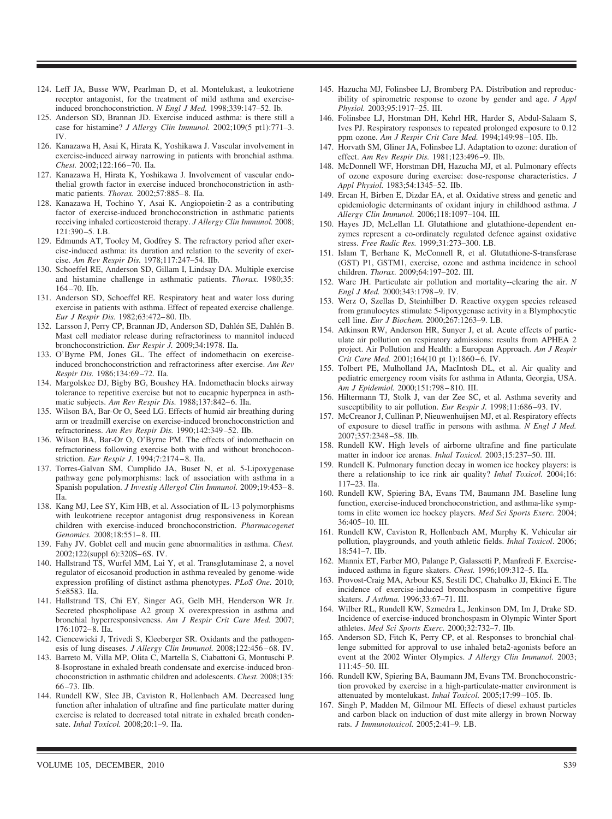- 124. Leff JA, Busse WW, Pearlman D, et al. Montelukast, a leukotriene receptor antagonist, for the treatment of mild asthma and exerciseinduced bronchoconstriction. *N Engl J Med.* 1998;339:147–52. Ib.
- 125. Anderson SD, Brannan JD. Exercise induced asthma: is there still a case for histamine? *J Allergy Clin Immunol.* 2002;109(5 pt1):771–3. IV.
- 126. Kanazawa H, Asai K, Hirata K, Yoshikawa J. Vascular involvement in exercise-induced airway narrowing in patients with bronchial asthma. *Chest.* 2002:122:166–70. IIa.
- 127. Kanazawa H, Hirata K, Yoshikawa J. Involvement of vascular endothelial growth factor in exercise induced bronchoconstriction in asthmatic patients. *Thorax.* 2002;57:885– 8. IIa.
- 128. Kanazawa H, Tochino Y, Asai K. Angiopoietin-2 as a contributing factor of exercise-induced bronchoconstriction in asthmatic patients receiving inhaled corticosteroid therapy. *J Allergy Clin Immunol.* 2008; 121:390 –5. LB.
- 129. Edmunds AT, Tooley M, Godfrey S. The refractory period after exercise-induced asthma: its duration and relation to the severity of exercise. *Am Rev Respir Dis.* 1978;117:247–54. IIb.
- 130. Schoeffel RE, Anderson SD, Gillam I, Lindsay DA. Multiple exercise and histamine challenge in asthmatic patients. *Thorax.* 1980;35: 164 –70. IIb.
- 131. Anderson SD, Schoeffel RE. Respiratory heat and water loss during exercise in patients with asthma. Effect of repeated exercise challenge. *Eur J Respir Dis.* 1982;63:472– 80. IIb.
- 132. Larsson J, Perry CP, Brannan JD, Anderson SD, Dahlén SE, Dahlén B. Mast cell mediator release during refractoriness to mannitol induced bronchoconstriction. *Eur Respir J.* 2009;34:1978. IIa.
- 133. O'Byrne PM, Jones GL. The effect of indomethacin on exerciseinduced bronchoconstriction and refractoriness after exercise. *Am Rev Respir Dis.* 1986;134:69 –72. IIa.
- 134. Margolskee DJ, Bigby BG, Boushey HA. Indomethacin blocks airway tolerance to repetitive exercise but not to eucapnic hyperpnea in asthmatic subjects. Am Rev Respir Dis. 1988;137:842-6. IIa.
- 135. Wilson BA, Bar-Or O, Seed LG. Effects of humid air breathing during arm or treadmill exercise on exercise-induced bronchoconstriction and refractoriness. *Am Rev Respir Dis.* 1990;142:349 –52. IIb.
- 136. Wilson BA, Bar-Or O, O'Byrne PM. The effects of indomethacin on refractoriness following exercise both with and without bronchoconstriction. *Eur Respir J.* 1994;7:2174 – 8. IIa.
- 137. Torres-Galvan SM, Cumplido JA, Buset N, et al. 5-Lipoxygenase pathway gene polymorphisms: lack of association with asthma in a Spanish population. *J Investig Allergol Clin Immunol.* 2009;19:453– 8. IIa.
- 138. Kang MJ, Lee SY, Kim HB, et al. Association of IL-13 polymorphisms with leukotriene receptor antagonist drug responsiveness in Korean children with exercise-induced bronchoconstriction. *Pharmacogenet* Genomics. 2008;18:551-8. III.
- 139. Fahy JV. Goblet cell and mucin gene abnormalities in asthma. *Chest.* 2002;122(suppl 6):320S– 6S. IV.
- 140. Hallstrand TS, Wurfel MM, Lai Y, et al. Transglutaminase 2, a novel regulator of eicosanoid production in asthma revealed by genome-wide expression profiling of distinct asthma phenotypes. *PLoS One.* 2010; 5:e8583. IIa.
- 141. Hallstrand TS, Chi EY, Singer AG, Gelb MH, Henderson WR Jr. Secreted phospholipase A2 group X overexpression in asthma and bronchial hyperresponsiveness. *Am J Respir Crit Care Med.* 2007; 176:1072– 8. IIa.
- 142. Ciencewicki J, Trivedi S, Kleeberger SR. Oxidants and the pathogenesis of lung diseases. *J Allergy Clin Immunol*. 2008;122:456-68. IV.
- 143. Barreto M, Villa MP, Olita C, Martella S, Ciabattoni G, Montuschi P. 8-Isoprostane in exhaled breath condensate and exercise-induced bronchoconstriction in asthmatic children and adolescents. *Chest.* 2008;135: 66 –73. IIb.
- 144. Rundell KW, Slee JB, Caviston R, Hollenbach AM. Decreased lung function after inhalation of ultrafine and fine particulate matter during exercise is related to decreased total nitrate in exhaled breath condensate. *Inhal Toxicol.* 2008;20:1–9. IIa.
- 145. Hazucha MJ, Folinsbee LJ, Bromberg PA. Distribution and reproducibility of spirometric response to ozone by gender and age. *J Appl Physiol.* 2003;95:1917–25. III.
- 146. Folinsbee LJ, Horstman DH, Kehrl HR, Harder S, Abdul-Salaam S, Ives PJ. Respiratory responses to repeated prolonged exposure to 0.12 ppm ozone. *Am J Respir Crit Care Med.* 1994;149:98 –105. IIb.
- 147. Horvath SM, Gliner JA, Folinsbee LJ. Adaptation to ozone: duration of effect. *Am Rev Respir Dis.* 1981;123:496 –9. IIb.
- 148. McDonnell WF, Horstman DH, Hazucha MJ, et al. Pulmonary effects of ozone exposure during exercise: dose-response characteristics. *J Appl Physiol.* 1983;54:1345–52. IIb.
- 149. Ercan H, Birben E, Dizdar EA, et al. Oxidative stress and genetic and epidemiologic determinants of oxidant injury in childhood asthma. *J Allergy Clin Immunol.* 2006;118:1097–104. III.
- 150. Hayes JD, McLellan LI. Glutathione and glutathione-dependent enzymes represent a co-ordinately regulated defence against oxidative stress. *Free Radic Res.* 1999;31:273–300. LB.
- 151. Islam T, Berhane K, McConnell R, et al. Glutathione-S-transferase (GST) P1, GSTM1, exercise, ozone and asthma incidence in school children. *Thorax.* 2009;64:197–202. III.
- 152. Ware JH. Particulate air pollution and mortality--clearing the air. *N Engl J Med.* 2000;343:1798 –9. IV.
- 153. Werz O, Szellas D, Steinhilber D. Reactive oxygen species released from granulocytes stimulate 5-lipoxygenase activity in a Blymphocytic cell line. *Eur J Biochem.* 2000;267:1263–9. LB.
- 154. Atkinson RW, Anderson HR, Sunyer J, et al. Acute effects of particulate air pollution on respiratory admissions: results from APHEA 2 project. Air Pollution and Health: a European Approach. *Am J Respir Crit Care Med.* 2001;164(10 pt 1):1860-6. IV.
- 155. Tolbert PE, Mulholland JA, MacIntosh DL, et al. Air quality and pediatric emergency room visits for asthma in Atlanta, Georgia, USA. *Am J Epidemiol.* 2000;151:798 – 810. III.
- 156. Hiltermann TJ, Stolk J, van der Zee SC, et al. Asthma severity and susceptibility to air pollution. *Eur Respir J.* 1998;11:686 –93. IV.
- 157. McCreanor J, Cullinan P, Nieuwenhuijsen MJ, et al. Respiratory effects of exposure to diesel traffic in persons with asthma. *N Engl J Med.* 2007;357:2348 –58. IIb.
- 158. Rundell KW. High levels of airborne ultrafine and fine particulate matter in indoor ice arenas. *Inhal Toxicol.* 2003;15:237–50. III.
- 159. Rundell K. Pulmonary function decay in women ice hockey players: is there a relationship to ice rink air quality? *Inhal Toxicol.* 2004;16: 117–23. IIa.
- 160. Rundell KW, Spiering BA, Evans TM, Baumann JM. Baseline lung function, exercise-induced bronchoconstriction, and asthma-like symptoms in elite women ice hockey players. *Med Sci Sports Exerc.* 2004; 36:405–10. III.
- 161. Rundell KW, Caviston R, Hollenbach AM, Murphy K. Vehicular air pollution, playgrounds, and youth athletic fields. *Inhal Toxicol*. 2006; 18:541–7. IIb.
- 162. Mannix ET, Farber MO, Palange P, Galassetti P, Manfredi F. Exerciseinduced asthma in figure skaters. *Chest.* 1996;109:312–5. IIa.
- 163. Provost-Craig MA, Arbour KS, Sestili DC, Chabalko JJ, Ekinci E. The incidence of exercise-induced bronchospasm in competitive figure skaters. *J Asthma.* 1996;33:67–71. III.
- 164. Wilber RL, Rundell KW, Szmedra L, Jenkinson DM, Im J, Drake SD. Incidence of exercise-induced bronchospasm in Olympic Winter Sport athletes. *Med Sci Sports Exerc.* 2000;32:732–7. IIb.
- 165. Anderson SD, Fitch K, Perry CP, et al. Responses to bronchial challenge submitted for approval to use inhaled beta2-agonists before an event at the 2002 Winter Olympics. *J Allergy Clin Immunol.* 2003; 111:45–50. III.
- 166. Rundell KW, Spiering BA, Baumann JM, Evans TM. Bronchoconstriction provoked by exercise in a high-particulate-matter environment is attenuated by montelukast. *Inhal Toxicol.* 2005;17:99 –105. Ib.
- 167. Singh P, Madden M, Gilmour MI. Effects of diesel exhaust particles and carbon black on induction of dust mite allergy in brown Norway rats. *J Immunotoxicol.* 2005;2:41–9. LB.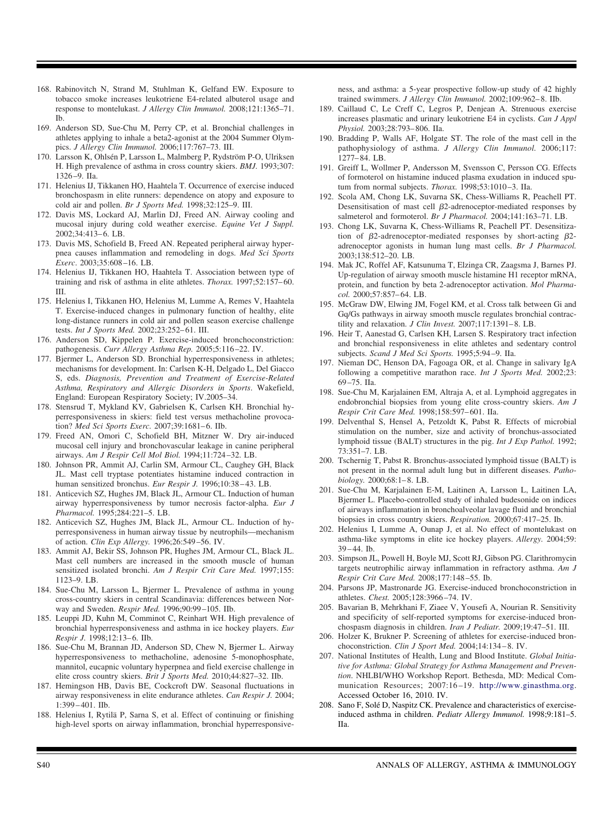- 168. Rabinovitch N, Strand M, Stuhlman K, Gelfand EW. Exposure to tobacco smoke increases leukotriene E4-related albuterol usage and response to montelukast. *J Allergy Clin Immunol.* 2008;121:1365–71. Ib.
- 169. Anderson SD, Sue-Chu M, Perry CP, et al. Bronchial challenges in athletes applying to inhale a beta2-agonist at the 2004 Summer Olympics. *J Allergy Clin Immunol.* 2006;117:767–73. III.
- 170. Larsson K, Ohlsén P, Larsson L, Malmberg P, Rydström P-O, Ulriksen H. High prevalence of asthma in cross country skiers. *BMJ.* 1993;307: 1326 –9. IIa.
- 171. Helenius IJ, Tikkanen HO, Haahtela T. Occurrence of exercise induced bronchospasm in elite runners: dependence on atopy and exposure to cold air and pollen. *Br J Sports Med.* 1998;32:125–9. III.
- 172. Davis MS, Lockard AJ, Marlin DJ, Freed AN. Airway cooling and mucosal injury during cold weather exercise. *Equine Vet J Suppl.* 2002;34:413– 6. LB.
- 173. Davis MS, Schofield B, Freed AN. Repeated peripheral airway hyperpnea causes inflammation and remodeling in dogs. *Med Sci Sports Exerc*. 2003;35:608 –16. LB.
- 174. Helenius IJ, Tikkanen HO, Haahtela T. Association between type of training and risk of asthma in elite athletes. *Thorax*. 1997;52:157-60. III.
- 175. Helenius I, Tikkanen HO, Helenius M, Lumme A, Remes V, Haahtela T. Exercise-induced changes in pulmonary function of healthy, elite long-distance runners in cold air and pollen season exercise challenge tests. *Int J Sports Med.* 2002;23:252-61. III.
- 176. Anderson SD, Kippelen P. Exercise-induced bronchoconstriction: pathogenesis. *Curr Allergy Asthma Rep.* 2005;5:116 –22. IV.
- 177. Bjermer L, Anderson SD. Bronchial hyperresponsiveness in athletes; mechanisms for development. In: Carlsen K-H, Delgado L, Del Giacco S, eds. *Diagnosis, Prevention and Treatment of Exercise-Related Asthma, Respiratory and Allergic Disorders in Sports*. Wakefield, England: European Respiratory Society; IV.2005–34.
- 178. Stensrud T, Mykland KV, Gabrielsen K, Carlsen KH. Bronchial hyperresponsiveness in skiers: field test versus methacholine provocation? *Med Sci Sports Exerc.* 2007;39:1681-6. IIb.
- 179. Freed AN, Omori C, Schofield BH, Mitzner W. Dry air-induced mucosal cell injury and bronchovascular leakage in canine peripheral airways. *Am J Respir Cell Mol Biol.* 1994;11:724 –32. LB.
- 180. Johnson PR, Ammit AJ, Carlin SM, Armour CL, Caughey GH, Black JL. Mast cell tryptase potentiates histamine induced contraction in human sensitized bronchus. *Eur Respir J.* 1996;10:38 – 43. LB.
- 181. Anticevich SZ, Hughes JM, Black JL, Armour CL. Induction of human airway hyperresponsiveness by tumor necrosis factor-alpha. *Eur J Pharmacol.* 1995;284:221–5. LB.
- 182. Anticevich SZ, Hughes JM, Black JL, Armour CL. Induction of hyperresponsiveness in human airway tissue by neutrophils—mechanism of action. *Clin Exp Allergy.* 1996;26:549 –56. IV.
- 183. Ammit AJ, Bekir SS, Johnson PR, Hughes JM, Armour CL, Black JL. Mast cell numbers are increased in the smooth muscle of human sensitized isolated bronchi. *Am J Respir Crit Care Med.* 1997;155: 1123–9. LB.
- 184. Sue-Chu M, Larsson L, Bjermer L. Prevalence of asthma in young cross-country skiers in central Scandinavia: differences between Norway and Sweden. *Respir Med.* 1996;90:99 –105. IIb.
- 185. Leuppi JD, Kuhn M, Comminot C, Reinhart WH. High prevalence of bronchial hyperresponsiveness and asthma in ice hockey players. *Eur Respir J.* 1998;12:13– 6. IIb.
- 186. Sue-Chu M, Brannan JD, Anderson SD, Chew N, Bjermer L. Airway hyperresponsiveness to methacholine, adenosine 5-monophosphate, mannitol, eucapnic voluntary hyperpnea and field exercise challenge in elite cross country skiers. *Brit J Sports Med.* 2010;44:827–32. IIb.
- 187. Hemingson HB, Davis BE, Cockcroft DW. Seasonal fluctuations in airway responsiveness in elite endurance athletes. *Can Respir J.* 2004; 1:399 – 401. IIb.
- 188. Helenius I, Rytilä P, Sarna S, et al. Effect of continuing or finishing high-level sports on airway inflammation, bronchial hyperresponsive-

ness, and asthma: a 5-year prospective follow-up study of 42 highly trained swimmers. *J Allergy Clin Immunol.* 2002;109:962-8. IIb.

- 189. Caillaud C, Le Creff C, Legros P, Denjean A. Strenuous exercise increases plasmatic and urinary leukotriene E4 in cyclists. *Can J Appl Physiol.* 2003;28:793– 806. IIa.
- 190. Bradding P, Walls AF, Holgate ST. The role of the mast cell in the pathophysiology of asthma. *J Allergy Clin Immunol.* 2006;117: 1277– 84. LB.
- 191. Greiff L, Wollmer P, Andersson M, Svensson C, Persson CG. Effects of formoterol on histamine induced plasma exudation in induced sputum from normal subjects. *Thorax.* 1998;53:1010 –3. IIa.
- 192. Scola AM, Chong LK, Suvarna SK, Chess-Williams R, Peachell PT. Desensitisation of mast cell  $\beta$ 2-adrenoceptor-mediated responses by salmeterol and formoterol. *Br J Pharmacol.* 2004;141:163–71. LB.
- 193. Chong LK, Suvarna K, Chess-Williams R, Peachell PT. Desensitization of  $\beta$ 2-adrenoceptor-mediated responses by short-acting  $\beta$ 2adrenoceptor agonists in human lung mast cells. *Br J Pharmacol.* 2003;138:512–20. LB.
- 194. Mak JC, Roffel AF, Katsunuma T, Elzinga CR, Zaagsma J, Barnes PJ. Up-regulation of airway smooth muscle histamine H1 receptor mRNA, protein, and function by beta 2-adrenoceptor activation. *Mol Pharmacol.* 2000;57:857– 64. LB.
- 195. McGraw DW, Elwing JM, Fogel KM, et al. Cross talk between Gi and Gq/Gs pathways in airway smooth muscle regulates bronchial contractility and relaxation. *J Clin Invest.* 2007;117:1391– 8. LB.
- 196. Heir T, Aanestad G, Carlsen KH, Larsen S. Respiratory tract infection and bronchial responsiveness in elite athletes and sedentary control subjects. *Scand J Med Sci Sports.* 1995;5:94 –9. IIa.
- 197. Nieman DC, Henson DA, Fagoaga OR, et al. Change in salivary IgA following a competitive marathon race. *Int J Sports Med.* 2002;23: 69 –75. IIa.
- 198. Sue-Chu M, Karjalainen EM, Altraja A, et al. Lymphoid aggregates in endobronchial biopsies from young elite cross-country skiers. *Am J Respir Crit Care Med.* 1998;158:597– 601. IIa.
- 199. Delventhal S, Hensel A, Petzoldt K, Pabst R. Effects of microbial stimulation on the number, size and activity of bronchus-associated lymphoid tissue (BALT) structures in the pig. *Int J Exp Pathol.* 1992; 73:351–7. LB.
- 200. Tschernig T, Pabst R. Bronchus-associated lymphoid tissue (BALT) is not present in the normal adult lung but in different diseases. *Pathobiology.* 2000;68:1– 8. LB.
- 201. Sue-Chu M, Karjalainen E-M, Laitinen A, Larsson L, Laitinen LA, Bjermer L. Placebo-controlled study of inhaled budesonide on indices of airways inflammation in bronchoalveolar lavage fluid and bronchial biopsies in cross country skiers. *Respiration.* 2000;67:417–25. Ib.
- 202. Helenius I, Lumme A, Ounap J, et al. No effect of montelukast on asthma-like symptoms in elite ice hockey players. *Allergy.* 2004;59:  $39 - 44$ . Ib.
- 203. Simpson JL, Powell H, Boyle MJ, Scott RJ, Gibson PG. Clarithromycin targets neutrophilic airway inflammation in refractory asthma. *Am J Respir Crit Care Med.* 2008;177:148 –55. Ib.
- 204. Parsons JP, Mastronarde JG. Exercise-induced bronchoconstriction in athletes. *Chest.* 2005;128:3966 –74. IV.
- 205. Bavarian B, Mehrkhani F, Ziaee V, Yousefi A, Nourian R. Sensitivity and specificity of self-reported symptoms for exercise-induced bronchospasm diagnosis in children. *Iran J Pediatr.* 2009;19:47–51. III.
- 206. Holzer K, Brukner P. Screening of athletes for exercise-induced bronchoconstriction. *Clin J Sport Med.* 2004;14:134-8. IV.
- 207. National Institutes of Health, Lung and Blood Institute. *Global Initiative for Asthma: Global Strategy for Asthma Management and Prevention*. NHLBI/WHO Workshop Report. Bethesda, MD: Medical Communication Resources; 2007:16 –19. [http://www.ginasthma.org.](http://www.ginasthma.org) Accessed October 16, 2010. IV.
- 208. Sano F, Solé D, Naspitz CK. Prevalence and characteristics of exerciseinduced asthma in children. *Pediatr Allergy Immunol.* 1998;9:181–5. IIa.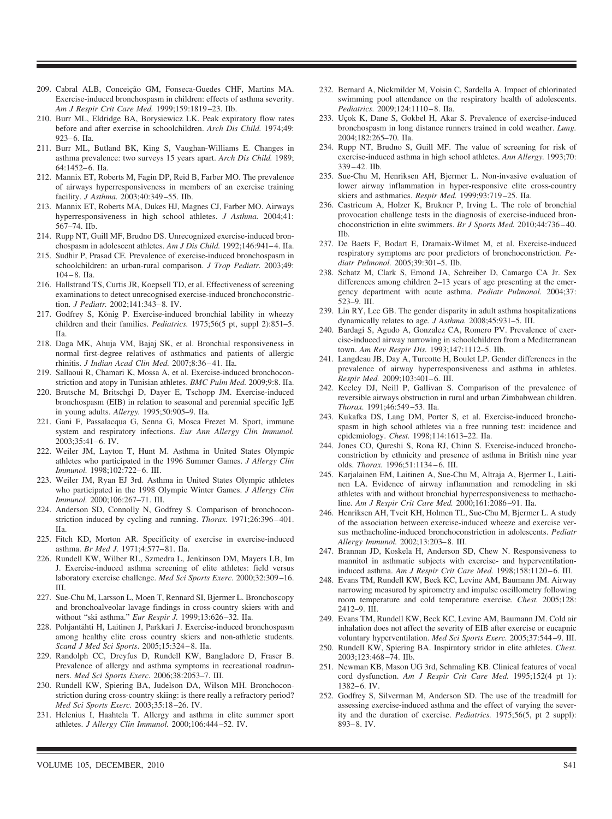- 209. Cabral ALB, Conceição GM, Fonseca-Guedes CHF, Martins MA. Exercise-induced bronchospasm in children: effects of asthma severity. *Am J Respir Crit Care Med.* 1999;159:1819 –23. IIb.
- 210. Burr ML, Eldridge BA, Borysiewicz LK. Peak expiratory flow rates before and after exercise in schoolchildren. *Arch Dis Child.* 1974;49: 923-6. IIa.
- 211. Burr ML, Butland BK, King S, Vaughan-Williams E. Changes in asthma prevalence: two surveys 15 years apart. *Arch Dis Child.* 1989; 64:1452– 6. IIa.
- 212. Mannix ET, Roberts M, Fagin DP, Reid B, Farber MO. The prevalence of airways hyperresponsiveness in members of an exercise training facility. *J Asthma.* 2003;40:349 –55. IIb.
- 213. Mannix ET, Roberts MA, Dukes HJ, Magnes CJ, Farber MO. Airways hyperresponsiveness in high school athletes. *J Asthma.* 2004;41: 567–74. IIb.
- 214. Rupp NT, Guill MF, Brudno DS. Unrecognized exercise-induced bronchospasm in adolescent athletes. *Am J Dis Child.* 1992;146:941-4. IIa.
- 215. Sudhir P, Prasad CE. Prevalence of exercise-induced bronchospasm in schoolchildren: an urban-rural comparison. *J Trop Pediatr.* 2003;49: 104 – 8. IIa.
- 216. Hallstrand TS, Curtis JR, Koepsell TD, et al. Effectiveness of screening examinations to detect unrecognised exercise-induced bronchoconstriction. *J Pediatr.* 2002;141:343– 8. IV.
- 217. Godfrey S, König P. Exercise-induced bronchial lability in wheezy children and their families. *Pediatrics.* 1975;56(5 pt, suppl 2):851–5. IIa.
- 218. Daga MK, Ahuja VM, Bajaj SK, et al. Bronchial responsiveness in normal first-degree relatives of asthmatics and patients of allergic rhinitis. *J Indian Acad Clin Med.* 2007;8:36 – 41. IIa.
- 219. Sallaoui R, Chamari K, Mossa A, et al. Exercise-induced bronchoconstriction and atopy in Tunisian athletes. *BMC Pulm Med.* 2009;9:8. IIa.
- 220. Brutsche M, Britschgi D, Dayer E, Tschopp JM. Exercise-induced bronchospasm (EIB) in relation to seasonal and perennial specific IgE in young adults. *Allergy.* 1995;50:905–9. IIa.
- 221. Gani F, Passalacqua G, Senna G, Mosca Frezet M. Sport, immune system and respiratory infections. *Eur Ann Allergy Clin Immunol.* 2003;35:41-6. IV.
- 222. Weiler JM, Layton T, Hunt M. Asthma in United States Olympic athletes who participated in the 1996 Summer Games. *J Allergy Clin Immunol.* 1998;102:722-6. III.
- 223. Weiler JM, Ryan EJ 3rd. Asthma in United States Olympic athletes who participated in the 1998 Olympic Winter Games. *J Allergy Clin Immunol.* 2000;106:267–71. III.
- 224. Anderson SD, Connolly N, Godfrey S. Comparison of bronchoconstriction induced by cycling and running. *Thorax.* 1971;26:396 – 401. IIa.
- 225. Fitch KD, Morton AR. Specificity of exercise in exercise-induced asthma. *Br Med J.* 1971;4:577– 81. IIa.
- 226. Rundell KW, Wilber RL, Szmedra L, Jenkinson DM, Mayers LB, Im J. Exercise-induced asthma screening of elite athletes: field versus laboratory exercise challenge. *Med Sci Sports Exerc.* 2000;32:309 –16. III.
- 227. Sue-Chu M, Larsson L, Moen T, Rennard SI, Bjermer L. Bronchoscopy and bronchoalveolar lavage findings in cross-country skiers with and without "ski asthma." *Eur Respir J.* 1999;13:626 –32. IIa.
- 228. Pohjantähti H, Laitinen J, Parkkari J. Exercise-induced bronchospasm among healthy elite cross country skiers and non-athletic students. *Scand J Med Sci Sports*. 2005;15:324 – 8. IIa.
- 229. Randolph CC, Dreyfus D, Rundell KW, Bangladore D, Fraser B. Prevalence of allergy and asthma symptoms in recreational roadrunners. *Med Sci Sports Exerc.* 2006;38:2053–7. III.
- 230. Rundell KW, Spiering BA, Judelson DA, Wilson MH. Bronchoconstriction during cross-country skiing: is there really a refractory period? *Med Sci Sports Exerc.* 2003;35:18 –26. IV.
- 231. Helenius I, Haahtela T. Allergy and asthma in elite summer sport athletes. *J Allergy Clin Immunol.* 2000;106:444 –52. IV.
- 232. Bernard A, Nickmilder M, Voisin C, Sardella A. Impact of chlorinated swimming pool attendance on the respiratory health of adolescents. Pediatrics. 2009;124:1110-8. IIa.
- 233. Uçok K, Dane S, Gokbel H, Akar S. Prevalence of exercise-induced bronchospasm in long distance runners trained in cold weather. *Lung.* 2004;182:265–70. IIa.
- 234. Rupp NT, Brudno S, Guill MF. The value of screening for risk of exercise-induced asthma in high school athletes. *Ann Allergy.* 1993;70:  $339 - 42$ . IIb.
- 235. Sue-Chu M, Henriksen AH, Bjermer L. Non-invasive evaluation of lower airway inflammation in hyper-responsive elite cross-country skiers and asthmatics. *Respir Med.* 1999;93:719 –25. IIa.
- 236. Castricum A, Holzer K, Brukner P, Irving L. The role of bronchial provocation challenge tests in the diagnosis of exercise-induced bronchoconstriction in elite swimmers. *Br J Sports Med.* 2010;44:736 – 40. IIb.
- 237. De Baets F, Bodart E, Dramaix-Wilmet M, et al. Exercise-induced respiratory symptoms are poor predictors of bronchoconstriction. *Pediatr Pulmonol.* 2005;39:301–5. IIb.
- 238. Schatz M, Clark S, Emond JA, Schreiber D, Camargo CA Jr. Sex differences among children 2–13 years of age presenting at the emergency department with acute asthma. *Pediatr Pulmonol.* 2004;37: 523–9. III.
- 239. Lin RY, Lee GB. The gender disparity in adult asthma hospitalizations dynamically relates to age. *J Asthma.* 2008;45:931–5. III.
- 240. Bardagi S, Agudo A, Gonzalez CA, Romero PV. Prevalence of exercise-induced airway narrowing in schoolchildren from a Mediterranean town. *Am Rev Respir Dis.* 1993;147:1112–5. IIb.
- 241. Langdeau JB, Day A, Turcotte H, Boulet LP. Gender differences in the prevalence of airway hyperresponsiveness and asthma in athletes. *Respir Med.* 2009;103:401-6. III.
- 242. Keeley DJ, Neill P, Gallivan S. Comparison of the prevalence of reversible airways obstruction in rural and urban Zimbabwean children. *Thorax.* 1991;46:549 –53. IIa.
- 243. Kukafka DS, Lang DM, Porter S, et al. Exercise-induced bronchospasm in high school athletes via a free running test: incidence and epidemiology. *Chest.* 1998;114:1613–22. IIa.
- 244. Jones CO, Qureshi S, Rona RJ, Chinn S. Exercise-induced bronchoconstriction by ethnicity and presence of asthma in British nine year olds. *Thorax.* 1996;51:1134-6. III.
- 245. Karjalainen EM, Laitinen A, Sue-Chu M, Altraja A, Bjermer L, Laitinen LA. Evidence of airway inflammation and remodeling in ski athletes with and without bronchial hyperresponsiveness to methacholine. *Am J Respir Crit Care Med.* 2000;161:2086 –91. IIa.
- 246. Henriksen AH, Tveit KH, Holmen TL, Sue-Chu M, Bjermer L. A study of the association between exercise-induced wheeze and exercise versus methacholine-induced bronchoconstriction in adolescents. *Pediatr Allergy Immunol.* 2002;13:203– 8. III.
- 247. Brannan JD, Koskela H, Anderson SD, Chew N. Responsiveness to mannitol in asthmatic subjects with exercise- and hyperventilationinduced asthma. *Am J Respir Crit Care Med.* 1998;158:1120-6. III.
- 248. Evans TM, Rundell KW, Beck KC, Levine AM, Baumann JM. Airway narrowing measured by spirometry and impulse oscillometry following room temperature and cold temperature exercise. *Chest.* 2005;128: 2412–9. III.
- 249. Evans TM, Rundell KW, Beck KC, Levine AM, Baumann JM. Cold air inhalation does not affect the severity of EIB after exercise or eucapnic voluntary hyperventilation. *Med Sci Sports Exerc.* 2005;37:544 –9. III.
- 250. Rundell KW, Spiering BA. Inspiratory stridor in elite athletes. *Chest.* 2003;123:468 –74. IIb.
- 251. Newman KB, Mason UG 3rd, Schmaling KB. Clinical features of vocal cord dysfunction. *Am J Respir Crit Care Med.* 1995;152(4 pt 1): 1382– 6. IV.
- 252. Godfrey S, Silverman M, Anderson SD. The use of the treadmill for assessing exercise-induced asthma and the effect of varying the severity and the duration of exercise. *Pediatrics.* 1975;56(5, pt 2 suppl): 893– 8. IV.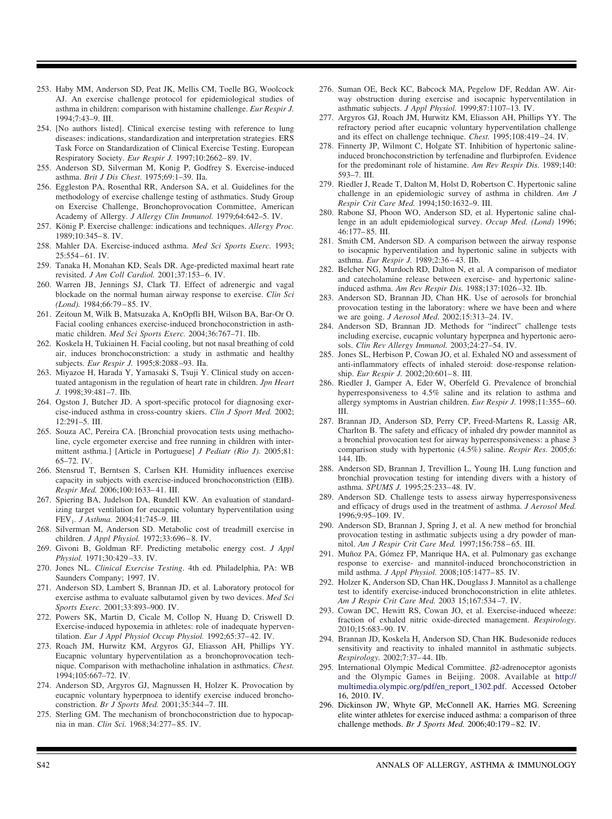- 253. Haby MM, Anderson SD, Peat JK, Mellis CM, Toelle BG, Woolcock AJ. An exercise challenge protocol for epidemiological studies of asthma in children: comparison with histamine challenge. *Eur Respir J.* 1994;7:43–9. III.
- 254. [No authors listed]. Clinical exercise testing with reference to lung diseases: indications, standardization and interpretation strategies. ERS Task Force on Standardization of Clinical Exercise Testing. European Respiratory Society. *Eur Respir J.* 1997;10:2662– 89. IV.
- 255. Anderson SD, Silverman M, Konig P, Godfrey S. Exercise-induced asthma. *Brit J Dis Chest*. 1975;69:1–39. IIa.
- 256. Eggleston PA, Rosenthal RR, Anderson SA, et al. Guidelines for the methodology of exercise challenge testing of asthmatics. Study Group on Exercise Challenge, Bronchoprovocation Committee, American Academy of Allergy. *J Allergy Clin Immunol.* 1979;64:642–5. IV.
- 257. König P. Exercise challenge: indications and techniques. *Allergy Proc.* 1989;10:345– 8. IV.
- 258. Mahler DA. Exercise-induced asthma. *Med Sci Sports Exerc.* 1993;  $25:554 - 61$ . IV.
- 259. Tanaka H, Monahan KD, Seals DR. Age-predicted maximal heart rate revisited. *J Am Coll Cardiol*. 2001;37:153-6. IV.
- 260. Warren JB, Jennings SJ, Clark TJ. Effect of adrenergic and vagal blockade on the normal human airway response to exercise. *Clin Sci (Lond).* 1984;66:79 – 85. IV.
- 261. Zeitoun M, Wilk B, Matsuzaka A, KnOpfli BH, Wilson BA, Bar-Or O. Facial cooling enhances exercise-induced bronchoconstriction in asthmatic children. *Med Sci Sports Exerc.* 2004;36:767–71. IIb.
- 262. Koskela H, Tukiainen H. Facial cooling, but not nasal breathing of cold air, induces bronchoconstriction: a study in asthmatic and healthy subjects. *Eur Respir J.* 1995;8:2088 –93. IIa.
- 263. Miyazoe H, Harada Y, Yamasaki S, Tsuji Y. Clinical study on accentuated antagonism in the regulation of heart rate in children. *Jpn Heart J.* 1998;39:481–7. IIb.
- 264. Ogston J, Butcher JD. A sport-specific protocol for diagnosing exercise-induced asthma in cross-country skiers. *Clin J Sport Med.* 2002; 12:291–5. III.
- 265. Souza AC, Pereira CA. [Bronchial provocation tests using methacholine, cycle ergometer exercise and free running in children with intermittent asthma.] [Article in Portuguese] *J Pediatr (Rio J).* 2005;81: 65–72. IV.
- 266. Stensrud T, Berntsen S, Carlsen KH. Humidity influences exercise capacity in subjects with exercise-induced bronchoconstriction (EIB). *Respir Med.* 2006;100:1633– 41. III.
- 267. Spiering BA, Judelson DA, Rundell KW. An evaluation of standardizing target ventilation for eucapnic voluntary hyperventilation using FEV1. *J Asthma.* 2004;41:745–9. III.
- 268. Silverman M, Anderson SD. Metabolic cost of treadmill exercise in children. *J Appl Physiol.* 1972;33:696 – 8. IV.
- 269. Givoni B, Goldman RF. Predicting metabolic energy cost. *J Appl Physiol.* 1971;30:429 –33. IV.
- 270. Jones NL. *Clinical Exercise Testing*. 4th ed. Philadelphia, PA: WB Saunders Company; 1997. IV.
- 271. Anderson SD, Lambert S, Brannan JD, et al. Laboratory protocol for exercise asthma to evaluate salbutamol given by two devices. *Med Sci Sports Exerc.* 2001;33:893–900. IV.
- 272. Powers SK, Martin D, Cicale M, Collop N, Huang D, Criswell D. Exercise-induced hypoxemia in athletes: role of inadequate hyperventilation. *Eur J Appl Physiol Occup Physiol.* 1992;65:37-42. IV.
- 273. Roach JM, Hurwitz KM, Argyros GJ, Eliasson AH, Phillips YY. Eucapnic voluntary hyperventilation as a bronchoprovocation technique. Comparison with methacholine inhalation in asthmatics. *Chest.* 1994;105:667–72. IV.
- 274. Anderson SD, Argyros GJ, Magnussen H, Holzer K. Provocation by eucapnic voluntary hyperpnoea to identify exercise induced bronchoconstriction. *Br J Sports Med.* 2001;35:344 –7. III.
- 275. Sterling GM. The mechanism of bronchoconstriction due to hypocapnia in man. *Clin Sci.* 1968;34:277– 85. IV.
- 276. Suman OE, Beck KC, Babcock MA, Pegelow DF, Reddan AW. Airway obstruction during exercise and isocapnic hyperventilation in asthmatic subjects. *J Appl Physiol.* 1999;87:1107–13. IV.
- 277. Argyros GJ, Roach JM, Hurwitz KM, Eliasson AH, Phillips YY. The refractory period after eucapnic voluntary hyperventilation challenge and its effect on challenge technique. *Chest.* 1995;108:419 –24. IV.
- 278. Finnerty JP, Wilmont C, Holgate ST. Inhibition of hypertonic salineinduced bronchoconstriction by terfenadine and flurbiprofen. Evidence for the predominant role of histamine. *Am Rev Respir Dis.* 1989;140: 593–7. III.
- 279. Riedler J, Reade T, Dalton M, Holst D, Robertson C. Hypertonic saline challenge in an epidemiologic survey of asthma in children. *Am J Respir Crit Care Med.* 1994;150:1632–9. III.
- 280. Rabone SJ, Phoon WO, Anderson SD, et al. Hypertonic saline challenge in an adult epidemiological survey. *Occup Med. (Lond)* 1996; 46:177– 85. III.
- 281. Smith CM, Anderson SD. A comparison between the airway response to isocapnic hyperventilation and hypertonic saline in subjects with asthma. *Eur Respir J.* 1989;2:36 – 43. IIb.
- 282. Belcher NG, Murdoch RD, Dalton N, et al. A comparison of mediator and catecholamine release between exercise- and hypertonic salineinduced asthma. *Am Rev Respir Dis.* 1988;137:1026 –32. IIb.
- 283. Anderson SD, Brannan JD, Chan HK. Use of aerosols for bronchial provocation testing in the laboratory: where we have been and where we are going. *J Aerosol Med.* 2002;15:313–24. IV.
- 284. Anderson SD, Brannan JD. Methods for "indirect" challenge tests including exercise, eucapnic voluntary hyperpnea and hypertonic aerosols. *Clin Rev Allergy Immunol.* 2003;24:27–54. IV.
- 285. Jones SL, Herbison P, Cowan JO, et al. Exhaled NO and assessment of anti-inflammatory effects of inhaled steroid: dose-response relationship. *Eur Respir J.* 2002;20:601-8. III.
- 286. Riedler J, Gamper A, Eder W, Oberfeld G. Prevalence of bronchial hyperresponsiveness to 4.5% saline and its relation to asthma and allergy symptoms in Austrian children. *Eur Respir J.* 1998;11:355– 60. III.
- 287. Brannan JD, Anderson SD, Perry CP, Freed-Martens R, Lassig AR, Charlton B. The safety and efficacy of inhaled dry powder mannitol as a bronchial provocation test for airway hyperresponsiveness: a phase 3 comparison study with hypertonic (4.5%) saline. *Respir Res.* 2005;6: 144. IIb.
- 288. Anderson SD, Brannan J, Trevillion L, Young IH. Lung function and bronchial provocation testing for intending divers with a history of asthma. *SPUMS J.* 1995;25:233– 48. IV.
- 289. Anderson SD. Challenge tests to assess airway hyperresponsiveness and efficacy of drugs used in the treatment of asthma. *J Aerosol Med.* 1996;9:95–109. IV.
- 290. Anderson SD, Brannan J, Spring J, et al. A new method for bronchial provocation testing in asthmatic subjects using a dry powder of mannitol. *Am J Respir Crit Care Med.* 1997;156:758 – 65. III.
- 291. Muñoz PA, Gómez FP, Manrique HA, et al. Pulmonary gas exchange response to exercise- and mannitol-induced bronchoconstriction in mild asthma. *J Appl Physiol.* 2008;105:1477– 85. IV.
- 292. Holzer K, Anderson SD, Chan HK, Douglass J. Mannitol as a challenge test to identify exercise-induced bronchoconstriction in elite athletes. *Am J Respir Crit Care Med.* 2003 15;167:534 –7. IV.
- 293. Cowan DC, Hewitt RS, Cowan JO, et al. Exercise-induced wheeze: fraction of exhaled nitric oxide-directed management. *Respirology.* 2010;15:683–90. IV.
- 294. Brannan JD, Koskela H, Anderson SD, Chan HK. Budesonide reduces sensitivity and reactivity to inhaled mannitol in asthmatic subjects. *Respirology.* 2002;7:37– 44. IIb.
- 295. International Olympic Medical Committee.  $\beta$ 2-adrenoceptor agonists and the Olympic Games in Beijing. 2008. Available at [http://](http://multimedia.olympic.org/pdf/en_report_1302.pdf) [multimedia.olympic.org/pdf/en\\_report\\_1302.pdf.](http://multimedia.olympic.org/pdf/en_report_1302.pdf) Accessed October 16, 2010. IV.
- 296. Dickinson JW, Whyte GP, McConnell AK, Harries MG. Screening elite winter athletes for exercise induced asthma: a comparison of three challenge methods. *Br J Sports Med.* 2006;40:179 – 82. IV.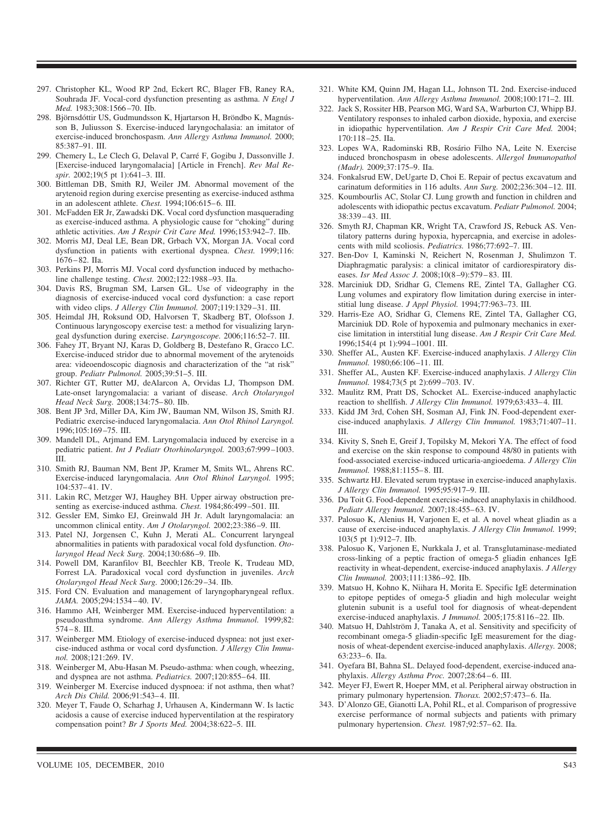- 297. Christopher KL, Wood RP 2nd, Eckert RC, Blager FB, Raney RA, Souhrada JF. Vocal-cord dysfunction presenting as asthma. *N Engl J Med.* 1983;308:1566 –70. IIb.
- 298. Björnsdóttir US, Gudmundsson K, Hjartarson H, Bröndbo K, Magnússon B, Juliusson S. Exercise-induced laryngochalasia: an imitator of exercise-induced bronchospasm. *Ann Allergy Asthma Immunol.* 2000; 85:387–91. III.
- 299. Chemery L, Le Clech G, Delaval P, Carré F, Gogibu J, Dassonville J. [Exercise-induced laryngomalacia] [Article in French]. *Rev Mal Respir.* 2002;19(5 pt 1):641–3. III.
- 300. Bittleman DB, Smith RJ, Weiler JM. Abnormal movement of the arytenoid region during exercise presenting as exercise-induced asthma in an adolescent athlete. *Chest*. 1994;106:615-6. III.
- 301. McFadden ER Jr, Zawadski DK. Vocal cord dysfunction masquerading as exercise-induced asthma. A physiologic cause for "choking" during athletic activities. *Am J Respir Crit Care Med.* 1996;153:942–7. IIb.
- 302. Morris MJ, Deal LE, Bean DR, Grbach VX, Morgan JA. Vocal cord dysfunction in patients with exertional dyspnea. *Chest.* 1999;116: 1676 – 82. IIa.
- 303. Perkins PJ, Morris MJ. Vocal cord dysfunction induced by methacholine challenge testing. *Chest.* 2002;122:1988 –93. IIa.
- 304. Davis RS, Brugman SM, Larsen GL. Use of videography in the diagnosis of exercise-induced vocal cord dysfunction: a case report with video clips. *J Allergy Clin Immunol.* 2007;119:1329 –31. III.
- 305. Heimdal JH, Roksund OD, Halvorsen T, Skadberg BT, Olofsson J. Continuous laryngoscopy exercise test: a method for visualizing laryngeal dysfunction during exercise. *Laryngoscope.* 2006;116:52–7. III.
- 306. Fahey JT, Bryant NJ, Karas D, Goldberg B, Destefano R, Gracco LC. Exercise-induced stridor due to abnormal movement of the arytenoids area: videoendoscopic diagnosis and characterization of the "at risk" group. *Pediatr Pulmonol.* 2005;39:51–5. III.
- 307. Richter GT, Rutter MJ, deAlarcon A, Orvidas LJ, Thompson DM. Late-onset laryngomalacia: a variant of disease. *Arch Otolaryngol Head Neck Surg.* 2008;134:75– 80. IIb.
- 308. Bent JP 3rd, Miller DA, Kim JW, Bauman NM, Wilson JS, Smith RJ. Pediatric exercise-induced laryngomalacia. *Ann Otol Rhinol Laryngol.* 1996;105:169 –75. III.
- 309. Mandell DL, Arjmand EM. Laryngomalacia induced by exercise in a pediatric patient. *Int J Pediatr Otorhinolaryngol.* 2003;67:999 –1003. III.
- 310. Smith RJ, Bauman NM, Bent JP, Kramer M, Smits WL, Ahrens RC. Exercise-induced laryngomalacia. *Ann Otol Rhinol Laryngol.* 1995; 104:537– 41. IV.
- 311. Lakin RC, Metzger WJ, Haughey BH. Upper airway obstruction presenting as exercise-induced asthma. *Chest.* 1984;86:499 –501. III.
- 312. Gessler EM, Simko EJ, Greinwald JH Jr. Adult laryngomalacia: an uncommon clinical entity. *Am J Otolaryngol.* 2002;23:386 –9. III.
- 313. Patel NJ, Jorgensen C, Kuhn J, Merati AL. Concurrent laryngeal abnormalities in patients with paradoxical vocal fold dysfunction. *Otolaryngol Head Neck Surg.* 2004;130:686 –9. IIb.
- 314. Powell DM, Karanfilov BI, Beechler KB, Treole K, Trudeau MD, Forrest LA. Paradoxical vocal cord dysfunction in juveniles. *Arch Otolaryngol Head Neck Surg.* 2000;126:29 –34. IIb.
- 315. Ford CN. Evaluation and management of laryngopharyngeal reflux. *JAMA.* 2005;294:1534 – 40. IV.
- 316. Hammo AH, Weinberger MM. Exercise-induced hyperventilation: a pseudoasthma syndrome. *Ann Allergy Asthma Immunol.* 1999;82: 574 – 8. III.
- 317. Weinberger MM. Etiology of exercise-induced dyspnea: not just exercise-induced asthma or vocal cord dysfunction. *J Allergy Clin Immunol.* 2008;121:269. IV.
- 318. Weinberger M, Abu-Hasan M. Pseudo-asthma: when cough, wheezing, and dyspnea are not asthma. *Pediatrics.* 2007;120:855– 64. III.
- 319. Weinberger M. Exercise induced dyspnoea: if not asthma, then what? *Arch Dis Child.* 2006;91:543– 4. III.
- 320. Meyer T, Faude O, Scharhag J, Urhausen A, Kindermann W. Is lactic acidosis a cause of exercise induced hyperventilation at the respiratory compensation point? *Br J Sports Med.* 2004;38:622–5. III.
- 321. White KM, Quinn JM, Hagan LL, Johnson TL 2nd. Exercise-induced hyperventilation. *Ann Allergy Asthma Immunol.* 2008;100:171–2. III.
- 322. Jack S, Rossiter HB, Pearson MG, Ward SA, Warburton CJ, Whipp BJ. Ventilatory responses to inhaled carbon dioxide, hypoxia, and exercise in idiopathic hyperventilation. *Am J Respir Crit Care Med.* 2004; 170:118 –25. IIa.
- 323. Lopes WA, Radominski RB, Rosário Filho NA, Leite N. Exercise induced bronchospasm in obese adolescents. *Allergol Immunopathol (Madr).* 2009;37:175–9. IIa.
- 324. Fonkalsrud EW, DeUgarte D, Choi E. Repair of pectus excavatum and carinatum deformities in 116 adults. *Ann Surg.* 2002;236:304 –12. III.
- 325. Koumbourlis AC, Stolar CJ. Lung growth and function in children and adolescents with idiopathic pectus excavatum. *Pediatr Pulmonol.* 2004; 38:339 – 43. III.
- 326. Smyth RJ, Chapman KR, Wright TA, Crawford JS, Rebuck AS. Ventilatory patterns during hypoxia, hypercapnia, and exercise in adolescents with mild scoliosis. *Pediatrics.* 1986;77:692–7. III.
- 327. Ben-Dov I, Kaminski N, Reichert N, Rosenman J, Shulimzon T. Diaphragmatic paralysis: a clinical imitator of cardiorespiratory diseases. *Isr Med Assoc J.* 2008;10(8 –9):579 – 83. III.
- 328. Marciniuk DD, Sridhar G, Clemens RE, Zintel TA, Gallagher CG. Lung volumes and expiratory flow limitation during exercise in interstitial lung disease. *J Appl Physiol.* 1994;77:963–73. III.
- 329. Harris-Eze AO, Sridhar G, Clemens RE, Zintel TA, Gallagher CG, Marciniuk DD. Role of hypoxemia and pulmonary mechanics in exercise limitation in interstitial lung disease. *Am J Respir Crit Care Med.* 1996;154(4 pt 1):994 –1001. III.
- 330. Sheffer AL, Austen KF. Exercise-induced anaphylaxis. *J Allergy Clin Immunol.* 1980;66:106 –11. III.
- 331. Sheffer AL, Austen KF. Exercise-induced anaphylaxis. *J Allergy Clin Immunol.* 1984;73(5 pt 2):699-703. IV.
- 332. Maulitz RM, Pratt DS, Schocket AL. Exercise-induced anaphylactic reaction to shellfish. *J Allergy Clin Immunol*. 1979;63:433-4. III.
- 333. Kidd JM 3rd, Cohen SH, Sosman AJ, Fink JN. Food-dependent exercise-induced anaphylaxis. *J Allergy Clin Immunol.* 1983;71:407–11. III.
- 334. Kivity S, Sneh E, Greif J, Topilsky M, Mekori YA. The effect of food and exercise on the skin response to compound 48/80 in patients with food-associated exercise-induced urticaria-angioedema. *J Allergy Clin Immunol.* 1988;81:1155– 8. III.
- 335. Schwartz HJ. Elevated serum tryptase in exercise-induced anaphylaxis. *J Allergy Clin Immunol.* 1995;95:917–9. III.
- 336. Du Toit G. Food-dependent exercise-induced anaphylaxis in childhood. Pediatr Allergy Immunol. 2007;18:455-63. IV.
- 337. Palosuo K, Alenius H, Varjonen E, et al. A novel wheat gliadin as a cause of exercise-induced anaphylaxis. *J Allergy Clin Immunol.* 1999; 103(5 pt 1):912–7. IIb.
- 338. Palosuo K, Varjonen E, Nurkkala J, et al. Transglutaminase-mediated cross-linking of a peptic fraction of omega-5 gliadin enhances IgE reactivity in wheat-dependent, exercise-induced anaphylaxis. *J Allergy Clin Immunol.* 2003;111:1386 –92. IIb.
- 339. Matsuo H, Kohno K, Niihara H, Morita E. Specific IgE determination to epitope peptides of omega-5 gliadin and high molecular weight glutenin subunit is a useful tool for diagnosis of wheat-dependent exercise-induced anaphylaxis. *J Immunol*. 2005;175:8116-22. IIb.
- 340. Matsuo H, Dahlström J, Tanaka A, et al. Sensitivity and specificity of recombinant omega-5 gliadin-specific IgE measurement for the diagnosis of wheat-dependent exercise-induced anaphylaxis. *Allergy.* 2008;  $63:233-6$  IIa.
- 341. Oyefara BI, Bahna SL. Delayed food-dependent, exercise-induced anaphylaxis. Allergy Asthma Proc. 2007;28:64-6. III.
- 342. Meyer FJ, Ewert R, Hoeper MM, et al. Peripheral airway obstruction in primary pulmonary hypertension. *Thorax*. 2002;57:473-6. IIa.
- 343. D'Alonzo GE, Gianotti LA, Pohil RL, et al. Comparison of progressive exercise performance of normal subjects and patients with primary pulmonary hypertension. *Chest*. 1987;92:57-62. IIa.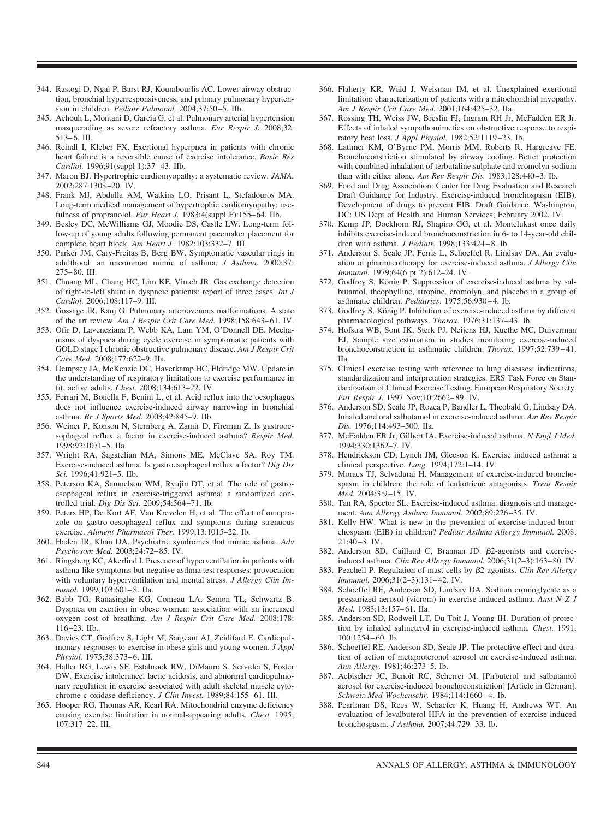- 344. Rastogi D, Ngai P, Barst RJ, Koumbourlis AC. Lower airway obstruction, bronchial hyperresponsiveness, and primary pulmonary hypertension in children. *Pediatr Pulmonol.* 2004;37:50 –5. IIb.
- 345. Achouh L, Montani D, Garcia G, et al. Pulmonary arterial hypertension masquerading as severe refractory asthma. *Eur Respir J.* 2008;32:  $513-6$ . III.
- 346. Reindl I, Kleber FX. Exertional hyperpnea in patients with chronic heart failure is a reversible cause of exercise intolerance. *Basic Res* Cardiol. 1996;91(suppl 1):37-43. IIb.
- 347. Maron BJ. Hypertrophic cardiomyopathy: a systematic review. *JAMA.* 2002;287:1308 –20. IV.
- 348. Frank MJ, Abdulla AM, Watkins LO, Prisant L, Stefadouros MA. Long-term medical management of hypertrophic cardiomyopathy: usefulness of propranolol. *Eur Heart J.* 1983;4(suppl F):155-64. IIb.
- 349. Besley DC, McWilliams GJ, Moodie DS, Castle LW. Long-term follow-up of young adults following permanent pacemaker placement for complete heart block. *Am Heart J.* 1982;103:332–7. III.
- 350. Parker JM, Cary-Freitas B, Berg BW. Symptomatic vascular rings in adulthood: an uncommon mimic of asthma. *J Asthma.* 2000;37: 275– 80. III.
- 351. Chuang ML, Chang HC, Lim KE, Vintch JR. Gas exchange detection of right-to-left shunt in dyspneic patients: report of three cases. *Int J Cardiol.* 2006;108:117–9. III.
- 352. Gossage JR, Kanj G. Pulmonary arteriovenous malformations. A state of the art review. Am J Respir Crit Care Med. 1998;158:643-61. IV.
- 353. Ofir D, Laveneziana P, Webb KA, Lam YM, O'Donnell DE. Mechanisms of dyspnea during cycle exercise in symptomatic patients with GOLD stage I chronic obstructive pulmonary disease. *Am J Respir Crit Care Med.* 2008;177:622–9. IIa.
- 354. Dempsey JA, McKenzie DC, Haverkamp HC, Eldridge MW. Update in the understanding of respiratory limitations to exercise performance in fit, active adults. *Chest.* 2008;134:613–22. IV.
- 355. Ferrari M, Bonella F, Benini L, et al. Acid reflux into the oesophagus does not influence exercise-induced airway narrowing in bronchial asthma. *Br J Sports Med.* 2008;42:845–9. IIb.
- 356. Weiner P, Konson N, Sternberg A, Zamir D, Fireman Z. Is gastrooesophageal reflux a factor in exercise-induced asthma? *Respir Med.* 1998;92:1071–5. IIa.
- 357. Wright RA, Sagatelian MA, Simons ME, McClave SA, Roy TM. Exercise-induced asthma. Is gastroesophageal reflux a factor? *Dig Dis Sci.* 1996;41:921–5. IIb.
- 358. Peterson KA, Samuelson WM, Ryujin DT, et al. The role of gastroesophageal reflux in exercise-triggered asthma: a randomized controlled trial. *Dig Dis Sci.* 2009;54:564 –71. Ib.
- 359. Peters HP, De Kort AF, Van Krevelen H, et al. The effect of omeprazole on gastro-oesophageal reflux and symptoms during strenuous exercise. *Aliment Pharmacol Ther.* 1999;13:1015–22. Ib.
- 360. Haden JR, Khan DA. Psychiatric syndromes that mimic asthma. *Adv Psychosom Med.* 2003;24:72– 85. IV.
- 361. Ringsberg KC, Akerlind I. Presence of hyperventilation in patients with asthma-like symptoms but negative asthma test responses: provocation with voluntary hyperventilation and mental stress. *J Allergy Clin Immunol.* 1999;103:601-8. IIa.
- 362. Babb TG, Ranasinghe KG, Comeau LA, Semon TL, Schwartz B. Dyspnea on exertion in obese women: association with an increased oxygen cost of breathing. *Am J Respir Crit Care Med.* 2008;178: 116 –23. IIb.
- 363. Davies CT, Godfrey S, Light M, Sargeant AJ, Zeidifard E. Cardiopulmonary responses to exercise in obese girls and young women. *J Appl* Physiol. 1975;38:373-6. III.
- 364. Haller RG, Lewis SF, Estabrook RW, DiMauro S, Servidei S, Foster DW. Exercise intolerance, lactic acidosis, and abnormal cardiopulmonary regulation in exercise associated with adult skeletal muscle cytochrome c oxidase deficiency. *J Clin Invest*. 1989;84:155-61. III.
- 365. Hooper RG, Thomas AR, Kearl RA. Mitochondrial enzyme deficiency causing exercise limitation in normal-appearing adults. *Chest.* 1995; 107:317–22. III.
- 366. Flaherty KR, Wald J, Weisman IM, et al. Unexplained exertional limitation: characterization of patients with a mitochondrial myopathy. *Am J Respir Crit Care Med.* 2001;164:425–32. IIa.
- 367. Rossing TH, Weiss JW, Breslin FJ, Ingram RH Jr, McFadden ER Jr. Effects of inhaled sympathomimetics on obstructive response to respiratory heat loss. *J Appl Physiol.* 1982;52:1119 –23. Ib.
- 368. Latimer KM, O'Byrne PM, Morris MM, Roberts R, Hargreave FE. Bronchoconstriction stimulated by airway cooling. Better protection with combined inhalation of terbutaline sulphate and cromolyn sodium than with either alone. *Am Rev Respir Dis.* 1983;128:440 –3. Ib.
- 369. Food and Drug Association: Center for Drug Evaluation and Research Draft Guidance for Industry. Exercise-induced bronchospasm (EIB). Development of drugs to prevent EIB. Draft Guidance. Washington, DC: US Dept of Health and Human Services; February 2002. IV.
- 370. Kemp JP, Dockhorn RJ, Shapiro GG, et al. Montelukast once daily inhibits exercise-induced bronchoconstriction in 6- to 14-year-old children with asthma. *J Pediatr.* 1998;133:424 – 8. Ib.
- 371. Anderson S, Seale JP, Ferris L, Schoeffel R, Lindsay DA. An evaluation of pharmacotherapy for exercise-induced asthma. *J Allergy Clin Immunol.* 1979;64(6 pt 2):612–24. IV.
- 372. Godfrey S, König P. Suppression of exercise-induced asthma by salbutamol, theophylline, atropine, cromolyn, and placebo in a group of asthmatic children. *Pediatrics*. 1975;56:930 – 4. Ib.
- 373. Godfrey S, König P. Inhibition of exercise-induced asthma by different pharmacological pathways. *Thorax*. 1976;31:137– 43. Ib.
- 374. Hofstra WB, Sont JK, Sterk PJ, Neijens HJ, Kuethe MC, Duiverman EJ. Sample size estimation in studies monitoring exercise-induced bronchoconstriction in asthmatic children. *Thorax.* 1997;52:739 – 41. IIa.
- 375. Clinical exercise testing with reference to lung diseases: indications, standardization and interpretation strategies. ERS Task Force on Standardization of Clinical Exercise Testing. European Respiratory Society. *Eur Respir J.* 1997 Nov;10:2662– 89. IV.
- 376. Anderson SD, Seale JP, Rozea P, Bandler L, Theobald G, Lindsay DA. Inhaled and oral salbutamol in exercise-induced asthma. *Am Rev Respir Dis.* 1976;114:493–500. IIa.
- 377. McFadden ER Jr, Gilbert IA. Exercise-induced asthma. *N Engl J Med.* 1994;330:1362–7. IV.
- 378. Hendrickson CD, Lynch JM, Gleeson K. Exercise induced asthma: a clinical perspective. *Lung.* 1994;172:1–14. IV.
- 379. Moraes TJ, Selvadurai H. Management of exercise-induced bronchospasm in children: the role of leukotriene antagonists. *Treat Respir Med.* 2004;3:9 –15. IV.
- 380. Tan RA, Spector SL. Exercise-induced asthma: diagnosis and management. *Ann Allergy Asthma Immunol.* 2002;89:226 –35. IV.
- 381. Kelly HW. What is new in the prevention of exercise-induced bronchospasm (EIB) in children? *Pediatr Asthma Allergy Immunol.* 2008;  $21:40 - 3$ . IV.
- 382. Anderson SD, Caillaud C, Brannan JD.  $\beta$ 2-agonists and exerciseinduced asthma. *Clin Rev Allergy Immunol.* 2006;31(2–3):163– 80. IV.
- 383. Peachell P. Regulation of mast cells by 2-agonists. *Clin Rev Allergy Immunol.* 2006:31(2–3):131–42. IV.
- 384. Schoeffel RE, Anderson SD, Lindsay DA. Sodium cromoglycate as a pressurized aerosol (vicrom) in exercise-induced asthma. *Aust N Z J Med.* 1983;13:157-61. IIa.
- 385. Anderson SD, Rodwell LT, Du Toit J, Young IH. Duration of protection by inhaled salmeterol in exercise-induced asthma. *Chest.* 1991;  $100:1254 - 60.$  Ib.
- 386. Schoeffel RE, Anderson SD, Seale JP. The protective effect and duration of action of metaproteronol aerosol on exercise-induced asthma. *Ann Allergy.* 1981;46:273–5. Ib.
- 387. Aebischer JC, Benoit RC, Scherrer M. [Pirbuterol and salbutamol aerosol for exercise-induced bronchoconstriction] [Article in German]. Schweiz Med Wochenschr. 1984;114:1660-4. Ib.
- 388. Pearlman DS, Rees W, Schaefer K, Huang H, Andrews WT. An evaluation of levalbuterol HFA in the prevention of exercise-induced bronchospasm. *J Asthma.* 2007;44:729 –33. Ib.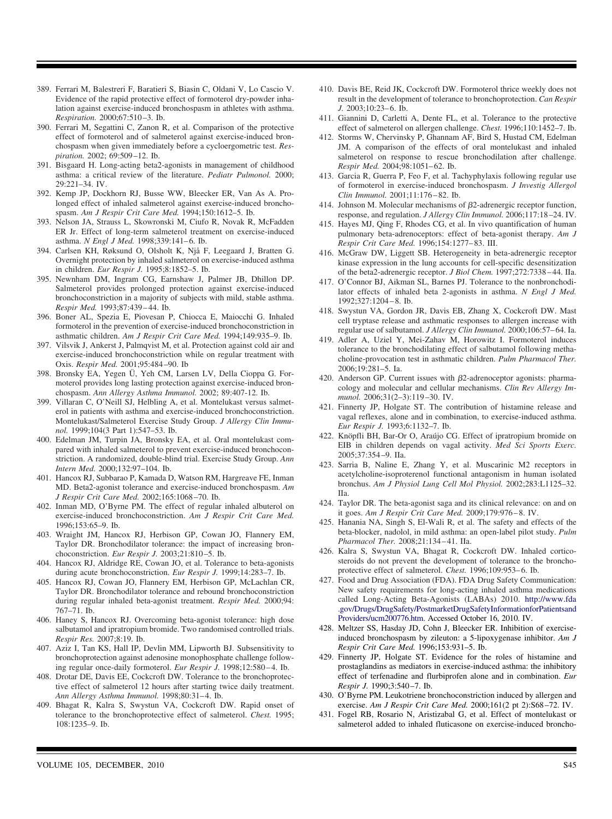- 389. Ferrari M, Balestreri F, Baratieri S, Biasin C, Oldani V, Lo Cascio V. Evidence of the rapid protective effect of formoterol dry-powder inhalation against exercise-induced bronchospasm in athletes with asthma. *Respiration.* 2000;67:510 –3. Ib.
- 390. Ferrari M, Segattini C, Zanon R, et al. Comparison of the protective effect of formoterol and of salmeterol against exercise-induced bronchospasm when given immediately before a cycloergometric test. *Respiration.* 2002; 69:509 –12. Ib.
- 391. Bisgaard H. Long-acting beta2-agonists in management of childhood asthma: a critical review of the literature. *Pediatr Pulmonol.* 2000;  $29.221 - 34$  IV
- 392. Kemp JP, Dockhorn RJ, Busse WW, Bleecker ER, Van As A. Prolonged effect of inhaled salmeterol against exercise-induced bronchospasm. *Am J Respir Crit Care Med.* 1994;150:1612–5. Ib.
- 393. Nelson JA, Strauss L, Skowronski M, Ciufo R, Novak R, McFadden ER Jr. Effect of long-term salmeterol treatment on exercise-induced asthma. *N Engl J Med.* 1998;339:141-6. Ib.
- 394. Carlsen KH, Røksund O, Olsholt K, Njå F, Leegaard J, Bratten G. Overnight protection by inhaled salmeterol on exercise-induced asthma in children. *Eur Respir J.* 1995;8:1852–5. Ib.
- 395. Newnham DM, Ingram CG, Earnshaw J, Palmer JB, Dhillon DP. Salmeterol provides prolonged protection against exercise-induced bronchoconstriction in a majority of subjects with mild, stable asthma. *Respir Med.* 1993;87:439 – 44. Ib.
- 396. Boner AL, Spezia E, Piovesan P, Chiocca E, Maiocchi G. Inhaled formoterol in the prevention of exercise-induced bronchoconstriction in asthmatic children. *Am J Respir Crit Care Med.* 1994;149:935–9. Ib.
- 397. Vilsvik J, Ankerst J, Palmqvist M, et al. Protection against cold air and exercise-induced bronchoconstriction while on regular treatment with Oxis. *Respir Med.* 2001;95:484 –90. Ib
- 398. Bronsky EA, Yegen Ü, Yeh CM, Larsen LV, Della Cioppa G. Formoterol provides long lasting protection against exercise-induced bronchospasm. *Ann Allergy Asthma Immunol.* 2002; 89:407-12. Ib.
- 399. Villaran C, O'Neill SJ, Helbling A, et al. Montelukast versus salmeterol in patients with asthma and exercise-induced bronchoconstriction. Montelukast/Salmeterol Exercise Study Group. *J Allergy Clin Immunol.* 1999;104(3 Part 1):547–53. Ib.
- 400. Edelman JM, Turpin JA, Bronsky EA, et al. Oral montelukast compared with inhaled salmeterol to prevent exercise-induced bronchoconstriction. A randomized, double-blind trial. Exercise Study Group. *Ann Intern Med.* 2000;132:97–104. Ib.
- 401. Hancox RJ, Subbarao P, Kamada D, Watson RM, Hargreave FE, Inman MD. Beta2-agonist tolerance and exercise-induced bronchospasm. *Am J Respir Crit Care Med.* 2002;165:1068 –70. Ib.
- 402. Inman MD, O'Byrne PM. The effect of regular inhaled albuterol on exercise-induced bronchoconstriction. *Am J Respir Crit Care Med.* 1996;153:65–9. Ib.
- 403. Wraight JM, Hancox RJ, Herbison GP, Cowan JO, Flannery EM, Taylor DR. Bronchodilator tolerance: the impact of increasing bronchoconstriction. *Eur Respir J.* 2003;21:810 –5. Ib.
- 404. Hancox RJ, Aldridge RE, Cowan JO, et al. Tolerance to beta-agonists during acute bronchoconstriction. *Eur Respir J.* 1999;14:283–7. Ib.
- 405. Hancox RJ, Cowan JO, Flannery EM, Herbison GP, McLachlan CR, Taylor DR. Bronchodilator tolerance and rebound bronchoconstriction during regular inhaled beta-agonist treatment. *Respir Med.* 2000;94: 767–71. Ib.
- 406. Haney S, Hancox RJ. Overcoming beta-agonist tolerance: high dose salbutamol and ipratropium bromide. Two randomised controlled trials. *Respir Res.* 2007;8:19. Ib.
- 407. Aziz I, Tan KS, Hall IP, Devlin MM, Lipworth BJ. Subsensitivity to bronchoprotection against adenosine monophosphate challenge following regular once-daily formoterol. *Eur Respir J.* 1998;12:580-4. Ib.
- 408. Drotar DE, Davis EE, Cockcroft DW. Tolerance to the bronchoprotective effect of salmeterol 12 hours after starting twice daily treatment. Ann Allergy Asthma Immunol. 1998;80:31-4. Ib.
- 409. Bhagat R, Kalra S, Swystun VA, Cockcroft DW. Rapid onset of tolerance to the bronchoprotective effect of salmeterol. *Chest.* 1995; 108:1235–9. Ib.
- 410. Davis BE, Reid JK, Cockcroft DW. Formoterol thrice weekly does not result in the development of tolerance to bronchoprotection. *Can Respir J.* 2003;10:23-6. Ib.
- 411. Giannini D, Carletti A, Dente FL, et al. Tolerance to the protective effect of salmeterol on allergen challenge. *Chest.* 1996;110:1452–7. Ib.
- 412. Storms W, Chervinsky P, Ghannam AF, Bird S, Hustad CM, Edelman JM. A comparison of the effects of oral montelukast and inhaled salmeterol on response to rescue bronchodilation after challenge. *Respir Med.* 2004;98:1051-62. Ib.
- 413. Garcia R, Guerra P, Feo F, et al. Tachyphylaxis following regular use of formoterol in exercise-induced bronchospasm. *J Investig Allergol Clin Immunol.* 2001;11:176-82. Ib.
- 414. Johnson M. Molecular mechanisms of  $\beta$ 2-adrenergic receptor function, response, and regulation. *J Allergy Clin Immunol.* 2006;117:18 –24. IV.
- 415. Hayes MJ, Qing F, Rhodes CG, et al. In vivo quantification of human pulmonary beta-adrenoceptors: effect of beta-agonist therapy. *Am J Respir Crit Care Med.* 1996;154:1277– 83. III.
- 416. McGraw DW, Liggett SB. Heterogeneity in beta-adrenergic receptor kinase expression in the lung accounts for cell-specific desensitization of the beta2-adrenergic receptor. *J Biol Chem.* 1997;272:7338 – 44. IIa.
- 417. O'Connor BJ, Aikman SL, Barnes PJ. Tolerance to the nonbronchodilator effects of inhaled beta 2-agonists in asthma. *N Engl J Med.* 1992;327:1204 – 8. Ib.
- 418. Swystun VA, Gordon JR, Davis EB, Zhang X, Cockcroft DW. Mast cell tryptase release and asthmatic responses to allergen increase with regular use of salbutamol. *J Allergy Clin Immunol*. 2000;106:57-64. Ia.
- 419. Adler A, Uziel Y, Mei-Zahav M, Horowitz I. Formoterol induces tolerance to the bronchodilating effect of salbutamol following methacholine-provocation test in asthmatic children. *Pulm Pharmacol Ther.* 2006;19:281–5. Ia.
- 420. Anderson GP. Current issues with  $\beta$ 2-adrenoceptor agonists: pharmacology and molecular and cellular mechanisms. *Clin Rev Allergy Immunol.* 2006;31(2–3):119 –30. IV.
- 421. Finnerty JP, Holgate ST. The contribution of histamine release and vagal reflexes, alone and in combination, to exercise-induced asthma. *Eur Respir J.* 1993;6:1132–7. Ib.
- 422. Knöpfli BH, Bar-Or O, Araújo CG. Effect of ipratropium bromide on EIB in children depends on vagal activity. *Med Sci Sports Exerc.* 2005;37:354 –9. IIa.
- 423. Sarria B, Naline E, Zhang Y, et al. Muscarinic M2 receptors in acetylcholine-isoproterenol functional antagonism in human isolated bronchus. *Am J Physiol Lung Cell Mol Physiol.* 2002;283:L1125–32. IIa.
- 424. Taylor DR. The beta-agonist saga and its clinical relevance: on and on it goes. Am J Respir Crit Care Med. 2009;179:976-8. IV.
- 425. Hanania NA, Singh S, El-Wali R, et al. The safety and effects of the beta-blocker, nadolol, in mild asthma: an open-label pilot study. *Pulm Pharmacol Ther.* 2008;21:134 – 41. IIa.
- 426. Kalra S, Swystun VA, Bhagat R, Cockcroft DW. Inhaled corticosteroids do not prevent the development of tolerance to the bronchoprotective effect of salmeterol. *Chest*. 1996;109:953-6. Ib.
- 427. Food and Drug Association (FDA). FDA Drug Safety Communication: New safety requirements for long-acting inhaled asthma medications called Long-Acting Beta-Agonists (LABAs) 2010. [http://www.fda](http://www.fda.gov/Drugs/DrugSafety/PostmarketDrugSafetyInformationforPatientsandProviders/ucm200776.htm) [.gov/Drugs/DrugSafety/PostmarketDrugSafetyInformationforPatientsand](http://www.fda.gov/Drugs/DrugSafety/PostmarketDrugSafetyInformationforPatientsandProviders/ucm200776.htm) [Providers/ucm200776.htm.](http://www.fda.gov/Drugs/DrugSafety/PostmarketDrugSafetyInformationforPatientsandProviders/ucm200776.htm) Accessed October 16, 2010. IV.
- 428. Meltzer SS, Hasday JD, Cohn J, Bleecker ER. Inhibition of exerciseinduced bronchospasm by zileuton: a 5-lipoxygenase inhibitor. *Am J Respir Crit Care Med.* 1996;153:931–5. Ib.
- 429. Finnerty JP, Holgate ST. Evidence for the roles of histamine and prostaglandins as mediators in exercise-induced asthma: the inhibitory effect of terfenadine and flurbiprofen alone and in combination. *Eur Respir J.* 1990;3:540 –7. Ib.
- 430. O'Byrne PM. Leukotriene bronchoconstriction induced by allergen and exercise. *Am J Respir Crit Care Med.* 2000;161(2 pt 2):S68 –72. IV.
- 431. Fogel RB, Rosario N, Aristizabal G, et al. Effect of montelukast or salmeterol added to inhaled fluticasone on exercise-induced broncho-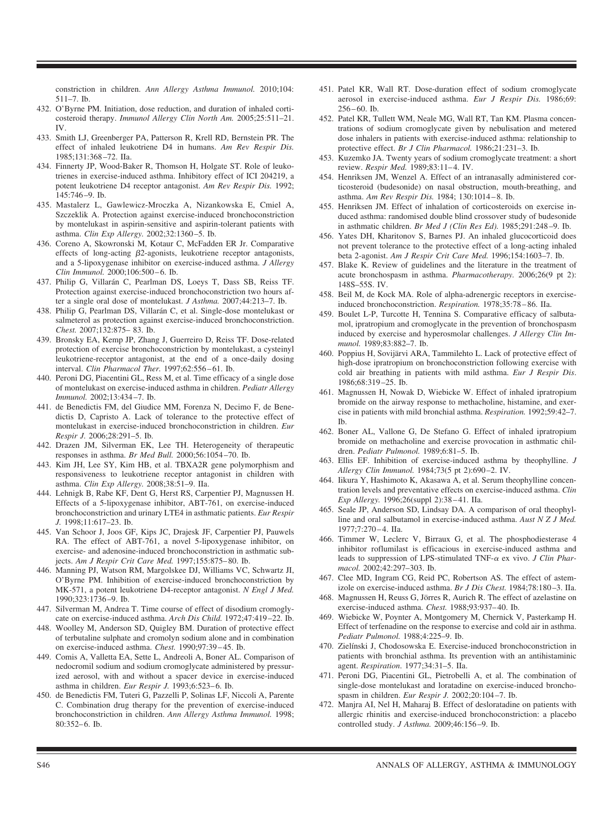constriction in children. *Ann Allergy Asthma Immunol.* 2010;104: 511–7. Ib.

- 432. O'Byrne PM. Initiation, dose reduction, and duration of inhaled corticosteroid therapy. *Immunol Allergy Clin North Am.* 2005;25:511–21. IV.
- 433. Smith LJ, Greenberger PA, Patterson R, Krell RD, Bernstein PR. The effect of inhaled leukotriene D4 in humans. *Am Rev Respir Dis.* 1985;131:368 –72. IIa.
- 434. Finnerty JP, Wood-Baker R, Thomson H, Holgate ST. Role of leukotrienes in exercise-induced asthma. Inhibitory effect of ICI 204219, a potent leukotriene D4 receptor antagonist. *Am Rev Respir Dis.* 1992; 145:746 –9. Ib.
- 435. Mastalerz L, Gawlewicz-Mroczka A, Nizankowska E, Cmiel A, Szczeklik A. Protection against exercise-induced bronchoconstriction by montelukast in aspirin-sensitive and aspirin-tolerant patients with asthma. *Clin Exp Allergy.* 2002;32:1360 –5. Ib.
- 436. Coreno A, Skowronski M, Kotaur C, McFadden ER Jr. Comparative effects of long-acting  $\beta$ 2-agonists, leukotriene receptor antagonists, and a 5-lipoxygenase inhibitor on exercise-induced asthma. *J Allergy Clin Immunol.* 2000;106:500-6. Ib.
- 437. Philip G, Villarán C, Pearlman DS, Loeys T, Dass SB, Reiss TF. Protection against exercise-induced bronchoconstriction two hours after a single oral dose of montelukast. *J Asthma.* 2007;44:213–7. Ib.
- 438. Philip G, Pearlman DS, Villarán C, et al. Single-dose montelukast or salmeterol as protection against exercise-induced bronchoconstriction. *Chest.* 2007;132:875– 83. Ib.
- 439. Bronsky EA, Kemp JP, Zhang J, Guerreiro D, Reiss TF. Dose-related protection of exercise bronchoconstriction by montelukast, a cysteinyl leukotriene-receptor antagonist, at the end of a once-daily dosing interval. *Clin Pharmacol Ther.* 1997;62:556 – 61. Ib.
- 440. Peroni DG, Piacentini GL, Ress M, et al. Time efficacy of a single dose of montelukast on exercise-induced asthma in children. *Pediatr Allergy Immunol.* 2002;13:434 –7. Ib.
- 441. de Benedictis FM, del Giudice MM, Forenza N, Decimo F, de Benedictis D, Capristo A. Lack of tolerance to the protective effect of montelukast in exercise-induced bronchoconstriction in children. *Eur Respir J.* 2006;28:291–5. Ib.
- 442. Drazen JM, Silverman EK, Lee TH. Heterogeneity of therapeutic responses in asthma. *Br Med Bull.* 2000;56:1054 –70. Ib.
- 443. Kim JH, Lee SY, Kim HB, et al. TBXA2R gene polymorphism and responsiveness to leukotriene receptor antagonist in children with asthma. *Clin Exp Allergy.* 2008;38:51–9. IIa.
- 444. Lehnigk B, Rabe KF, Dent G, Herst RS, Carpentier PJ, Magnussen H. Effects of a 5-lipoxygenase inhibitor, ABT-761, on exercise-induced bronchoconstriction and urinary LTE4 in asthmatic patients. *Eur Respir J.* 1998;11:617–23. Ib.
- 445. Van Schoor J, Joos GF, Kips JC, Drajesk JF, Carpentier PJ, Pauwels RA. The effect of ABT-761, a novel 5-lipoxygenase inhibitor, on exercise- and adenosine-induced bronchoconstriction in asthmatic subjects. *Am J Respir Crit Care Med.* 1997;155:875– 80. Ib.
- 446. Manning PJ, Watson RM, Margolskee DJ, Williams VC, Schwartz JI, O'Byrne PM. Inhibition of exercise-induced bronchoconstriction by MK-571, a potent leukotriene D4-receptor antagonist. *N Engl J Med.* 1990;323:1736 –9. Ib.
- 447. Silverman M, Andrea T. Time course of effect of disodium cromoglycate on exercise-induced asthma. *Arch Dis Child.* 1972;47:419 –22. Ib.
- 448. Woolley M, Anderson SD, Quigley BM. Duration of protective effect of terbutaline sulphate and cromolyn sodium alone and in combination on exercise-induced asthma. *Chest.* 1990;97:39 – 45. Ib.
- 449. Comis A, Valletta EA, Sette L, Andreoli A, Boner AL. Comparison of nedocromil sodium and sodium cromoglycate administered by pressurized aerosol, with and without a spacer device in exercise-induced asthma in children. *Eur Respir J.* 1993;6:523-6. Ib.
- 450. de Benedictis FM, Tuteri G, Pazzelli P, Solinas LF, Niccoli A, Parente C. Combination drug therapy for the prevention of exercise-induced bronchoconstriction in children. *Ann Allergy Asthma Immunol.* 1998; 80:352-6. Ib.
- 451. Patel KR, Wall RT. Dose-duration effect of sodium cromoglycate aerosol in exercise-induced asthma. *Eur J Respir Dis.* 1986;69:  $256 - 60$ . Ib.
- 452. Patel KR, Tullett WM, Neale MG, Wall RT, Tan KM. Plasma concentrations of sodium cromoglycate given by nebulisation and metered dose inhalers in patients with exercise-induced asthma: relationship to protective effect. *Br J Clin Pharmacol.* 1986;21:231–3. Ib.
- 453. Kuzemko JA. Twenty years of sodium cromoglycate treatment: a short review. *Respir Med.* 1989;83:11– 4. IV.
- 454. Henriksen JM, Wenzel A. Effect of an intranasally administered corticosteroid (budesonide) on nasal obstruction, mouth-breathing, and asthma. *Am Rev Respir Dis.* 1984; 130:1014 – 8. Ib.
- 455. Henriksen JM. Effect of inhalation of corticosteroids on exercise induced asthma: randomised double blind crossover study of budesonide in asthmatic children. *Br Med J (Clin Res Ed).* 1985;291:248 –9. Ib.
- 456. Yates DH, Kharitonov S, Barnes PJ. An inhaled glucocorticoid does not prevent tolerance to the protective effect of a long-acting inhaled beta 2-agonist. *Am J Respir Crit Care Med.* 1996;154:1603–7. Ib.
- 457. Blake K. Review of guidelines and the literature in the treatment of acute bronchospasm in asthma. *Pharmacotherapy.* 2006;26(9 pt 2): 148S–55S. IV.
- 458. Beil M, de Kock MA. Role of alpha-adrenergic receptors in exerciseinduced bronchoconstriction. *Respiration.* 1978;35:78 – 86. IIa.
- 459. Boulet L-P, Turcotte H, Tennina S. Comparative efficacy of salbutamol, ipratropium and cromoglycate in the prevention of bronchospasm induced by exercise and hyperosmolar challenges. *J Allergy Clin Immunol.* 1989;83:882–7. Ib.
- 460. Poppius H, Sovijärvi ARA, Tammilehto L. Lack of protective effect of high-dose ipratropium on bronchoconstriction following exercise with cold air breathing in patients with mild asthma. *Eur J Respir Dis*. 1986;68:319 –25. Ib.
- 461. Magnussen H, Nowak D, Wiebicke W. Effect of inhaled ipratropium bromide on the airway response to methacholine, histamine, and exercise in patients with mild bronchial asthma. *Respiration.* 1992;59:42–7. Ib.
- 462. Boner AL, Vallone G, De Stefano G. Effect of inhaled ipratropium bromide on methacholine and exercise provocation in asthmatic children. *Pediatr Pulmonol.* 1989;6:81–5. Ib.
- 463. Ellis EF. Inhibition of exercise-induced asthma by theophylline. *J Allergy Clin Immunol.* 1984;73(5 pt 2):690 –2. IV.
- 464. Iikura Y, Hashimoto K, Akasawa A, et al. Serum theophylline concentration levels and preventative effects on exercise-induced asthma. *Clin Exp Allergy.* 1996;26(suppl 2):38 – 41. IIa.
- 465. Seale JP, Anderson SD, Lindsay DA. A comparison of oral theophylline and oral salbutamol in exercise-induced asthma. *Aust N Z J Med.* 1977;7:270 – 4. IIa.
- 466. Timmer W, Leclerc V, Birraux G, et al. The phosphodiesterase 4 inhibitor roflumilast is efficacious in exercise-induced asthma and leads to suppression of LPS-stimulated TNF-α ex vivo. *J Clin Pharmacol.* 2002;42:297–303. Ib.
- 467. Clee MD, Ingram CG, Reid PC, Robertson AS. The effect of astemizole on exercise-induced asthma. *Br J Dis Chest.* 1984;78:180 –3. IIa.
- 468. Magnussen H, Reuss G, Jörres R, Aurich R. The effect of azelastine on exercise-induced asthma. *Chest.* 1988;93:937– 40. Ib.
- 469. Wiebicke W, Poynter A, Montgomery M, Chernick V, Pasterkamp H. Effect of terfenadine on the response to exercise and cold air in asthma. *Pediatr Pulmonol.* 1988;4:225–9. Ib.
- 470. Zielínski J, Chodosowska E. Exercise-induced bronchoconstriction in patients with bronchial asthma. Its prevention with an antihistaminic agent. *Respiration*. 1977;34:31–5. IIa.
- 471. Peroni DG, Piacentini GL, Pietrobelli A, et al. The combination of single-dose montelukast and loratadine on exercise-induced bronchospasm in children. *Eur Respir J.* 2002;20:104 –7. Ib.
- 472. Manjra AI, Nel H, Maharaj B. Effect of desloratadine on patients with allergic rhinitis and exercise-induced bronchoconstriction: a placebo controlled study. *J Asthma.* 2009;46:156 –9. Ib.